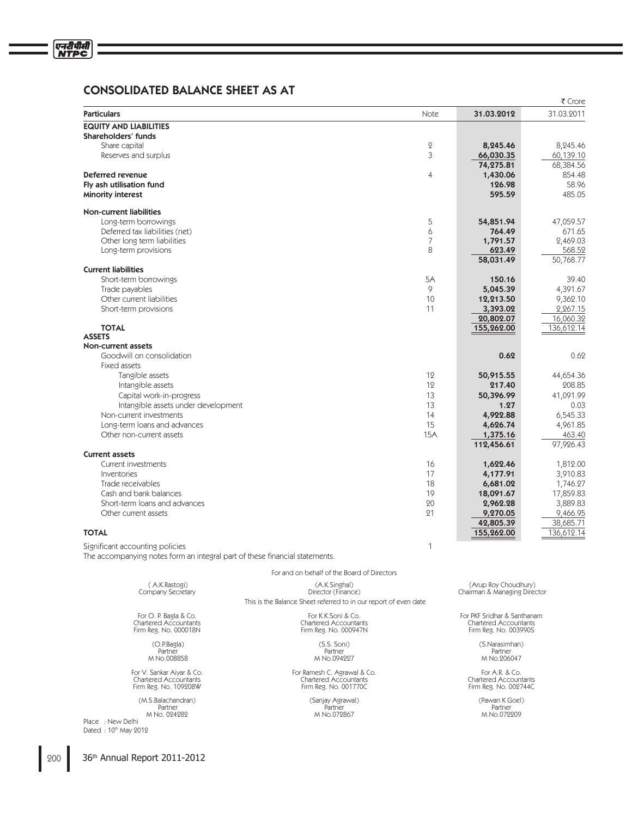## CONSOLIDATED BALANCE SHEET AS AT

| <b>Particulars</b><br>Note<br>31.03.2012<br><b>EQUITY AND LIABILITIES</b><br>Shareholders' funds | 31.03.2011<br>8.245.46<br>60,139.10 |
|--------------------------------------------------------------------------------------------------|-------------------------------------|
|                                                                                                  |                                     |
|                                                                                                  |                                     |
|                                                                                                  |                                     |
| $\overline{2}$<br>8,245.46<br>Share capital                                                      |                                     |
| 3<br>66,030.35<br>Reserves and surplus                                                           |                                     |
| 74,275.81                                                                                        | 68,384.56                           |
| Deferred revenue<br>4<br>1,430.06                                                                | 854.48                              |
| 126.98<br>Fly ash utilisation fund                                                               | 58.96                               |
| 595.59<br><b>Minority interest</b>                                                               | 485.05                              |
| <b>Non-current liabilities</b>                                                                   |                                     |
| 5<br>Long-term borrowings<br>54,851.94                                                           | 47,059.57                           |
| Deferred tax liabilities (net)<br>6<br>764.49                                                    | 671.65                              |
| 7<br>Other long term liabilities<br>1,791.57                                                     | 2,469.03                            |
| 8<br>Long-term provisions<br>623.49                                                              | 568.52                              |
| 58,031.49                                                                                        | 50,768.77                           |
| <b>Current liabilities</b>                                                                       |                                     |
| 5A<br>150.16<br>Short-term borrowings                                                            | 39.40                               |
| Trade payables<br>$\mathsf{Q}$<br>5,045.39                                                       | 4,391.67                            |
| Other current liabilities<br>10<br>12,213.50                                                     | 9,362.10                            |
| Short-term provisions<br>11<br>3,393.02                                                          | 2,267.15                            |
| 20,802.07                                                                                        | 16.060.32                           |
| <b>TOTAL</b><br>155,262.00                                                                       | 136,612.14                          |
| <b>ASSETS</b><br>Non-current assets                                                              |                                     |
| Goodwill on consolidation<br>0.62                                                                | 0.62                                |
| Fixed assets                                                                                     |                                     |
| 12<br>Tangible assets<br>50,915.55                                                               | 44,654.36                           |
| Intangible assets<br>12<br>217.40                                                                | 208.85                              |
| Capital work-in-progress<br>13<br>50,396.99                                                      | 41.091.99                           |
| Intangible assets under development<br>13<br>1.27                                                | 0.03                                |
| Non-current investments<br>14<br>4,922.88                                                        | 6,545.33                            |
| 15<br>Long-term loans and advances<br>4,626.74                                                   | 4,961.85                            |
| Other non-current assets<br><b>15A</b><br>1,375.16                                               | 463.40                              |
| 112,456.61                                                                                       | 97,926.43                           |
| <b>Current assets</b>                                                                            |                                     |
| 16<br>Current investments<br>1,622.46                                                            | 1,812.00                            |
| 17<br>4,177.91<br>Inventories                                                                    | 3,910.83                            |
| 18<br>Trade receivables<br>6,681.02                                                              | 1.746.27                            |
| Cash and bank balances<br>19<br>18,091.67                                                        | 17,859.83                           |
| Short-term loans and advances<br>20<br>2,962.28                                                  | 3,889.83                            |
| 21<br>Other current assets<br>9,270.05                                                           | 9,466.95                            |
| 42,805.39                                                                                        | 38,685.71                           |
| <b>TOTAL</b><br>155,262.00                                                                       | 136,612.14                          |
| $\mathbf{1}$<br>Significant accounting policies                                                  |                                     |
| The accompanying notes form an integral part of these financial statements.                      |                                     |
| For and on behalf of the Board of Directors                                                      |                                     |
| (A.K.Rastogi)<br>(A.K.Singhal)<br>(Arup Roy Choudhury)                                           |                                     |
| Director (Finance)<br>Chairman & Managing Director<br>Company Secretary                          |                                     |

O.P.Bagla) (S.S. Soni)<br>Partner Partner Partner Partner Partner<br>M. No.008858 (M. No.004227 M No.008858 M No.094227 M No.206047

Place : New Delhi Dated : 10th May 2012 This is the Balance Sheet referred to in our report of even date

For V. Sankar Aiyar & Co. For Ramesh C. Agrawal & Co. For A.R. & Co. Chartered Accountants Chartered Accountants Chartered Accountants Firm Reg. No. 109208W Firm Reg. No. 001770C Firm Reg. No. 002744C

(M.S.Balachandran) (Sanjay Agrawal) (Sanjay Agrawal) (M.S.Balachandran) (Pawan K Goel)<br>Partner Partner Partner (Pawan K Goel) (Pawan K Goel) (Pawan K Goel) (Pawan K Goel) (Pawan K Goel) (Pawan K Goel) (Pawan K Goel) (Pawan Partner Partner Partner M No. 024282 M No.072867 M.No.072209

For O. P. Bagla & Co. For K.K.Soni & Co. For PKF Sridhar & Santhanam Chartered Accountants Chartered Accountants Chartered Accountants Firm Reg. No. 000018N Firm Reg. No. 000947N Firm Reg. No. 003990S

(O.P.Bagla) (S.S. Soni) (S.Narasimhan)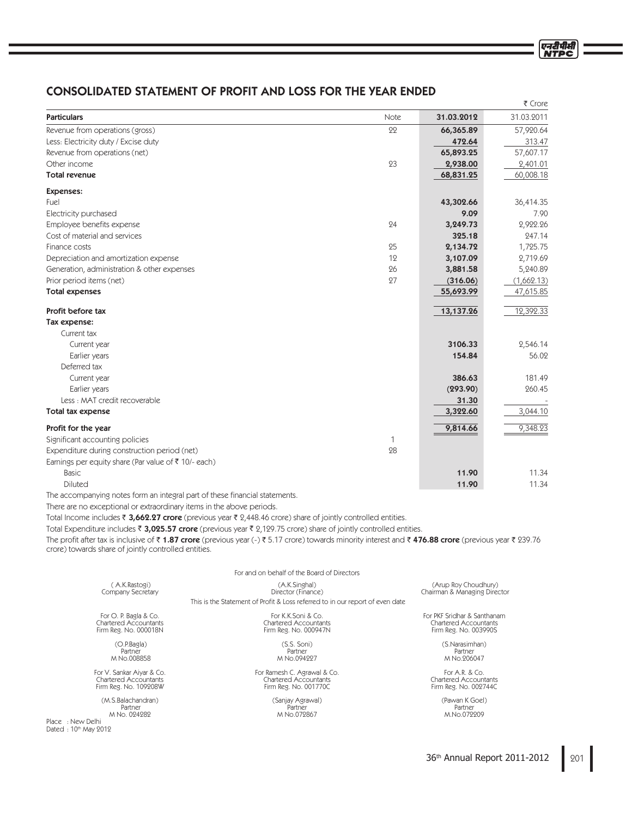# CONSOLIDATED STATEMENT OF PROFIT AND LOSS FOR THE YEAR ENDED

|                                                                 |      |            | ₹ Crore    |
|-----------------------------------------------------------------|------|------------|------------|
| <b>Particulars</b>                                              | Note | 31.03.2012 | 31.03.2011 |
| Revenue from operations (gross)                                 | 22   | 66,365.89  | 57,920.64  |
| Less: Electricity duty / Excise duty                            |      | 472.64     | 313.47     |
| Revenue from operations (net)                                   |      | 65,893.25  | 57,607.17  |
| Other income                                                    | 23   | 2,938.00   | 2,401.01   |
| <b>Total revenue</b>                                            |      | 68,831.25  | 60,008.18  |
| <b>Expenses:</b>                                                |      |            |            |
| Fuel                                                            |      | 43,302.66  | 36,414.35  |
| Electricity purchased                                           |      | 9.09       | 7.90       |
| Employee benefits expense                                       | 24   | 3,249.73   | 2,922.26   |
| Cost of material and services                                   |      | 325.18     | 247.14     |
| Finance costs                                                   | 25   | 2,134.72   | 1,725.75   |
| Depreciation and amortization expense                           | 12   | 3,107.09   | 2,719.69   |
| Generation, administration & other expenses                     | 26   | 3,881.58   | 5,240.89   |
| Prior period items (net)                                        | 27   | (316.06)   | (1,662.13) |
| <b>Total expenses</b>                                           |      | 55,693.99  | 47,615.85  |
| Profit before tax                                               |      | 13,137.26  | 12,392.33  |
| Tax expense:                                                    |      |            |            |
| Current tax                                                     |      |            |            |
| Current year                                                    |      | 3106.33    | 2,546.14   |
| Earlier years                                                   |      | 154.84     | 56.02      |
| Deferred tax                                                    |      |            |            |
| Current year                                                    |      | 386.63     | 181.49     |
| Earlier years                                                   |      | (293.90)   | 260.45     |
| Less: MAT credit recoverable                                    |      | 31.30      |            |
| Total tax expense                                               |      | 3,322.60   | 3,044.10   |
| Profit for the year                                             |      | 9,814.66   | 9,348.23   |
| Significant accounting policies                                 | 1    |            |            |
| Expenditure during construction period (net)                    | 28   |            |            |
| Earnings per equity share (Par value of $\bar{\tau}$ 10/- each) |      |            |            |
| Basic                                                           |      | 11.90      | 11.34      |
| Diluted                                                         |      | 11.90      | 11.34      |

The accompanying notes form an integral part of these financial statements.

There are no exceptional or extraordinary items in the above periods.

Total Income includes ₹ 3,662.27 crore (previous year ₹ 2,448.46 crore) share of jointly controlled entities.

Total Expenditure includes ₹ **3,025.57 crore** (previous year ₹ 2,129.75 crore) share of jointly controlled entities.

The profit after tax is inclusive of ₹ **1.87 crore** (previous year (-) ₹ 5.17 crore) towards minority interest and ₹ **476.88 crore** (previous year ₹ 239.76 crore) towards share of jointly controlled entities.

|                              | For and on behalf of the Board of Directors                                   |                              |
|------------------------------|-------------------------------------------------------------------------------|------------------------------|
| (A.K.Rastogi)                | (A.K.Singhal)                                                                 | (Arup Roy Choudhury)         |
| Company Secretary            | Director (Finance)                                                            | Chairman & Managing Director |
|                              | This is the Statement of Profit & Loss referred to in our report of even date |                              |
| For O. P. Bagla & Co.        | For K.K.Soni & Co.                                                            | For PKF Sridhar & Santhanam  |
| <b>Chartered Accountants</b> | <b>Chartered Accountants</b>                                                  | <b>Chartered Accountants</b> |
| Firm Reg. No. 000018N        | Firm Reg. No. 000947N                                                         | Firm Reg. No. 003990S        |
| (O.P.Baq a)                  | $(S.S.$ Soni)                                                                 | (S.Narasimhan)               |
| Partner                      | Partner                                                                       | Partner                      |
| M No.008858                  | M No.094997                                                                   | M No.906047                  |
| For V. Sankar Aiyar & Co.    | For Ramesh C. Agrawal & Co.                                                   | For A.R. $& Co.$             |
| <b>Chartered Accountants</b> | <b>Chartered Accountants</b>                                                  | <b>Chartered Accountants</b> |
| Firm Reg. No. 109208W        | Firm Reg. No. 001770C                                                         | Firm Reg. No. 002744C        |
| (M.S.Balachandran)           | (Sanjay Agrawal)                                                              | (Pawan K Goel)               |
| Partner                      | Partner                                                                       | Partner                      |
| M No. 024282                 | M No.072867                                                                   | M.No.072209                  |

Place : New Delhi Dated : 10th May 2012 एनटीपीसी **NTPC**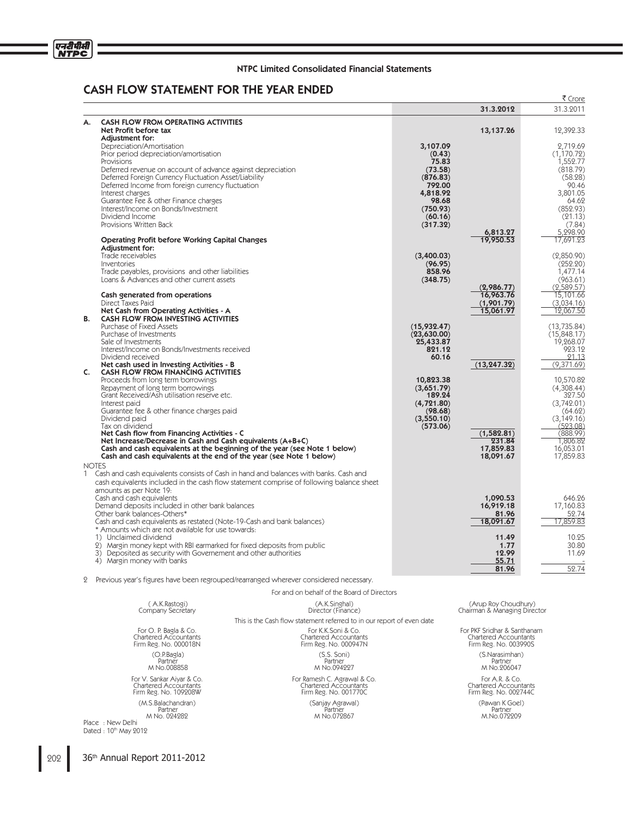

# CASH FLOW STATEMENT FOR THE YEAR ENDED

|                |                                                                                                                                                  |                       |                        | ₹ Crore                |
|----------------|--------------------------------------------------------------------------------------------------------------------------------------------------|-----------------------|------------------------|------------------------|
|                |                                                                                                                                                  |                       | 31.3.2012              | 31.3.2011              |
| А.             | <b>CASH FLOW FROM OPERATING ACTIVITIES</b>                                                                                                       |                       |                        |                        |
|                | Net Profit before tax                                                                                                                            |                       | 13,137.26              | 12,392.33              |
|                | Adiustment for:                                                                                                                                  |                       |                        |                        |
|                | Depreciation/Amortisation                                                                                                                        | 3,107.09              |                        | 2.719.69               |
|                | Prior period depreciation/amortisation                                                                                                           | (0.43)                |                        | (1, 170.72)            |
|                | Provisions                                                                                                                                       | 75.83<br>(73.58)      |                        | 1,552.77<br>(818.79)   |
|                | Deferred revenue on account of advance against depreciation<br>Deferred Foreign Currency Fluctuation Asset/Liability                             | (876.83)              |                        | (58.28)                |
|                | Deferred Income from foreign currency fluctuation                                                                                                | 792.00                |                        | 90.46                  |
|                | Interest charges                                                                                                                                 | 4,818.92              |                        | 3.801.05               |
|                | Guarantee Fee & other Finance charges                                                                                                            | 98.68                 |                        | 64.62                  |
|                | Interest/Income on Bonds/Investment                                                                                                              | (750.93)              |                        | (852.93)               |
|                | Dividend Income<br>Provisions Written Back                                                                                                       | (60.16)<br>(317.32)   |                        | (21.13)<br>(7.84)      |
|                |                                                                                                                                                  |                       | 6,813.27               | 5,298.90               |
|                | <b>Operating Profit before Working Capital Changes</b>                                                                                           |                       | 19,950.53              | 17,691.23              |
|                | Adjustment for:                                                                                                                                  |                       |                        |                        |
|                | Trade receivables                                                                                                                                | (3,400.03)            |                        | (2,850.90)             |
|                | Inventories                                                                                                                                      | (96.95)<br>858.96     |                        | (252.20)               |
|                | Trade payables, provisions and other liabilities<br>Loans & Advances and other current assets                                                    | (348.75)              |                        | 1.477.14<br>(963.61)   |
|                |                                                                                                                                                  |                       | (2,986.77)             | (2,589.57)             |
|                | Cash generated from operations                                                                                                                   |                       | 16,963.76              | 15,101.66              |
|                | Direct Taxes Paid                                                                                                                                |                       | (1,901.79)             | (3,034.16)             |
|                | Net Cash from Operating Activities - A                                                                                                           |                       | 15,061.97              | 12,067.50              |
| В.             | <b>CASH FLOW FROM INVESTING ACTIVITIES</b><br>Purchase of Fixed Assets                                                                           | (15,932.47)           |                        | (13, 735.84)           |
|                | Purchase of Investments                                                                                                                          | (23,630.00)           |                        | (15,848.17)            |
|                | Sale of Investments                                                                                                                              | 25,433.87             |                        | 19,268.07              |
|                | Interest/Income on Bonds/Investments received                                                                                                    | 821.12                |                        | 923.12                 |
|                | Dividend received                                                                                                                                | 60.16                 |                        | 21.13                  |
| $\mathsf{C}$ . | Net cash used in Investing Activities - B<br>CASH FLOW FROM FINANCING ACTIVITIES                                                                 |                       | (13, 247.32)           | (9,371.69)             |
|                | Proceeds from long term borrowings                                                                                                               | 10,823.38             |                        | 10,570.82              |
|                | Repayment of long term borrowings                                                                                                                | (3,651.79)            |                        | (4.308.44)             |
|                | Grant Received/Ash utilisation reserve etc.                                                                                                      | 189.24                |                        | 327.50                 |
|                | Interest paid                                                                                                                                    | (4, 721.80)           |                        | (3,742.01)             |
|                | Guarantee fee & other finance charges paid<br>Dividend paid                                                                                      | (98.68)<br>(3,550.10) |                        | (64.62)<br>(3, 149.16) |
|                | Tax on dividend                                                                                                                                  | (573.06)              |                        | (523.08)               |
|                | Net Cash flow from Financing Activities - C                                                                                                      |                       | (1,582.81)             | (888.99)               |
|                | Net Increase/Decrease in Cash and Cash equivalents (A+B+C)                                                                                       |                       | 231.84                 | 1,806.82               |
|                | Cash and cash equivalents at the beginning of the year (see Note 1 below)<br>Cash and cash equivalents at the end of the year (see Note 1 below) |                       | 17,859.83<br>18,091.67 | 16,053.01<br>17,859.83 |
| <b>NOTES</b>   |                                                                                                                                                  |                       |                        |                        |
|                | 1 Cash and cash equivalents consists of Cash in hand and balances with banks. Cash and                                                           |                       |                        |                        |
|                | cash equivalents included in the cash flow statement comprise of following balance sheet                                                         |                       |                        |                        |
|                | amounts as per Note 19:                                                                                                                          |                       |                        |                        |
|                | Cash and cash equivalents                                                                                                                        |                       | 1,090.53               | 646.26                 |
|                | Demand deposits included in other bank balances<br>Other bank balances-Others*                                                                   |                       | 16,919.18<br>81.96     | 17,160.83              |
|                | Cash and cash equivalents as restated (Note-19-Cash and bank balances)                                                                           |                       | 18,091.67              | 52.74<br>17,859.83     |
|                | * Amounts which are not available for use towards:                                                                                               |                       |                        |                        |
|                | 1) Unclaimed dividend                                                                                                                            |                       | 11.49                  | 10.25                  |
|                | 2) Margin money kept with RBI earmarked for fixed deposits from public                                                                           |                       | 1.77                   | 30.80                  |
|                | 3) Deposited as security with Governement and other authorities                                                                                  |                       | 12.99                  | 11.69                  |
|                | 4) Margin money with banks                                                                                                                       |                       | 55.71<br>81.96         | 52.74                  |
|                |                                                                                                                                                  |                       |                        |                        |

2 Previous year's figures have been regrouped/rearranged wherever considered necessary.

|                                                                                            | For and on behalf of the Board of Directors                                   |                                                                                      |
|--------------------------------------------------------------------------------------------|-------------------------------------------------------------------------------|--------------------------------------------------------------------------------------|
| (A.K.Rastogi)<br>Company Secretary                                                         | (A.K.Singhal)<br>Director (Finance)                                           | (Arup Roy Choudhury)<br>Chairman & Managing Director                                 |
|                                                                                            | This is the Cash flow statement referred to in our report of even date        |                                                                                      |
| For O. P. Bagla & Co.<br>Chartered Accountants<br>Firm Reg. No. 000018N                    | For K.K.Soni & Co.<br><b>Chartered Accountants</b><br>Firm Reg. No. 000947N   | For PKF Sridhar & Santhanam<br><b>Chartered Accountants</b><br>Firm Reg. No. 003990S |
| (O.P.Baq a)<br>Partner<br>M No.008858                                                      | $(S.S.$ Soni)<br>Partner<br>M No.094227                                       | (S.Narasimhan)<br>Partner<br>M No.206047                                             |
| For V. Sankar Aiyar & Co.<br>Chartered Accountants<br>Firm Reg. No. 109208W                | For Ramesh C. Agrawal & Co.<br>Chartered Accountants<br>Firm Reg. No. 001770C | For A.R. & Co.<br><b>Chartered Accountants</b><br>Firm Reg. No. 002744C              |
| (M.S.Balachandran)<br>Partner<br>M No. 024282<br>Place : New Delhi<br>Dated: 10th May 2012 | (Sanjay Agrawal)<br>Partner<br>M No.072867                                    | (Pawan K Goel)<br>Partner<br>M.No.072209                                             |

202 36<sup>th</sup> Annual Report 2011-2012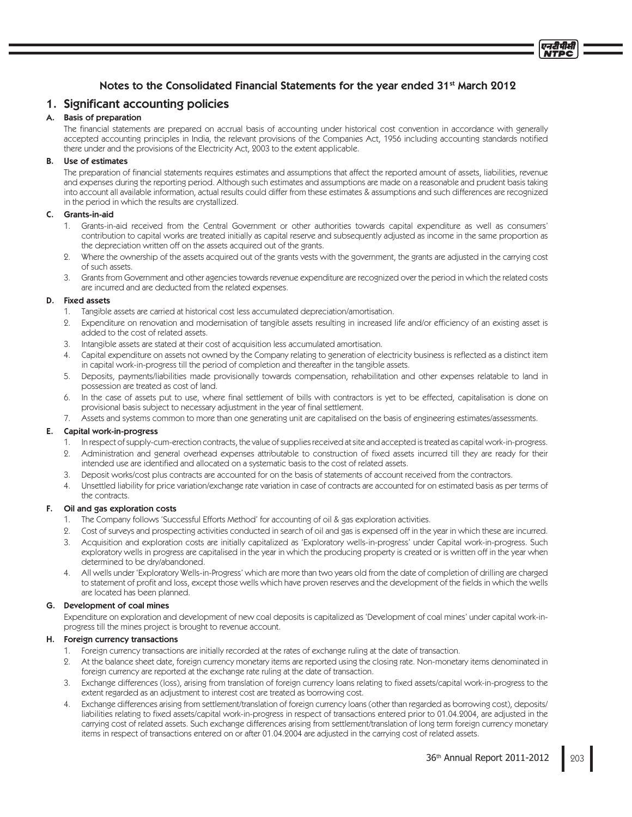# Notes to the Consolidated Financial Statements for the year ended 31<sup>st</sup> March 2012

## 1. Significant accounting policies

## A. Basis of preparation

The financial statements are prepared on accrual basis of accounting under historical cost convention in accordance with generally accepted accounting principles in India, the relevant provisions of the Companies Act, 1956 including accounting standards notified there under and the provisions of the Electricity Act, 2003 to the extent applicable.

## B. Use of estimates

The preparation of financial statements requires estimates and assumptions that affect the reported amount of assets, liabilities, revenue and expenses during the reporting period. Although such estimates and assumptions are made on a reasonable and prudent basis taking into account all available information, actual results could differ from these estimates & assumptions and such differences are recognized in the period in which the results are crystallized.

## C. Grants-in-aid

- 1. Grants-in-aid received from the Central Government or other authorities towards capital expenditure as well as consumers' contribution to capital works are treated initially as capital reserve and subsequently adjusted as income in the same proportion as the depreciation written off on the assets acquired out of the grants.
- 2. Where the ownership of the assets acquired out of the grants vests with the government, the grants are adjusted in the carrying cost of such assets.
- 3. Grants from Government and other agencies towards revenue expenditure are recognized over the period in which the related costs are incurred and are deducted from the related expenses.

## D. Fixed assets

- 1. Tangible assets are carried at historical cost less accumulated depreciation/amortisation.
- 2. Expenditure on renovation and modernisation of tangible assets resulting in increased life and/or efficiency of an existing asset is added to the cost of related assets.
- 3. Intangible assets are stated at their cost of acquisition less accumulated amortisation.
- 4. Capital expenditure on assets not owned by the Company relating to generation of electricity business is reflected as a distinct item in capital work-in-progress till the period of completion and thereafter in the tangible assets.
- 5. Deposits, payments/liabilities made provisionally towards compensation, rehabilitation and other expenses relatable to land in possession are treated as cost of land.
- 6. In the case of assets put to use, where final settlement of bills with contractors is yet to be effected, capitalisation is done on provisional basis subject to necessary adjustment in the year of final settlement.
- 7. Assets and systems common to more than one generating unit are capitalised on the basis of engineering estimates/assessments.

## E. Capital work-in-progress

- 1. In respect of supply-cum-erection contracts, the value of supplies received at site and accepted is treated as capital work-in-progress.
- 2. Administration and general overhead expenses attributable to construction of fixed assets incurred till they are ready for their intended use are identified and allocated on a systematic basis to the cost of related assets.
- 3. Deposit works/cost plus contracts are accounted for on the basis of statements of account received from the contractors.
- 4. Unsettled liability for price variation/exchange rate variation in case of contracts are accounted for on estimated basis as per terms of the contracts.

## F. Oil and gas exploration costs

- 1. The Company follows 'Successful Efforts Method' for accounting of oil & gas exploration activities.
- 2. Cost of surveys and prospecting activities conducted in search of oil and gas is expensed off in the year in which these are incurred.
- 3. Acquisition and exploration costs are initially capitalized as 'Exploratory wells-in-progress' under Capital work-in-progress. Such exploratory wells in progress are capitalised in the year in which the producing property is created or is written off in the year when determined to be dry/abandoned.
- 4. All wells under 'Exploratory Wells-in-Progress' which are more than two years old from the date of completion of drilling are charged to statement of profit and loss, except those wells which have proven reserves and the development of the fields in which the wells are located has been planned.

## G. Development of coal mines

 Expenditure on exploration and development of new coal deposits is capitalized as 'Development of coal mines' under capital work-inprogress till the mines project is brought to revenue account.

## H. Foreign currency transactions

- 1. Foreign currency transactions are initially recorded at the rates of exchange ruling at the date of transaction.
- 2. At the balance sheet date, foreign currency monetary items are reported using the closing rate. Non-monetary items denominated in foreign currency are reported at the exchange rate ruling at the date of transaction.
- 3. Exchange differences (loss), arising from translation of foreign currency loans relating to fixed assets/capital work-in-progress to the extent regarded as an adjustment to interest cost are treated as borrowing cost.
- 4. Exchange differences arising from settlement/translation of foreign currency loans (other than regarded as borrowing cost), deposits/ liabilities relating to fixed assets/capital work-in-progress in respect of transactions entered prior to 01.04.2004, are adjusted in the carrying cost of related assets. Such exchange differences arising from settlement/translation of long term foreign currency monetary items in respect of transactions entered on or after 01.04.2004 are adjusted in the carrying cost of related assets.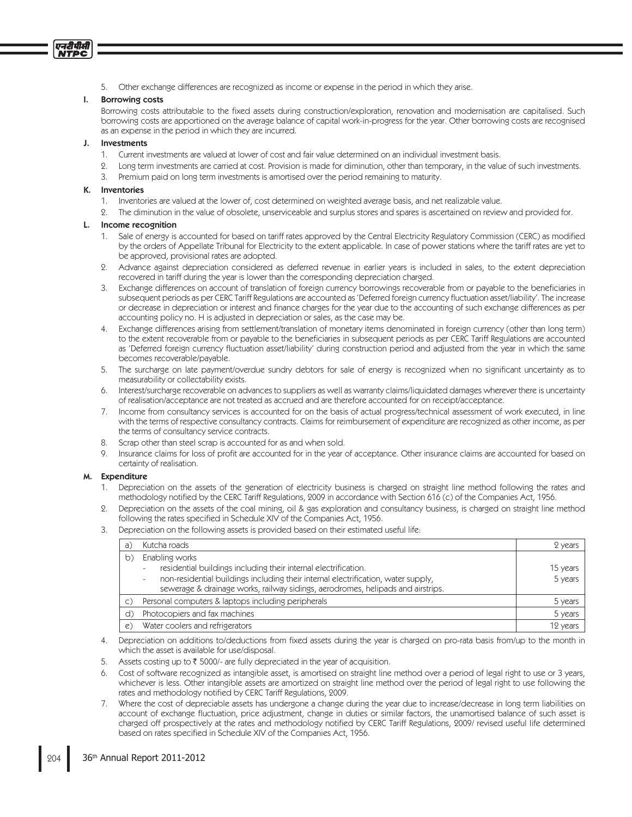5. Other exchange differences are recognized as income or expense in the period in which they arise.

## I. Borrowing costs

एनटीपीसी **VTPC** 

> Borrowing costs attributable to the fixed assets during construction/exploration, renovation and modernisation are capitalised. Such borrowing costs are apportioned on the average balance of capital work-in-progress for the year. Other borrowing costs are recognised as an expense in the period in which they are incurred.

## J. Investments

- 1. Current investments are valued at lower of cost and fair value determined on an individual investment basis.
- 2. Long term investments are carried at cost. Provision is made for diminution, other than temporary, in the value of such investments.
- 3. Premium paid on long term investments is amortised over the period remaining to maturity.

## K. Inventories

- 1. Inventories are valued at the lower of, cost determined on weighted average basis, and net realizable value.
- 2. The diminution in the value of obsolete, unserviceable and surplus stores and spares is ascertained on review and provided for.

## L. Income recognition

- 1. Sale of energy is accounted for based on tariff rates approved by the Central Electricity Regulatory Commission (CERC) as modified by the orders of Appellate Tribunal for Electricity to the extent applicable. In case of power stations where the tariff rates are yet to be approved, provisional rates are adopted.
- 2. Advance against depreciation considered as deferred revenue in earlier years is included in sales, to the extent depreciation recovered in tariff during the year is lower than the corresponding depreciation charged.
- Exchange differences on account of translation of foreign currency borrowings recoverable from or payable to the beneficiaries in subsequent periods as per CERC Tariff Regulations are accounted as 'Deferred foreign currency fluctuation asset/liability'. The increase or decrease in depreciation or interest and finance charges for the year due to the accounting of such exchange differences as per accounting policy no. H is adjusted in depreciation or sales, as the case may be.
- 4. Exchange differences arising from settlement/translation of monetary items denominated in foreign currency (other than long term) to the extent recoverable from or payable to the beneficiaries in subsequent periods as per CERC Tariff Regulations are accounted as 'Deferred foreign currency fluctuation asset/liability' during construction period and adjusted from the year in which the same becomes recoverable/payable.
- 5. The surcharge on late payment/overdue sundry debtors for sale of energy is recognized when no significant uncertainty as to measurability or collectability exists.
- 6. Interest/surcharge recoverable on advances to suppliers as well as warranty claims/liquidated damages wherever there is uncertainty of realisation/acceptance are not treated as accrued and are therefore accounted for on receipt/acceptance.
- 7. Income from consultancy services is accounted for on the basis of actual progress/technical assessment of work executed, in line with the terms of respective consultancy contracts. Claims for reimbursement of expenditure are recognized as other income, as per the terms of consultancy service contracts.
- 8. Scrap other than steel scrap is accounted for as and when sold.
- 9. Insurance claims for loss of profit are accounted for in the year of acceptance. Other insurance claims are accounted for based on certainty of realisation.

## M. Expenditure

- 1. Depreciation on the assets of the generation of electricity business is charged on straight line method following the rates and methodology notified by the CERC Tariff Regulations, 2009 in accordance with Section 616 (c) of the Companies Act, 1956.
- Depreciation on the assets of the coal mining, oil & gas exploration and consultancy business, is charged on straight line method following the rates specified in Schedule XIV of the Companies Act, 1956.
- 3. Depreciation on the following assets is provided based on their estimated useful life:

| a)             | Kutcha roads                                                                                                                                                                                                                                                                                                      | 2 years             |
|----------------|-------------------------------------------------------------------------------------------------------------------------------------------------------------------------------------------------------------------------------------------------------------------------------------------------------------------|---------------------|
| b)             | Enabling works<br>residential buildings including their internal electrification.<br>$\overline{\phantom{a}}$<br>non-residential buildings including their internal electrification, water supply,<br>$\overline{\phantom{0}}$<br>sewerage & drainage works, railway sidings, aerodromes, helipads and airstrips. | 15 years<br>5 years |
| $\mathsf{C}$ ) | Personal computers & laptops including peripherals                                                                                                                                                                                                                                                                | 5 years             |
| d)             | Photocopiers and fax machines                                                                                                                                                                                                                                                                                     | 5 years             |
| $\mathcal{C}$  | Water coolers and refrigerators                                                                                                                                                                                                                                                                                   | 12 years            |

- 4. Depreciation on additions to/deductions from fixed assets during the year is charged on pro-rata basis from/up to the month in which the asset is available for use/disposal.
- 5. Assets costing up to  $\bar{\tau}$  5000/- are fully depreciated in the year of acquisition.
- 6. Cost of software recognized as intangible asset, is amortised on straight line method over a period of legal right to use or 3 years, whichever is less. Other intangible assets are amortized on straight line method over the period of legal right to use following the rates and methodology notified by CERC Tariff Regulations, 2009.
- 7. Where the cost of depreciable assets has undergone a change during the year due to increase/decrease in long term liabilities on account of exchange fluctuation, price adjustment, change in duties or similar factors, the unamortised balance of such asset is charged off prospectively at the rates and methodology notified by CERC Tariff Regulations, 2009/ revised useful life determined based on rates specified in Schedule XIV of the Companies Act, 1956.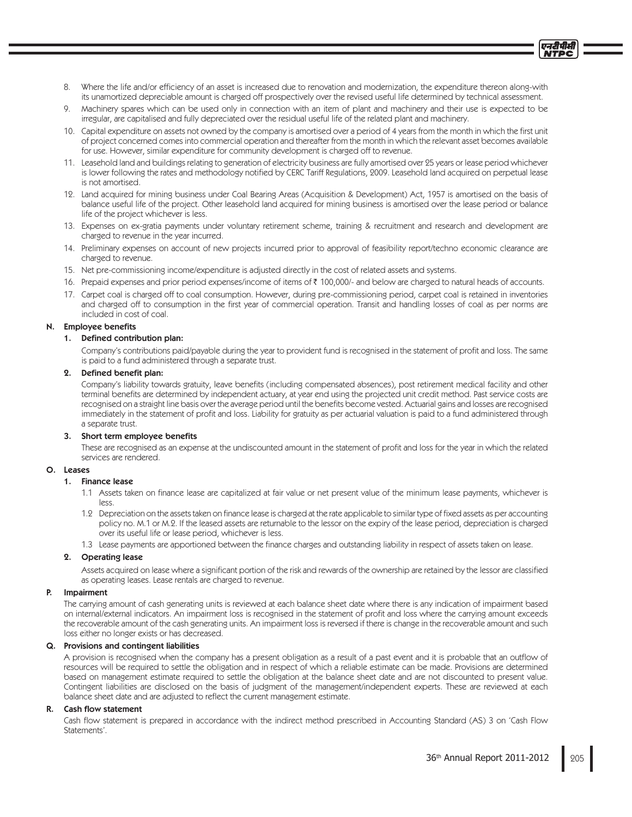- 8. Where the life and/or efficiency of an asset is increased due to renovation and modernization, the expenditure thereon along-with its unamortized depreciable amount is charged off prospectively over the revised useful life determined by technical assessment.
- 9. Machinery spares which can be used only in connection with an item of plant and machinery and their use is expected to be irregular, are capitalised and fully depreciated over the residual useful life of the related plant and machinery.
- 10. Capital expenditure on assets not owned by the company is amortised over a period of 4 years from the month in which the first unit of project concerned comes into commercial operation and thereafter from the month in which the relevant asset becomes available for use. However, similar expenditure for community development is charged off to revenue.
- 11. Leasehold land and buildings relating to generation of electricity business are fully amortised over 25 years or lease period whichever is lower following the rates and methodology notified by CERC Tariff Regulations, 2009. Leasehold land acquired on perpetual lease is not amortised.
- 12. Land acquired for mining business under Coal Bearing Areas (Acquisition & Development) Act, 1957 is amortised on the basis of balance useful life of the project. Other leasehold land acquired for mining business is amortised over the lease period or balance life of the project whichever is less.
- 13. Expenses on ex-gratia payments under voluntary retirement scheme, training & recruitment and research and development are charged to revenue in the year incurred.
- 14. Preliminary expenses on account of new projects incurred prior to approval of feasibility report/techno economic clearance are charged to revenue.
- 15. Net pre-commissioning income/expenditure is adjusted directly in the cost of related assets and systems.
- 16. Prepaid expenses and prior period expenses/income of items of ₹ 100,000/- and below are charged to natural heads of accounts.
- 17. Carpet coal is charged off to coal consumption. However, during pre-commissioning period, carpet coal is retained in inventories and charged off to consumption in the first year of commercial operation. Transit and handling losses of coal as per norms are included in cost of coal.

#### N. Employee benefits

#### 1. Defined contribution plan:

Company's contributions paid/payable during the year to provident fund is recognised in the statement of profit and loss. The same is paid to a fund administered through a separate trust.

#### 2. Defined benefit plan:

Company's liability towards gratuity, leave benefits (including compensated absences), post retirement medical facility and other terminal benefits are determined by independent actuary, at year end using the projected unit credit method. Past service costs are recognised on a straight line basis over the average period until the benefits become vested. Actuarial gains and losses are recognised immediately in the statement of profit and loss. Liability for gratuity as per actuarial valuation is paid to a fund administered through a separate trust.

#### 3. Short term employee benefits

These are recognised as an expense at the undiscounted amount in the statement of profit and loss for the year in which the related services are rendered.

#### O. Leases

#### 1. Finance lease

- 1.1 Assets taken on finance lease are capitalized at fair value or net present value of the minimum lease payments, whichever is less.
- 1.2 Depreciation on the assets taken on finance lease is charged at the rate applicable to similar type of fixed assets as per accounting policy no. M.1 or M.2. If the leased assets are returnable to the lessor on the expiry of the lease period, depreciation is charged over its useful life or lease period, whichever is less.

1.3 Lease payments are apportioned between the finance charges and outstanding liability in respect of assets taken on lease.

### 2. Operating lease

Assets acquired on lease where a significant portion of the risk and rewards of the ownership are retained by the lessor are classified as operating leases. Lease rentals are charged to revenue.

#### P. Impairment

 The carrying amount of cash generating units is reviewed at each balance sheet date where there is any indication of impairment based on internal/external indicators. An impairment loss is recognised in the statement of profit and loss where the carrying amount exceeds the recoverable amount of the cash generating units. An impairment loss is reversed if there is change in the recoverable amount and such loss either no longer exists or has decreased.

## Q. Provisions and contingent liabilities

A provision is recognised when the company has a present obligation as a result of a past event and it is probable that an outflow of resources will be required to settle the obligation and in respect of which a reliable estimate can be made. Provisions are determined based on management estimate required to settle the obligation at the balance sheet date and are not discounted to present value. Contingent liabilities are disclosed on the basis of judgment of the management/independent experts. These are reviewed at each balance sheet date and are adjusted to reflect the current management estimate.

#### R. Cash flow statement

Cash flow statement is prepared in accordance with the indirect method prescribed in Accounting Standard (AS) 3 on 'Cash Flow Statements'.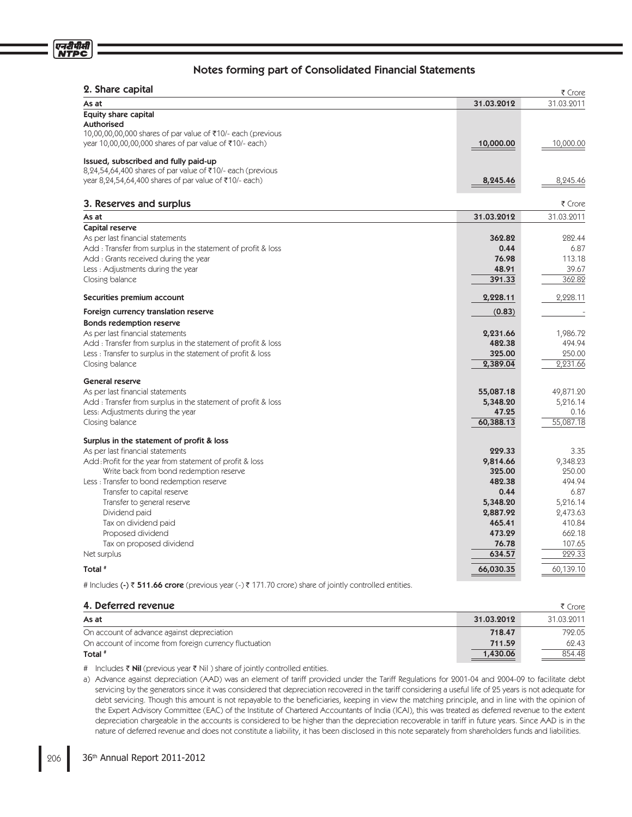| 2. Share capital                                              |            | ₹ Crore    |
|---------------------------------------------------------------|------------|------------|
| As at                                                         | 31.03.2012 | 31.03.2011 |
| <b>Equity share capital</b>                                   |            |            |
| <b>Authorised</b>                                             |            |            |
| 10,00,00,00,000 shares of par value of ₹10/- each (previous   |            |            |
| year 10,00,00,00,000 shares of par value of ₹10/- each)       | 10,000.00  | 10,000.00  |
| Issued, subscribed and fully paid-up                          |            |            |
| 8,24,54,64,400 shares of par value of ₹10/- each (previous    |            |            |
| year 8,24,54,64,400 shares of par value of ₹10/- each)        | 8,245.46   | 8,245.46   |
| 3. Reserves and surplus                                       |            | ₹ Crore    |
| As at                                                         | 31.03.2012 | 31.03.2011 |
| Capital reserve                                               |            |            |
| As per last financial statements                              | 362.82     | 282.44     |
| Add: Transfer from surplus in the statement of profit & loss  | 0.44       | 6.87       |
| Add: Grants received during the year                          | 76.98      | 113.18     |
| Less: Adjustments during the year                             | 48.91      | 39.67      |
| Closing balance                                               | 391.33     | 362.82     |
| Securities premium account                                    | 2,228.11   | 2,228.11   |
| Foreign currency translation reserve                          | (0.83)     |            |
| <b>Bonds redemption reserve</b>                               |            |            |
| As per last financial statements                              | 2,231.66   | 1,986.72   |
| Add : Transfer from surplus in the statement of profit & loss | 482.38     | 494.94     |
| Less: Transfer to surplus in the statement of profit & loss   | 325.00     | 250.00     |
| Closing balance                                               | 2,389.04   | 2,231.66   |
| <b>General reserve</b>                                        |            |            |
| As per last financial statements                              | 55,087.18  | 49,871.20  |
| Add : Transfer from surplus in the statement of profit & loss | 5,348.20   | 5,216.14   |
| Less: Adjustments during the year                             | 47.25      | 0.16       |
| Closing balance                                               | 60,388.13  | 55,087.18  |
| Surplus in the statement of profit & loss                     |            |            |
| As per last financial statements                              | 229.33     | 3.35       |
| Add: Profit for the year from statement of profit & loss      | 9,814.66   | 9,348.23   |
| Write back from bond redemption reserve                       | 325.00     | 250.00     |
| Less: Transfer to bond redemption reserve                     | 482.38     | 494.94     |
| Transfer to capital reserve                                   | 0.44       | 6.87       |
| Transfer to general reserve                                   | 5,348.20   | 5,216.14   |
| Dividend paid                                                 | 2,887.92   | 2,473.63   |
| Tax on dividend paid                                          | 465.41     | 410.84     |
| Proposed dividend                                             | 473.29     | 662.18     |
| Tax on proposed dividend                                      | 76.78      | 107.65     |
| Net surplus                                                   | 634.57     | 229.33     |
| Total #                                                       | 66,030.35  | 60,139.10  |

# Includes (-) ₹ 511.66 crore (previous year (-) ₹ 171.70 crore) share of jointly controlled entities.

## 4. Deferred revenue

| 4. Deferred revenue                                    |            | ₹ Crore    |
|--------------------------------------------------------|------------|------------|
| As at                                                  | 31.03.2012 | 31.03.2011 |
| On account of advance against depreciation             | 718.47     | 792.05     |
| On account of income from foreign currency fluctuation | 711.59     | 62.43      |
| Total <sup>#</sup>                                     | 1,430.06   | 854.48     |

# Includes Nil (previous year Nil ) share of jointly controlled entities.

a) Advance against depreciation (AAD) was an element of tariff provided under the Tariff Regulations for 2001-04 and 2004-09 to facilitate debt servicing by the generators since it was considered that depreciation recovered in the tariff considering a useful life of 25 years is not adequate for debt servicing. Though this amount is not repayable to the beneficiaries, keeping in view the matching principle, and in line with the opinion of the Expert Advisory Committee (EAC) of the Institute of Chartered Accountants of India (ICAI), this was treated as deferred revenue to the extent depreciation chargeable in the accounts is considered to be higher than the depreciation recoverable in tariff in future years. Since AAD is in the nature of deferred revenue and does not constitute a liability, it has been disclosed in this note separately from shareholders funds and liabilities.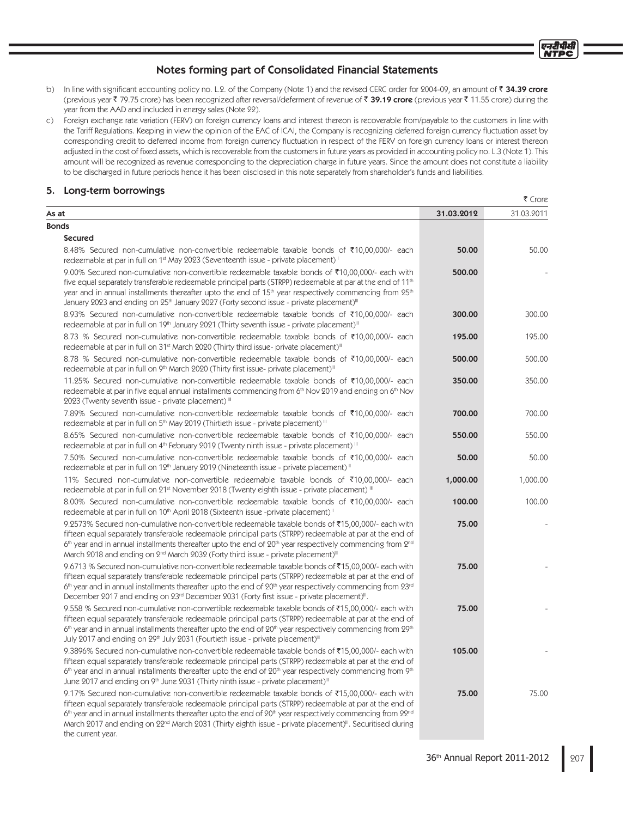- b) In line with significant accounting policy no. L.2. of the Company (Note 1) and the revised CERC order for 2004-09, an amount of ₹ 34.39 crore (previous year ₹ 79.75 crore) has been recognized after reversal/deferment of revenue of ₹ **39.19 crore** (previous year ₹ 11.55 crore) during the year from the AAD and included in energy sales (Note 22).
- c) Foreign exchange rate variation (FERV) on foreign currency loans and interest thereon is recoverable from/payable to the customers in line with the Tariff Regulations. Keeping in view the opinion of the EAC of ICAI, the Company is recognizing deferred foreign currency fluctuation asset by corresponding credit to deferred income from foreign currency fluctuation in respect of the FERV on foreign currency loans or interest thereon adjusted in the cost of fixed assets, which is recoverable from the customers in future years as provided in accounting policy no. L.3 (Note 1). This amount will be recognized as revenue corresponding to the depreciation charge in future years. Since the amount does not constitute a liability to be discharged in future periods hence it has been disclosed in this note separately from shareholder's funds and liabilities.

## 5. Long-term borrowings

the current year.

|                                                                                                                                                                                                                                                                                                                                                                                                                                                                                                     |            | S UNE      |
|-----------------------------------------------------------------------------------------------------------------------------------------------------------------------------------------------------------------------------------------------------------------------------------------------------------------------------------------------------------------------------------------------------------------------------------------------------------------------------------------------------|------------|------------|
| As at                                                                                                                                                                                                                                                                                                                                                                                                                                                                                               | 31.03.2012 | 31.03.2011 |
| <b>Bonds</b>                                                                                                                                                                                                                                                                                                                                                                                                                                                                                        |            |            |
| <b>Secured</b>                                                                                                                                                                                                                                                                                                                                                                                                                                                                                      |            |            |
| 8.48% Secured non-cumulative non-convertible redeemable taxable bonds of ₹10,00,000/- each<br>redeemable at par in full on 1 <sup>st</sup> May 2023 (Seventeenth issue - private placement) <sup>1</sup>                                                                                                                                                                                                                                                                                            | 50.00      | 50.00      |
| 9.00% Secured non-cumulative non-convertible redeemable taxable bonds of ₹10,00,000/- each with<br>five equal separately transferable redeemable principal parts (STRPP) redeemable at par at the end of 11 <sup>th</sup><br>year and in annual installments thereafter upto the end of 15 <sup>th</sup> year respectively commencing from 25 <sup>th</sup><br>January 2023 and ending on 25 <sup>th</sup> January 2027 (Forty second issue - private placement) <sup>III</sup>                     | 500.00     |            |
| 8.93% Secured non-cumulative non-convertible redeemable taxable bonds of ₹10,00,000/- each<br>redeemable at par in full on 19 <sup>th</sup> January 2021 (Thirty seventh issue - private placement) <sup>III</sup>                                                                                                                                                                                                                                                                                  | 300.00     | 300.00     |
| 8.73 % Secured non-cumulative non-convertible redeemable taxable bonds of ₹10,00,000/- each<br>redeemable at par in full on 31 <sup>st</sup> March 2020 (Thirty third issue- private placement) <sup>III</sup>                                                                                                                                                                                                                                                                                      | 195.00     | 195.00     |
| 8.78 % Secured non-cumulative non-convertible redeemable taxable bonds of ₹10,00,000/- each<br>redeemable at par in full on 9 <sup>th</sup> March 2020 (Thirty first issue- private placement) <sup>III</sup>                                                                                                                                                                                                                                                                                       | 500.00     | 500.00     |
| 11.25% Secured non-cumulative non-convertible redeemable taxable bonds of ₹10,00,000/- each<br>redeemable at par in five equal annual installments commencing from 6 <sup>th</sup> Nov 2019 and ending on 6 <sup>th</sup> Nov<br>2023 (Twenty seventh issue - private placement) III                                                                                                                                                                                                                | 350.00     | 350.00     |
| 7.89% Secured non-cumulative non-convertible redeemable taxable bonds of ₹10,00,000/- each<br>redeemable at par in full on 5 <sup>th</sup> May 2019 (Thirtieth issue - private placement) III                                                                                                                                                                                                                                                                                                       | 700.00     | 700.00     |
| 8.65% Secured non-cumulative non-convertible redeemable taxable bonds of ₹10,00,000/- each<br>redeemable at par in full on 4 <sup>th</sup> February 2019 (Twenty ninth issue - private placement) III                                                                                                                                                                                                                                                                                               | 550.00     | 550.00     |
| 7.50% Secured non-cumulative non-convertible redeemable taxable bonds of ₹10,00,000/- each<br>redeemable at par in full on 12 <sup>th</sup> January 2019 (Nineteenth issue - private placement) "                                                                                                                                                                                                                                                                                                   | 50.00      | 50.00      |
| 11% Secured non-cumulative non-convertible redeemable taxable bonds of ₹10,00,000/- each<br>redeemable at par in full on 21 <sup>st</sup> November 2018 (Twenty eighth issue - private placement) "                                                                                                                                                                                                                                                                                                 | 1,000.00   | 1,000.00   |
| 8.00% Secured non-cumulative non-convertible redeemable taxable bonds of ₹10,00,000/- each<br>redeemable at par in full on 10 <sup>th</sup> April 2018 (Sixteenth issue -private placement) <sup>1</sup>                                                                                                                                                                                                                                                                                            | 100.00     | 100.00     |
| 9.2573% Secured non-cumulative non-convertible redeemable taxable bonds of ₹15,00,000/- each with<br>fifteen equal separately transferable redeemable principal parts (STRPP) redeemable at par at the end of<br>$6th$ year and in annual installments thereafter upto the end of $20th$ year respectively commencing from $2nd$<br>March 2018 and ending on 2 <sup>nd</sup> March 2032 (Forty third issue - private placement) <sup>III</sup>                                                      | 75.00      |            |
| 9.6713 % Secured non-cumulative non-convertible redeemable taxable bonds of ₹15,00,000/- each with<br>fifteen equal separately transferable redeemable principal parts (STRPP) redeemable at par at the end of<br>6th year and in annual installments thereafter upto the end of 20th year respectively commencing from 23rd<br>December 2017 and ending on 23 <sup>rd</sup> December 2031 (Forty first issue - private placement) <sup>III</sup> .                                                 | 75.00      |            |
| 9.558 % Secured non-cumulative non-convertible redeemable taxable bonds of ₹15,00,000/- each with<br>fifteen equal separately transferable redeemable principal parts (STRPP) redeemable at par at the end of<br>$6th$ year and in annual installments thereafter upto the end of $20th$ year respectively commencing from $29th$<br>July 2017 and ending on 29th July 2031 (Fourtieth issue - private placement) <sup>III</sup>                                                                    | 75.00      |            |
| 9.3896% Secured non-cumulative non-convertible redeemable taxable bonds of ₹15,00,000/- each with<br>fifteen equal separately transferable redeemable principal parts (STRPP) redeemable at par at the end of<br>$6th$ year and in annual installments thereafter upto the end of $20th$ year respectively commencing from $9th$<br>June 2017 and ending on 9th June 2031 (Thirty ninth issue - private placement) <sup>III</sup>                                                                   | 105.00     |            |
| 9.17% Secured non-cumulative non-convertible redeemable taxable bonds of ₹15,00,000/- each with<br>fifteen equal separately transferable redeemable principal parts (STRPP) redeemable at par at the end of<br>6 <sup>th</sup> year and in annual installments thereafter upto the end of 20 <sup>th</sup> year respectively commencing from 22 <sup>nd</sup><br>March 2017 and ending on 22 <sup>nd</sup> March 2031 (Thirty eighth issue - private placement) <sup>III</sup> . Securitised during | 75.00      | 75.00      |

 $F$ Crore

एनटीपीसी **NTPC**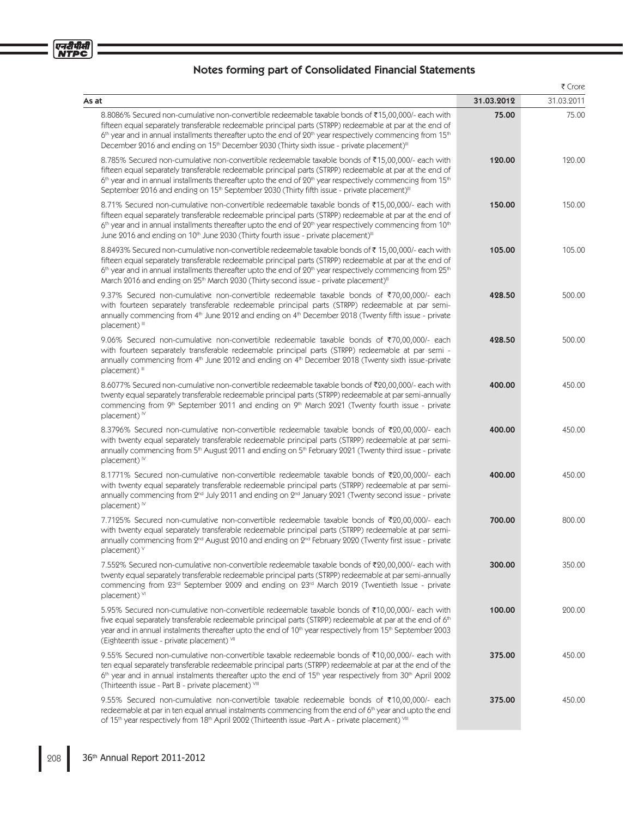|                                                                                                                                                                                                                                                                                                                                                                                                                                                          |            | ₹ Crore    |
|----------------------------------------------------------------------------------------------------------------------------------------------------------------------------------------------------------------------------------------------------------------------------------------------------------------------------------------------------------------------------------------------------------------------------------------------------------|------------|------------|
| As at                                                                                                                                                                                                                                                                                                                                                                                                                                                    | 31.03.2012 | 31.03.2011 |
| 8.8086% Secured non-cumulative non-convertible redeemable taxable bonds of ₹15,00,000/- each with<br>fifteen equal separately transferable redeemable principal parts (STRPP) redeemable at par at the end of<br>6th year and in annual installments thereafter upto the end of 20th year respectively commencing from 15th<br>December 2016 and ending on 15 <sup>th</sup> December 2030 (Thirty sixth issue - private placement) <sup>III</sup>        | 75.00      | 75.00      |
| 8.785% Secured non-cumulative non-convertible redeemable taxable bonds of ₹15,00,000/- each with<br>fifteen equal separately transferable redeemable principal parts (STRPP) redeemable at par at the end of<br>6th year and in annual installments thereafter upto the end of 20th year respectively commencing from 15th<br>September 2016 and ending on 15 <sup>th</sup> September 2030 (Thirty fifth issue - private placement) <sup>III</sup>       | 120.00     | 120.00     |
| 8.71% Secured non-cumulative non-convertible redeemable taxable bonds of ₹15,00,000/- each with<br>fifteen equal separately transferable redeemable principal parts (STRPP) redeemable at par at the end of<br>$6th$ year and in annual installments thereafter upto the end of $20th$ year respectively commencing from 10 <sup>th</sup><br>June 2016 and ending on 10 <sup>th</sup> June 2030 (Thirty fourth issue - private placement) <sup>III</sup> | 150.00     | 150.00     |
| 8.8493% Secured non-cumulative non-convertible redeemable taxable bonds of ₹15,00,000/- each with<br>fifteen equal separately transferable redeemable principal parts (STRPP) redeemable at par at the end of<br>6th year and in annual installments thereafter upto the end of 20th year respectively commencing from 25th<br>March 2016 and ending on 25 <sup>th</sup> March 2030 (Thirty second issue - private placement) <sup>III</sup>             | 105.00     | 105.00     |
| 9.37% Secured non-cumulative non-convertible redeemable taxable bonds of ₹70,00,000/- each<br>with fourteen separately transferable redeemable principal parts (STRPP) redeemable at par semi-<br>annually commencing from 4th June 2012 and ending on 4th December 2018 (Twenty fifth issue - private<br>placement) <sup>III</sup>                                                                                                                      | 428.50     | 500.00     |
| 9.06% Secured non-cumulative non-convertible redeemable taxable bonds of ₹70,00,000/- each<br>with fourteen separately transferable redeemable principal parts (STRPP) redeemable at par semi -<br>annually commencing from 4th June 2012 and ending on 4th December 2018 (Twenty sixth issue-private<br>placement) <sup>III</sup>                                                                                                                       | 428.50     | 500.00     |
| 8.6077% Secured non-cumulative non-convertible redeemable taxable bonds of ₹20,00,000/- each with<br>twenty equal separately transferable redeemable principal parts (STRPP) redeemable at par semi-annually<br>commencing from 9th September 2011 and ending on 9th March 2021 (Twenty fourth issue - private<br>placement) <sup>1V</sup>                                                                                                               | 400.00     | 450.00     |
| 8.3796% Secured non-cumulative non-convertible redeemable taxable bonds of ₹20,00,000/- each<br>with twenty equal separately transferable redeemable principal parts (STRPP) redeemable at par semi-<br>annually commencing from 5 <sup>th</sup> August 2011 and ending on 5 <sup>th</sup> February 2021 (Twenty third issue - private<br>placement) <sup>™</sup>                                                                                        | 400.00     | 450.00     |
| 8.1771% Secured non-cumulative non-convertible redeemable taxable bonds of ₹20,00,000/- each<br>with twenty equal separately transferable redeemable principal parts (STRPP) redeemable at par semi-<br>annually commencing from 2 <sup>nd</sup> July 2011 and ending on 2 <sup>nd</sup> January 2021 (Twenty second issue - private<br>placement) $\mathbb{V}$                                                                                          | 400.00     | 450.00     |
| 7.7125% Secured non-cumulative non-convertible redeemable taxable bonds of ₹20,00,000/- each<br>with twenty equal separately transferable redeemable principal parts (STRPP) redeemable at par semi-<br>annually commencing from 2 <sup>nd</sup> August 2010 and ending on 2 <sup>nd</sup> February 2020 (Twenty first issue - private<br>placement) v                                                                                                   | 700.00     | 800.00     |
| 7.552% Secured non-cumulative non-convertible redeemable taxable bonds of ₹20,00,000/- each with<br>twenty equal separately transferable redeemable principal parts (STRPP) redeemable at par semi-annually<br>commencing from 23 <sup>rd</sup> September 2009 and ending on 23 <sup>rd</sup> March 2019 (Twentieth Issue - private<br>placement) VI                                                                                                     | 300.00     | 350.00     |
| 5.95% Secured non-cumulative non-convertible redeemable taxable bonds of ₹10,00,000/- each with<br>five equal separately transferable redeemable principal parts (STRPP) redeemable at par at the end of 6th<br>year and in annual instalments thereafter upto the end of 10 <sup>th</sup> year respectively from 15 <sup>th</sup> September 2003<br>(Eighteenth issue - private placement) VII                                                          | 100.00     | 200.00     |
| 9.55% Secured non-cumulative non-convertible taxable redeemable bonds of ₹10,00,000/- each with<br>ten equal separately transferable redeemable principal parts (STRPP) redeemable at par at the end of the<br>6 <sup>th</sup> year and in annual instalments thereafter upto the end of 15 <sup>th</sup> year respectively from 30 <sup>th</sup> April 2002<br>(Thirteenth issue - Part B - private placement) VIII                                     | 375.00     | 450.00     |
| 9.55% Secured non-cumulative non-convertible taxable redeemable bonds of ₹10,00,000/- each<br>redeemable at par in ten equal annual instalments commencing from the end of 6th year and upto the end<br>of 15th year respectively from 18th April 2002 (Thirteenth issue -Part A - private placement) VIII                                                                                                                                               | 375.00     | 450.00     |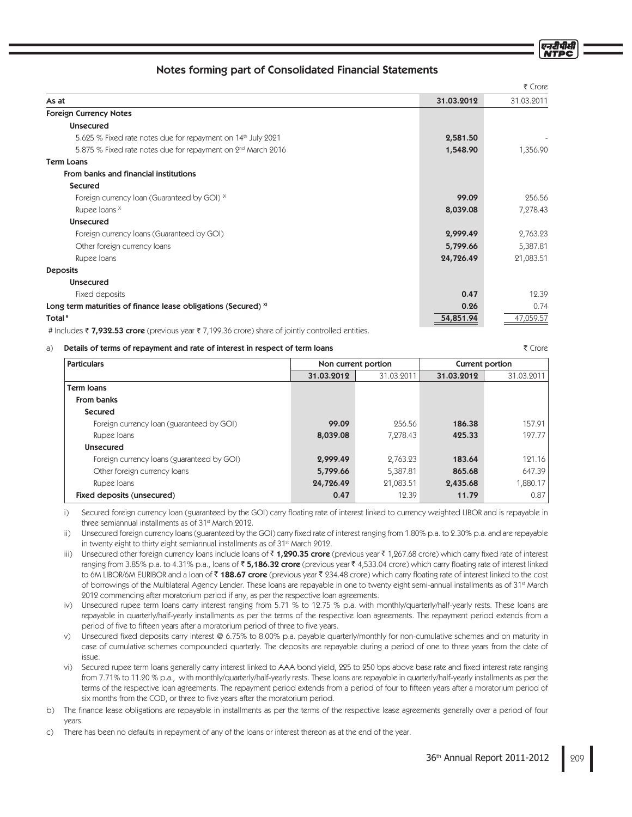₹ Crore

## Notes forming part of Consolidated Financial Statements

|                                                                          |            | ₹ Crore    |
|--------------------------------------------------------------------------|------------|------------|
| As at                                                                    | 31.03.2012 | 31.03.2011 |
| <b>Foreign Currency Notes</b>                                            |            |            |
| <b>Unsecured</b>                                                         |            |            |
| 5.625 % Fixed rate notes due for repayment on 14 <sup>th</sup> July 2021 | 2,581.50   |            |
| 5.875 % Fixed rate notes due for repayment on 2 <sup>nd</sup> March 2016 | 1,548.90   | 1,356.90   |
| <b>Term Loans</b>                                                        |            |            |
| From banks and financial institutions                                    |            |            |
| <b>Secured</b>                                                           |            |            |
| Foreign currency loan (Guaranteed by GOI) K                              | 99.09      | 256.56     |
| Rupee loans ×                                                            | 8,039.08   | 7,278.43   |
| <b>Unsecured</b>                                                         |            |            |
| Foreign currency loans (Guaranteed by GOI)                               | 2,999.49   | 2,763.23   |
| Other foreign currency loans                                             | 5,799.66   | 5,387.81   |
| Rupee Ioans                                                              | 24,726.49  | 21,083.51  |
| <b>Deposits</b>                                                          |            |            |
| <b>Unsecured</b>                                                         |            |            |
| Fixed deposits                                                           | 0.47       | 12.39      |
| Long term maturities of finance lease obligations (Secured) XI           | 0.26       | 0.74       |
| Total <sup>#</sup>                                                       | 54,851.94  | 47,059.57  |

# Includes 7,932.53 crore (previous year 7,199.36 crore) share of jointly controlled entities.

#### a) Details of terms of repayment and rate of interest in respect of term loans

| <b>Particulars</b>                         | <b>Current portion</b><br>Non current portion |            |            |            |
|--------------------------------------------|-----------------------------------------------|------------|------------|------------|
|                                            | 31.03.2012                                    | 31.03.2011 | 31.03.2012 | 31.03.2011 |
| <b>Term loans</b>                          |                                               |            |            |            |
| From banks                                 |                                               |            |            |            |
| Secured                                    |                                               |            |            |            |
| Foreign currency loan (guaranteed by GOI)  | 99.09                                         | 256.56     | 186.38     | 157.91     |
| Rupee Ioans                                | 8,039.08                                      | 7.278.43   | 425.33     | 197.77     |
| <b>Unsecured</b>                           |                                               |            |            |            |
| Foreign currency loans (guaranteed by GOI) | 2,999.49                                      | 2.763.23   | 183.64     | 121.16     |
| Other foreign currency loans               | 5,799.66                                      | 5,387.81   | 865.68     | 647.39     |
| Rupee Ioans                                | 24,726.49                                     | 21,083.51  | 2,435.68   | 1,880.17   |
| Fixed deposits (unsecured)                 | 0.47                                          | 12.39      | 11.79      | 0.87       |

i) Secured foreign currency loan (guaranteed by the GOI) carry floating rate of interest linked to currency weighted LIBOR and is repayable in three semiannual installments as of 31st March 2012.

ii) Unsecured foreign currency loans (guaranteed by the GOI) carry fixed rate of interest ranging from 1.80% p.a. to 2.30% p.a. and are repayable in twenty eight to thirty eight semiannual installments as of 31<sup>st</sup> March 2012.

- iii) Unsecured other foreign currency loans include loans of ₹ **1,290.35 crore** (previous year ₹ 1,267.68 crore) which carry fixed rate of interest ranging from 3.85% p.a. to 4.31% p.a., Ioans of ₹ **5,186.32 crore** (previous year ₹ 4,533.04 crore) which carry floating rate of interest linked to 6M LIBOR/6M EURIBOR and a loan of ₹ **188.67 crore** (previous year ₹ 234.48 crore) which carry floating rate of interest linked to the cost of borrowings of the Multilateral Agency Lender. These loans are repayable in one to twenty eight semi-annual installments as of 31st March 2012 commencing after moratorium period if any, as per the respective loan agreements.
- iv) Unsecured rupee term loans carry interest ranging from 5.71 % to 12.75 % p.a. with monthly/quarterly/half-yearly rests. These loans are repayable in quarterly/half-yearly installments as per the terms of the respective loan agreements. The repayment period extends from a period of five to fifteen years after a moratorium period of three to five years.
- v) Unsecured fixed deposits carry interest @ 6.75% to 8.00% p.a. payable quarterly/monthly for non-cumulative schemes and on maturity in case of cumulative schemes compounded quarterly. The deposits are repayable during a period of one to three years from the date of issue.
- vi) Secured rupee term loans generally carry interest linked to AAA bond yield, 225 to 250 bps above base rate and fixed interest rate ranging from 7.71% to 11.20 % p.a., with monthly/quarterly/half-yearly rests. These loans are repayable in quarterly/half-yearly installments as per the terms of the respective loan agreements. The repayment period extends from a period of four to fifteen years after a moratorium period of six months from the COD, or three to five years after the moratorium period.
- b) The finance lease obligations are repayable in installments as per the terms of the respective lease agreements generally over a period of four years.

c) There has been no defaults in repayment of any of the loans or interest thereon as at the end of the year.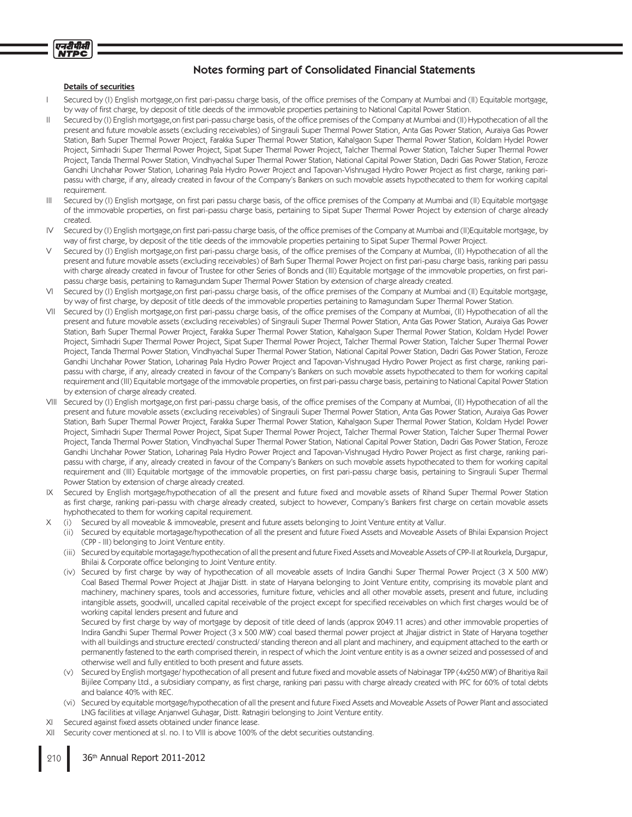

#### Details of securities

- I Secured by (I) English mortgage,on first pari-passu charge basis, of the office premises of the Company at Mumbai and (II) Equitable mortgage, by way of first charge, by deposit of title deeds of the immovable properties pertaining to National Capital Power Station.
- II Secured by (I) English mortgage,on first pari-passu charge basis, of the office premises of the Company at Mumbai and (II) Hypothecation of all the present and future movable assets (excluding receivables) of Singrauli Super Thermal Power Station, Anta Gas Power Station, Auraiya Gas Power Station, Barh Super Thermal Power Project, Farakka Super Thermal Power Station, Kahalgaon Super Thermal Power Station, Koldam Hydel Power Project, Simhadri Super Thermal Power Project, Sipat Super Thermal Power Project, Talcher Thermal Power Station, Talcher Super Thermal Power Project, Tanda Thermal Power Station, Vindhyachal Super Thermal Power Station, National Capital Power Station, Dadri Gas Power Station, Feroze Gandhi Unchahar Power Station, Loharinag Pala Hydro Power Project and Tapovan-Vishnugad Hydro Power Project as first charge, ranking paripassu with charge, if any, already created in favour of the Company's Bankers on such movable assets hypothecated to them for working capital requirement.
- III Secured by (I) English mortgage, on first pari passu charge basis, of the office premises of the Company at Mumbai and (II) Equitable mortgage of the immovable properties, on first pari-passu charge basis, pertaining to Sipat Super Thermal Power Project by extension of charge already created.
- IV Secured by (I) English mortgage,on first pari-passu charge basis, of the office premises of the Company at Mumbai and (II)Equitable mortgage, by way of first charge, by deposit of the title deeds of the immovable properties pertaining to Sipat Super Thermal Power Project.
- Secured by (I) English mortgage,on first pari-passu charge basis, of the office premises of the Company at Mumbai, (II) Hypothecation of all the present and future movable assets (excluding receivables) of Barh Super Thermal Power Project on first pari-pasu charge basis, ranking pari passu with charge already created in favour of Trustee for other Series of Bonds and (III) Equitable mortgage of the immovable properties, on first paripassu charge basis, pertaining to Ramagundam Super Thermal Power Station by extension of charge already created.
- VI Secured by (I) English mortgage,on first pari-passu charge basis, of the office premises of the Company at Mumbai and (II) Equitable mortgage, by way of first charge, by deposit of title deeds of the immovable properties pertaining to Ramagundam Super Thermal Power Station.
- VII Secured by (I) English mortgage,on first pari-passu charge basis, of the office premises of the Company at Mumbai, (II) Hypothecation of all the present and future movable assets (excluding receivables) of Singrauli Super Thermal Power Station, Anta Gas Power Station, Auraiya Gas Power Station, Barh Super Thermal Power Project, Farakka Super Thermal Power Station, Kahalgaon Super Thermal Power Station, Koldam Hydel Power Project, Simhadri Super Thermal Power Project, Sipat Super Thermal Power Project, Talcher Thermal Power Station, Talcher Super Thermal Power Project, Tanda Thermal Power Station, Vindhyachal Super Thermal Power Station, National Capital Power Station, Dadri Gas Power Station, Feroze Gandhi Unchahar Power Station, Loharinag Pala Hydro Power Project and Tapovan-Vishnugad Hydro Power Project as first charge, ranking paripassu with charge, if any, already created in favour of the Company's Bankers on such movable assets hypothecated to them for working capital requirement and (III) Equitable mortgage of the immovable properties, on first pari-passu charge basis, pertaining to National Capital Power Station by extension of charge already created.
- VIII Secured by (I) English mortgage,on first pari-passu charge basis, of the office premises of the Company at Mumbai, (II) Hypothecation of all the present and future movable assets (excluding receivables) of Singrauli Super Thermal Power Station, Anta Gas Power Station, Auraiya Gas Power Station, Barh Super Thermal Power Project, Farakka Super Thermal Power Station, Kahalgaon Super Thermal Power Station, Koldam Hydel Power Project, Simhadri Super Thermal Power Project, Sipat Super Thermal Power Project, Talcher Thermal Power Station, Talcher Super Thermal Power Project, Tanda Thermal Power Station, Vindhyachal Super Thermal Power Station, National Capital Power Station, Dadri Gas Power Station, Feroze Gandhi Unchahar Power Station, Loharinag Pala Hydro Power Project and Tapovan-Vishnugad Hydro Power Project as first charge, ranking paripassu with charge, if any, already created in favour of the Company's Bankers on such movable assets hypothecated to them for working capital requirement and (III) Equitable mortgage of the immovable properties, on first pari-passu charge basis, pertaining to Singrauli Super Thermal Power Station by extension of charge already created.
- IX Secured by English mortgage/hypothecation of all the present and future fixed and movable assets of Rihand Super Thermal Power Station as first charge, ranking pari-passu with charge already created, subject to however, Company's Bankers first charge on certain movable assets hyphothecated to them for working capital requirement.
- X (i) Secured by all moveable & immoveable, present and future assets belonging to Joint Venture entity at Vallur.
	- (ii) Secured by equitable mortagage/hypothecation of all the present and future Fixed Assets and Moveable Assets of Bhilai Expansion Project (CPP - III) belonging to Joint Venture entity.
	- (iii) Secured by equitable mortagage/hypothecation of all the present and future Fixed Assets and Moveable Assets of CPP-II at Rourkela, Durgapur, Bhilai & Corporate office belonging to Joint Venture entity.
	- (iv) Secured by first charge by way of hypothecation of all moveable assets of Indira Gandhi Super Thermal Power Project (3 X 500 MW) Coal Based Thermal Power Project at Jhajjar Distt. in state of Haryana belonging to Joint Venture entity, comprising its movable plant and machinery, machinery spares, tools and accessories, furniture fixture, vehicles and all other movable assets, present and future, including intangible assets, goodwill, uncalled capital receivable of the project except for specified receivables on which first charges would be of working capital lenders present and future and

Secured by first charge by way of mortgage by deposit of title deed of lands (approx 2049.11 acres) and other immovable properties of Indira Gandhi Super Thermal Power Project (3 x 500 MW) coal based thermal power project at Jhajjar district in State of Haryana together with all buildings and structure erected/ constructed/ standing thereon and all plant and machinery, and equipment attached to the earth or permanently fastened to the earth comprised therein, in respect of which the Joint venture entity is as a owner seized and possessed of and otherwise well and fully entitled to both present and future assets.

- (v) Secured by English mortgage/ hypothecation of all present and future fi xed and movable assets of Nabinagar TPP (4x250 MW) of Bharitiya Rail Bijilee Company Ltd., a subsidiary company, as first charge, ranking pari passu with charge already created with PFC for 60% of total debts and balance 40% with REC.
- (vi) Secured by equitable mortgage/hypothecation of all the present and future Fixed Assets and Moveable Assets of Power Plant and associated LNG facilities at village Anjanwel Guhagar, Distt. Ratnagiri belonging to Joint Venture entity.
- XI Secured against fixed assets obtained under finance lease.
- XII Security cover mentioned at sl. no. I to VIII is above 100% of the debt securities outstanding.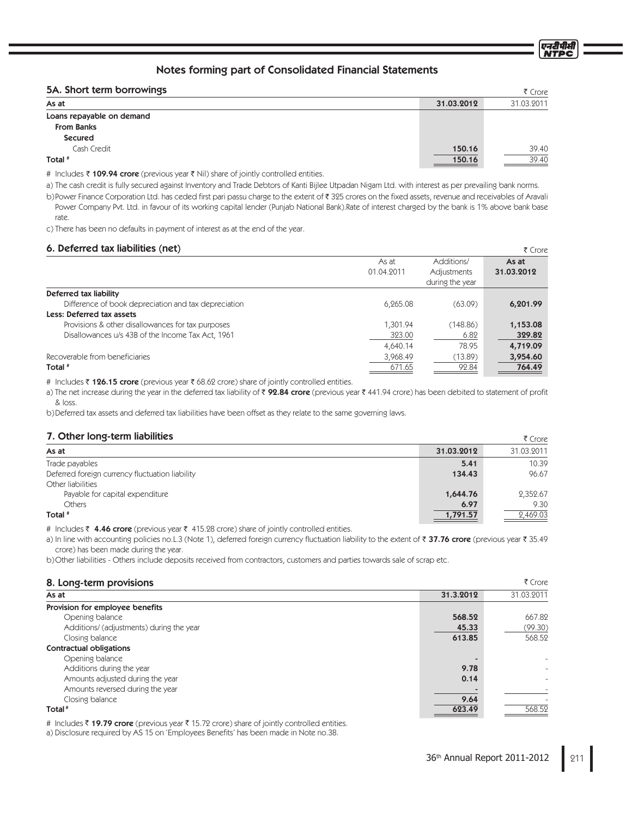## 5A. Short term borrowings

|            | ₹ Crore    |
|------------|------------|
| 31.03.2012 | 31.03.2011 |
|            |            |
|            |            |
|            |            |
| 150.16     | 39.40      |
| 150.16     | 39.40      |
|            |            |

# Includes ₹ 109.94 crore (previous year ₹ Nil) share of jointly controlled entities.

a) The cash credit is fully secured against Inventory and Trade Debtors of Kanti Bijlee Utpadan Nigam Ltd. with interest as per prevailing bank norms.

b)Power Finance Corporation Ltd. has ceded first pari passu charge to the extent of ₹ 325 crores on the fixed assets, revenue and receivables of Aravali Power Company Pvt. Ltd. in favour of its working capital lender (Punjab National Bank).Rate of interest charged by the bank is 1% above bank base rate.

c) There has been no defaults in payment of interest as at the end of the year.

## 6. Deferred tax liabilities (net)

| <b>U. Deleneu tax liabilities (fiet)</b>             |            |                 | R Crore    |
|------------------------------------------------------|------------|-----------------|------------|
|                                                      | As at      | Additions/      | As at      |
|                                                      | 01.04.2011 | Adjustments     | 31.03.2012 |
|                                                      |            | during the year |            |
| Deferred tax liability                               |            |                 |            |
| Difference of book depreciation and tax depreciation | 6.265.08   | (63.09)         | 6,201.99   |
| Less: Deferred tax assets                            |            |                 |            |
| Provisions & other disallowances for tax purposes    | 1,301.94   | (148.86)        | 1,153.08   |
| Disallowances u/s 43B of the Income Tax Act, 1961    | 323.00     | 6.82            | 329.82     |
|                                                      | 4,640.14   | 78.95           | 4,719.09   |
| Recoverable from beneficiaries                       | 3,968.49   | (13.89)         | 3,954.60   |
| Total #                                              | 671.65     | 92.84           | 764.49     |
|                                                      |            |                 |            |

# Includes ₹ **126.15 crore** (previous year ₹ 68.62 crore) share of jointly controlled entities.

a) The net increase during the year in the deferred tax liability of ₹ **92.84 crore** (previous year ₹ 441.94 crore) has been debited to statement of profit & loss.

b) Deferred tax assets and deferred tax liabilities have been offset as they relate to the same governing laws.

## 7. Other long-term liabilities

| <b>1. Outer Tony term naomaco</b>               |            | s crore    |
|-------------------------------------------------|------------|------------|
| As at                                           | 31.03.2012 | 31.03.2011 |
| Trade payables                                  | 5.41       | 10.39      |
| Deferred foreign currency fluctuation liability | 134.43     | 96.67      |
| Other liabilities                               |            |            |
| Payable for capital expenditure                 | 1,644.76   | 2,352.67   |
| Others                                          | 6.97       | 9.30       |
| Total <sup>#</sup>                              | 1,791.57   | 2,469.03   |

# Includes ₹ 4.46 crore (previous year ₹ 415.28 crore) share of jointly controlled entities.

a) In line with accounting policies no.L.3 (Note 1), deferred foreign currency fluctuation liability to the extent of ₹ **37.76 crore** (previous year ₹ 35.49 crore) has been made during the year.

b) Other liabilities - Others include deposits received from contractors, customers and parties towards sale of scrap etc.

#### 8. Long-term provisions

| As at                                    | 31.3.2012 | 31.03.2011 |
|------------------------------------------|-----------|------------|
| Provision for employee benefits          |           |            |
| Opening balance                          | 568.52    | 667.82     |
| Additions/ (adjustments) during the year | 45.33     | (99.30)    |
| Closing balance                          | 613.85    | 568.52     |
| <b>Contractual obligations</b>           |           |            |
| Opening balance                          |           |            |
| Additions during the year                | 9.78      |            |
| Amounts adjusted during the year         | 0.14      |            |
| Amounts reversed during the year         |           |            |
| Closing balance                          | 9.64      |            |
| Total #                                  | 623.49    | 568.52     |

# Includes ₹ **19.79 crore** (previous year ₹ 15.72 crore) share of jointly controlled entities.

a) Disclosure required by AS 15 on 'Employees Benefits' has been made in Note no.38.

 $z \sim$ 

एनरीपीसं

 $\sum_{i=1}^{n}$ 

₹ Crore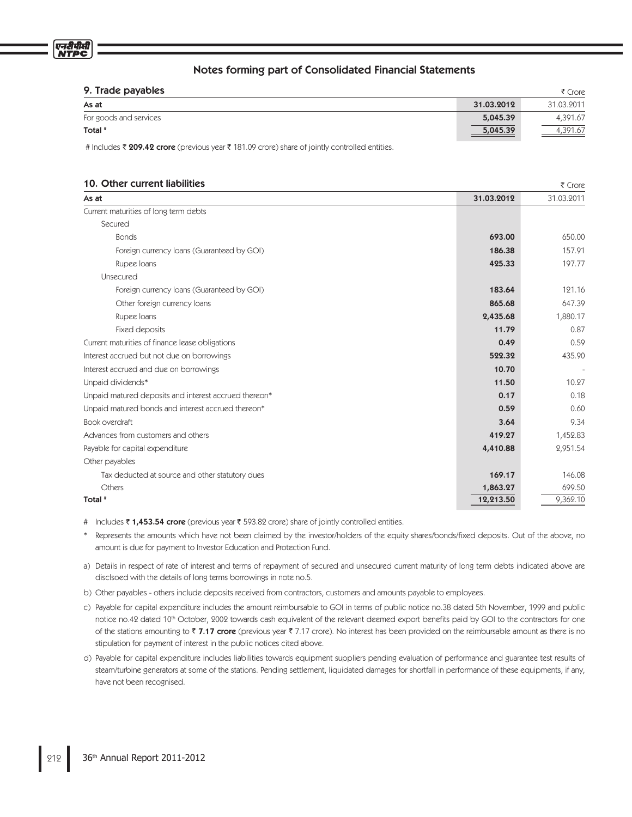| 9. Trade payables      |            | ₹ Crore    |
|------------------------|------------|------------|
| As at                  | 31.03.2012 | 31.03.2011 |
| For goods and services | 5,045.39   | 4,391.67   |
| Total <sup>#</sup>     | 5,045.39   | 4,391.67   |

 $F$  Crore

# Includes ₹ 209.42 crore (previous year ₹ 181.09 crore) share of jointly controlled entities.

### 10. Other current liabilities

|                                                       |            | ヽ こいこ      |
|-------------------------------------------------------|------------|------------|
| As at                                                 | 31.03.2012 | 31.03.2011 |
| Current maturities of long term debts                 |            |            |
| Secured                                               |            |            |
| <b>Bonds</b>                                          | 693.00     | 650.00     |
| Foreign currency loans (Guaranteed by GOI)            | 186.38     | 157.91     |
| Rupee Ioans                                           | 425.33     | 197.77     |
| Unsecured                                             |            |            |
| Foreign currency loans (Guaranteed by GOI)            | 183.64     | 121.16     |
| Other foreign currency loans                          | 865.68     | 647.39     |
| Rupee Ioans                                           | 2,435.68   | 1,880.17   |
| Fixed deposits                                        | 11.79      | 0.87       |
| Current maturities of finance lease obligations       | 0.49       | 0.59       |
| Interest accrued but not due on borrowings            | 522.32     | 435.90     |
| Interest accrued and due on borrowings                | 10.70      |            |
| Unpaid dividends*                                     | 11.50      | 10.27      |
| Unpaid matured deposits and interest accrued thereon* | 0.17       | 0.18       |
| Unpaid matured bonds and interest accrued thereon*    | 0.59       | 0.60       |
| Book overdraft                                        | 3.64       | 9.34       |
| Advances from customers and others                    | 419.27     | 1,452.83   |
| Payable for capital expenditure                       | 4,410.88   | 2,951.54   |
| Other payables                                        |            |            |
| Tax deducted at source and other statutory dues       | 169.17     | 146.08     |
| Others                                                | 1,863.27   | 699.50     |
| Total #                                               | 12,213.50  | 9,362.10   |
|                                                       |            |            |

# Includes ₹ 1,453.54 crore (previous year ₹ 593.82 crore) share of jointly controlled entities.

\* Represents the amounts which have not been claimed by the investor/holders of the equity shares/bonds/fixed deposits. Out of the above, no amount is due for payment to Investor Education and Protection Fund.

a) Details in respect of rate of interest and terms of repayment of secured and unsecured current maturity of long term debts indicated above are disclsoed with the details of long terms borrowings in note no.5.

- b) Other payables others include deposits received from contractors, customers and amounts payable to employees.
- c) Payable for capital expenditure includes the amount reimbursable to GOI in terms of public notice no.38 dated 5th November, 1999 and public notice no.42 dated 10<sup>th</sup> October, 2002 towards cash equivalent of the relevant deemed export benefits paid by GOI to the contractors for one of the stations amounting to ₹ **7.17 crore** (previous year ₹ 7.17 crore). No interest has been provided on the reimbursable amount as there is no stipulation for payment of interest in the public notices cited above.
- d) Payable for capital expenditure includes liabilities towards equipment suppliers pending evaluation of performance and guarantee test results of steam/turbine generators at some of the stations. Pending settlement, liquidated damages for shortfall in performance of these equipments, if any, have not been recognised.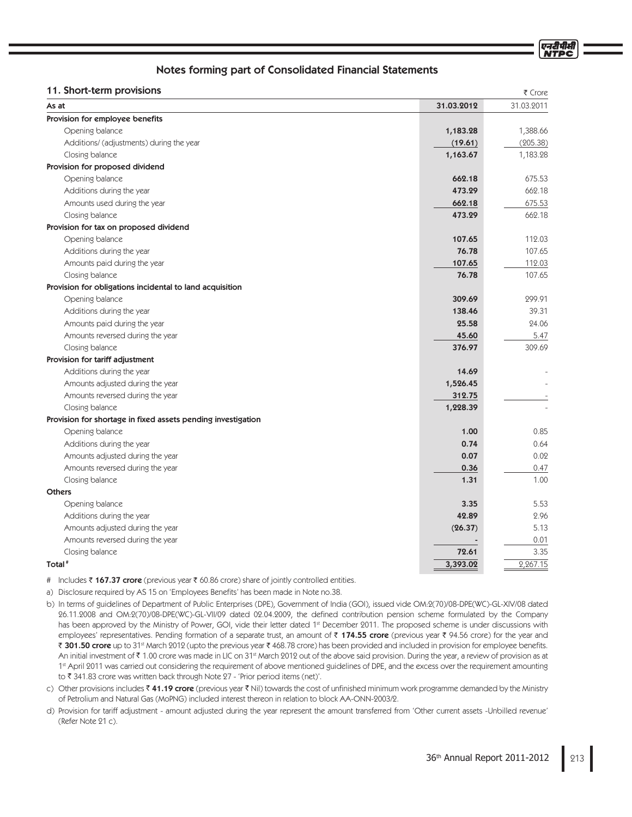| 31.03.2011<br>31.03.2012<br>As at<br>Provision for employee benefits<br>1,388.66<br>Opening balance<br>1,183.28<br>(205.38)<br>Additions/ (adjustments) during the year<br>(19.61)<br>1,183.28<br>Closing balance<br>1,163.67<br>Provision for proposed dividend<br>Opening balance<br>675.53<br>662.18<br>662.18<br>Additions during the year<br>473.29<br>675.53<br>Amounts used during the year<br>662.18<br>662.18<br>Closing balance<br>473.29<br>Provision for tax on proposed dividend<br>Opening balance<br>107.65<br>112.03<br>76.78<br>107.65<br>Additions during the year<br>112.03<br>Amounts paid during the year<br>107.65<br>Closing balance<br>76.78<br>107.65<br>Provision for obligations incidental to land acquisition<br>299.91<br>Opening balance<br>309.69<br>Additions during the year<br>138.46<br>39.31<br>25.58<br>Amounts paid during the year<br>24.06<br>Amounts reversed during the year<br>45.60<br>5.47<br>309.69<br>376.97<br>Closing balance<br>Provision for tariff adjustment<br>Additions during the year<br>14.69<br>Amounts adjusted during the year<br>1,526.45<br>Amounts reversed during the year<br>312.75<br>1,228.39<br>Closing balance<br>Provision for shortage in fixed assets pending investigation<br>0.85<br>Opening balance<br>1.00<br>0.74<br>0.64<br>Additions during the year<br>0.02<br>Amounts adjusted during the year<br>0.07<br>0.47<br>Amounts reversed during the year<br>0.36<br>1.00<br>Closing balance<br>1.31<br><b>Others</b><br>5.53<br>Opening balance<br>3.35<br>42.89<br>Additions during the year<br>2.96<br>Amounts adjusted during the year<br>(26.37)<br>5.13<br>Amounts reversed during the year<br>0.01<br>3.35<br>Closing balance<br>72.61<br>2,267.15<br>Total <sup>#</sup><br>3,393.02 | 11. Short-term provisions | ₹ Crore |
|-------------------------------------------------------------------------------------------------------------------------------------------------------------------------------------------------------------------------------------------------------------------------------------------------------------------------------------------------------------------------------------------------------------------------------------------------------------------------------------------------------------------------------------------------------------------------------------------------------------------------------------------------------------------------------------------------------------------------------------------------------------------------------------------------------------------------------------------------------------------------------------------------------------------------------------------------------------------------------------------------------------------------------------------------------------------------------------------------------------------------------------------------------------------------------------------------------------------------------------------------------------------------------------------------------------------------------------------------------------------------------------------------------------------------------------------------------------------------------------------------------------------------------------------------------------------------------------------------------------------------------------------------------------------------------------------------------------------------------------------------------------------------|---------------------------|---------|
|                                                                                                                                                                                                                                                                                                                                                                                                                                                                                                                                                                                                                                                                                                                                                                                                                                                                                                                                                                                                                                                                                                                                                                                                                                                                                                                                                                                                                                                                                                                                                                                                                                                                                                                                                                         |                           |         |
|                                                                                                                                                                                                                                                                                                                                                                                                                                                                                                                                                                                                                                                                                                                                                                                                                                                                                                                                                                                                                                                                                                                                                                                                                                                                                                                                                                                                                                                                                                                                                                                                                                                                                                                                                                         |                           |         |
|                                                                                                                                                                                                                                                                                                                                                                                                                                                                                                                                                                                                                                                                                                                                                                                                                                                                                                                                                                                                                                                                                                                                                                                                                                                                                                                                                                                                                                                                                                                                                                                                                                                                                                                                                                         |                           |         |
|                                                                                                                                                                                                                                                                                                                                                                                                                                                                                                                                                                                                                                                                                                                                                                                                                                                                                                                                                                                                                                                                                                                                                                                                                                                                                                                                                                                                                                                                                                                                                                                                                                                                                                                                                                         |                           |         |
|                                                                                                                                                                                                                                                                                                                                                                                                                                                                                                                                                                                                                                                                                                                                                                                                                                                                                                                                                                                                                                                                                                                                                                                                                                                                                                                                                                                                                                                                                                                                                                                                                                                                                                                                                                         |                           |         |
|                                                                                                                                                                                                                                                                                                                                                                                                                                                                                                                                                                                                                                                                                                                                                                                                                                                                                                                                                                                                                                                                                                                                                                                                                                                                                                                                                                                                                                                                                                                                                                                                                                                                                                                                                                         |                           |         |
|                                                                                                                                                                                                                                                                                                                                                                                                                                                                                                                                                                                                                                                                                                                                                                                                                                                                                                                                                                                                                                                                                                                                                                                                                                                                                                                                                                                                                                                                                                                                                                                                                                                                                                                                                                         |                           |         |
|                                                                                                                                                                                                                                                                                                                                                                                                                                                                                                                                                                                                                                                                                                                                                                                                                                                                                                                                                                                                                                                                                                                                                                                                                                                                                                                                                                                                                                                                                                                                                                                                                                                                                                                                                                         |                           |         |
|                                                                                                                                                                                                                                                                                                                                                                                                                                                                                                                                                                                                                                                                                                                                                                                                                                                                                                                                                                                                                                                                                                                                                                                                                                                                                                                                                                                                                                                                                                                                                                                                                                                                                                                                                                         |                           |         |
|                                                                                                                                                                                                                                                                                                                                                                                                                                                                                                                                                                                                                                                                                                                                                                                                                                                                                                                                                                                                                                                                                                                                                                                                                                                                                                                                                                                                                                                                                                                                                                                                                                                                                                                                                                         |                           |         |
|                                                                                                                                                                                                                                                                                                                                                                                                                                                                                                                                                                                                                                                                                                                                                                                                                                                                                                                                                                                                                                                                                                                                                                                                                                                                                                                                                                                                                                                                                                                                                                                                                                                                                                                                                                         |                           |         |
|                                                                                                                                                                                                                                                                                                                                                                                                                                                                                                                                                                                                                                                                                                                                                                                                                                                                                                                                                                                                                                                                                                                                                                                                                                                                                                                                                                                                                                                                                                                                                                                                                                                                                                                                                                         |                           |         |
|                                                                                                                                                                                                                                                                                                                                                                                                                                                                                                                                                                                                                                                                                                                                                                                                                                                                                                                                                                                                                                                                                                                                                                                                                                                                                                                                                                                                                                                                                                                                                                                                                                                                                                                                                                         |                           |         |
|                                                                                                                                                                                                                                                                                                                                                                                                                                                                                                                                                                                                                                                                                                                                                                                                                                                                                                                                                                                                                                                                                                                                                                                                                                                                                                                                                                                                                                                                                                                                                                                                                                                                                                                                                                         |                           |         |
|                                                                                                                                                                                                                                                                                                                                                                                                                                                                                                                                                                                                                                                                                                                                                                                                                                                                                                                                                                                                                                                                                                                                                                                                                                                                                                                                                                                                                                                                                                                                                                                                                                                                                                                                                                         |                           |         |
|                                                                                                                                                                                                                                                                                                                                                                                                                                                                                                                                                                                                                                                                                                                                                                                                                                                                                                                                                                                                                                                                                                                                                                                                                                                                                                                                                                                                                                                                                                                                                                                                                                                                                                                                                                         |                           |         |
|                                                                                                                                                                                                                                                                                                                                                                                                                                                                                                                                                                                                                                                                                                                                                                                                                                                                                                                                                                                                                                                                                                                                                                                                                                                                                                                                                                                                                                                                                                                                                                                                                                                                                                                                                                         |                           |         |
|                                                                                                                                                                                                                                                                                                                                                                                                                                                                                                                                                                                                                                                                                                                                                                                                                                                                                                                                                                                                                                                                                                                                                                                                                                                                                                                                                                                                                                                                                                                                                                                                                                                                                                                                                                         |                           |         |
|                                                                                                                                                                                                                                                                                                                                                                                                                                                                                                                                                                                                                                                                                                                                                                                                                                                                                                                                                                                                                                                                                                                                                                                                                                                                                                                                                                                                                                                                                                                                                                                                                                                                                                                                                                         |                           |         |
|                                                                                                                                                                                                                                                                                                                                                                                                                                                                                                                                                                                                                                                                                                                                                                                                                                                                                                                                                                                                                                                                                                                                                                                                                                                                                                                                                                                                                                                                                                                                                                                                                                                                                                                                                                         |                           |         |
|                                                                                                                                                                                                                                                                                                                                                                                                                                                                                                                                                                                                                                                                                                                                                                                                                                                                                                                                                                                                                                                                                                                                                                                                                                                                                                                                                                                                                                                                                                                                                                                                                                                                                                                                                                         |                           |         |
|                                                                                                                                                                                                                                                                                                                                                                                                                                                                                                                                                                                                                                                                                                                                                                                                                                                                                                                                                                                                                                                                                                                                                                                                                                                                                                                                                                                                                                                                                                                                                                                                                                                                                                                                                                         |                           |         |
|                                                                                                                                                                                                                                                                                                                                                                                                                                                                                                                                                                                                                                                                                                                                                                                                                                                                                                                                                                                                                                                                                                                                                                                                                                                                                                                                                                                                                                                                                                                                                                                                                                                                                                                                                                         |                           |         |
|                                                                                                                                                                                                                                                                                                                                                                                                                                                                                                                                                                                                                                                                                                                                                                                                                                                                                                                                                                                                                                                                                                                                                                                                                                                                                                                                                                                                                                                                                                                                                                                                                                                                                                                                                                         |                           |         |
|                                                                                                                                                                                                                                                                                                                                                                                                                                                                                                                                                                                                                                                                                                                                                                                                                                                                                                                                                                                                                                                                                                                                                                                                                                                                                                                                                                                                                                                                                                                                                                                                                                                                                                                                                                         |                           |         |
|                                                                                                                                                                                                                                                                                                                                                                                                                                                                                                                                                                                                                                                                                                                                                                                                                                                                                                                                                                                                                                                                                                                                                                                                                                                                                                                                                                                                                                                                                                                                                                                                                                                                                                                                                                         |                           |         |
|                                                                                                                                                                                                                                                                                                                                                                                                                                                                                                                                                                                                                                                                                                                                                                                                                                                                                                                                                                                                                                                                                                                                                                                                                                                                                                                                                                                                                                                                                                                                                                                                                                                                                                                                                                         |                           |         |
|                                                                                                                                                                                                                                                                                                                                                                                                                                                                                                                                                                                                                                                                                                                                                                                                                                                                                                                                                                                                                                                                                                                                                                                                                                                                                                                                                                                                                                                                                                                                                                                                                                                                                                                                                                         |                           |         |
|                                                                                                                                                                                                                                                                                                                                                                                                                                                                                                                                                                                                                                                                                                                                                                                                                                                                                                                                                                                                                                                                                                                                                                                                                                                                                                                                                                                                                                                                                                                                                                                                                                                                                                                                                                         |                           |         |
|                                                                                                                                                                                                                                                                                                                                                                                                                                                                                                                                                                                                                                                                                                                                                                                                                                                                                                                                                                                                                                                                                                                                                                                                                                                                                                                                                                                                                                                                                                                                                                                                                                                                                                                                                                         |                           |         |
|                                                                                                                                                                                                                                                                                                                                                                                                                                                                                                                                                                                                                                                                                                                                                                                                                                                                                                                                                                                                                                                                                                                                                                                                                                                                                                                                                                                                                                                                                                                                                                                                                                                                                                                                                                         |                           |         |
|                                                                                                                                                                                                                                                                                                                                                                                                                                                                                                                                                                                                                                                                                                                                                                                                                                                                                                                                                                                                                                                                                                                                                                                                                                                                                                                                                                                                                                                                                                                                                                                                                                                                                                                                                                         |                           |         |
|                                                                                                                                                                                                                                                                                                                                                                                                                                                                                                                                                                                                                                                                                                                                                                                                                                                                                                                                                                                                                                                                                                                                                                                                                                                                                                                                                                                                                                                                                                                                                                                                                                                                                                                                                                         |                           |         |
|                                                                                                                                                                                                                                                                                                                                                                                                                                                                                                                                                                                                                                                                                                                                                                                                                                                                                                                                                                                                                                                                                                                                                                                                                                                                                                                                                                                                                                                                                                                                                                                                                                                                                                                                                                         |                           |         |
|                                                                                                                                                                                                                                                                                                                                                                                                                                                                                                                                                                                                                                                                                                                                                                                                                                                                                                                                                                                                                                                                                                                                                                                                                                                                                                                                                                                                                                                                                                                                                                                                                                                                                                                                                                         |                           |         |
|                                                                                                                                                                                                                                                                                                                                                                                                                                                                                                                                                                                                                                                                                                                                                                                                                                                                                                                                                                                                                                                                                                                                                                                                                                                                                                                                                                                                                                                                                                                                                                                                                                                                                                                                                                         |                           |         |
|                                                                                                                                                                                                                                                                                                                                                                                                                                                                                                                                                                                                                                                                                                                                                                                                                                                                                                                                                                                                                                                                                                                                                                                                                                                                                                                                                                                                                                                                                                                                                                                                                                                                                                                                                                         |                           |         |
|                                                                                                                                                                                                                                                                                                                                                                                                                                                                                                                                                                                                                                                                                                                                                                                                                                                                                                                                                                                                                                                                                                                                                                                                                                                                                                                                                                                                                                                                                                                                                                                                                                                                                                                                                                         |                           |         |
|                                                                                                                                                                                                                                                                                                                                                                                                                                                                                                                                                                                                                                                                                                                                                                                                                                                                                                                                                                                                                                                                                                                                                                                                                                                                                                                                                                                                                                                                                                                                                                                                                                                                                                                                                                         |                           |         |

# Includes ₹ 167.37 crore (previous year ₹ 60.86 crore) share of jointly controlled entities.

a) Disclosure required by AS 15 on 'Employees Benefits' has been made in Note no.38.

- b) In terms of guidelines of Department of Public Enterprises (DPE), Government of India (GOI), issued vide OM:2(70)/08-DPE(WC)-GL-XIV/08 dated 26.11.2008 and OM:2(70)/08-DPE(WC)-GL-VII/09 dated 02.04.2009, the defined contribution pension scheme formulated by the Company has been approved by the Ministry of Power, GOI, vide their letter dated 1st December 2011. The proposed scheme is under discussions with employees' representatives. Pending formation of a separate trust, an amount of ₹ **174.55 crore** (previous year ₹ 94.56 crore) for the year and ₹ **301.50 crore** up to 31st March 2012 (upto the previous year ₹ 468.78 crore) has been provided and included in provision for employee benefits. An initial investment of ₹ 1.00 crore was made in LIC on 31st March 2012 out of the above said provision. During the year, a review of provision as at 1<sup>st</sup> April 2011 was carried out considering the requirement of above mentioned guidelines of DPE, and the excess over the requirement amounting to 341.83 crore was written back through Note 27 - 'Prior period items (net)'.
- c) Other provisions includes ₹ **41.19 crore** (previous year ₹ Nil) towards the cost of unfinished minimum work programme demanded by the Ministry of Petrolium and Natural Gas (MoPNG) included interest thereon in relation to block AA-ONN-2003/2.
- d) Provision for tariff adjustment amount adjusted during the year represent the amount transferred from 'Other current assets -Unbilled revenue' (Refer Note 21 c).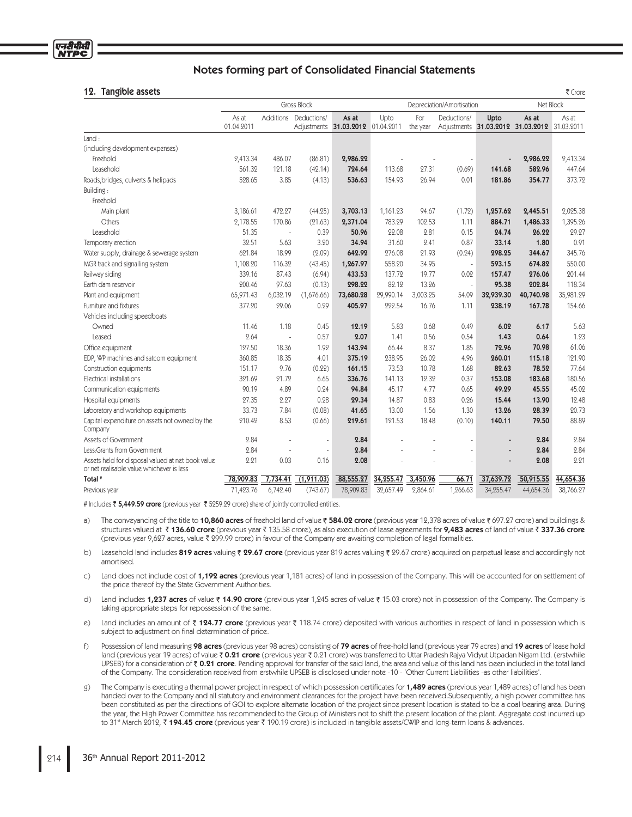| Tangible assets<br>12.                                                                         |                     |           |             |                                            |                           |                 |             |           |                                                       | ₹ Crore   |
|------------------------------------------------------------------------------------------------|---------------------|-----------|-------------|--------------------------------------------|---------------------------|-----------------|-------------|-----------|-------------------------------------------------------|-----------|
|                                                                                                | <b>Gross Block</b>  |           |             |                                            | Depreciation/Amortisation |                 |             |           | Net Block                                             |           |
|                                                                                                | As at<br>01.04.2011 | Additions | Deductions/ | As at<br>Adjustments 31.03.2012 01.04.2011 | Upto                      | For<br>the year | Deductions/ | Upto      | As at<br>Adjustments 31.03.2012 31.03.2012 31.03.2011 | As at     |
| Land:                                                                                          |                     |           |             |                                            |                           |                 |             |           |                                                       |           |
| (including development expenses)                                                               |                     |           |             |                                            |                           |                 |             |           |                                                       |           |
| Freehold                                                                                       | 2,413.34            | 486.07    | (86.81)     | 2,986.22                                   |                           |                 |             |           | 2,986.22                                              | 2,413.34  |
| Leasehold                                                                                      | 561.32              | 121.18    | (42.14)     | 724.64                                     | 113.68                    | 27.31           | (0.69)      | 141.68    | 582.96                                                | 447.64    |
| Roads, bridges, culverts & helipads                                                            | 528.65              | 3.85      | (4.13)      | 536.63                                     | 154.93                    | 26.94           | 0.01        | 181.86    | 354.77                                                | 373.72    |
| Building:                                                                                      |                     |           |             |                                            |                           |                 |             |           |                                                       |           |
| Freehold                                                                                       |                     |           |             |                                            |                           |                 |             |           |                                                       |           |
| Main plant                                                                                     | 3,186.61            | 472.27    | (44.25)     | 3,703.13                                   | 1,161.23                  | 94.67           | (1.72)      | 1,257.62  | 2,445.51                                              | 2,025.38  |
| <b>Others</b>                                                                                  | 2,178.55            | 170.86    | (21.63)     | 2,371.04                                   | 783.29                    | 102.53          | 1.11        | 884.71    | 1,486.33                                              | 1,395.26  |
| Leasehold                                                                                      | 51.35               |           | 0.39        | 50.96                                      | 22.08                     | 2.81            | 0.15        | 24.74     | 26.22                                                 | 29.27     |
| Temporary erection                                                                             | 32.51               | 5.63      | 3.20        | 34.94                                      | 31.60                     | 2.41            | 0.87        | 33.14     | 1.80                                                  | 0.91      |
| Water supply, drainage & sewerage system                                                       | 621.84              | 18.99     | (2.09)      | 642.92                                     | 276.08                    | 21.93           | (0.24)      | 298.25    | 344.67                                                | 345.76    |
| MGR track and signalling system                                                                | 1,108.20            | 116.32    | (43.45)     | 1,267.97                                   | 558.20                    | 34.95           | J.          | 593.15    | 674.82                                                | 550.00    |
| Railway siding                                                                                 | 339.16              | 87.43     | (6.94)      | 433.53                                     | 137.72                    | 19.77           | 0.02        | 157.47    | 276.06                                                | 201.44    |
| Earth dam reservoir                                                                            | 200.46              | 97.63     | (0.13)      | 298.22                                     | 82.12                     | 13.26           | ×,          | 95.38     | 202.84                                                | 118.34    |
| Plant and equipment                                                                            | 65,971.43           | 6,032.19  | (1,676.66)  | 73,680.28                                  | 29,990.14                 | 3,003.25        | 54.09       | 32,939.30 | 40,740.98                                             | 35,981.29 |
| Furniture and fixtures                                                                         | 377.20              | 29.06     | 0.29        | 405.97                                     | 222.54                    | 16.76           | 1.11        | 238.19    | 167.78                                                | 154.66    |
| Vehicles including speedboats                                                                  |                     |           |             |                                            |                           |                 |             |           |                                                       |           |
| Owned                                                                                          | 11.46               | 1.18      | 0.45        | 12.19                                      | 5.83                      | 0.68            | 0.49        | 6.02      | 6.17                                                  | 5.63      |
| Leased                                                                                         | 2.64                | i.        | 0.57        | 2.07                                       | 1.41                      | 0.56            | 0.54        | 1.43      | 0.64                                                  | 1.23      |
| Office equipment                                                                               | 127.50              | 18.36     | 1.92        | 143.94                                     | 66.44                     | 8.37            | 1.85        | 72.96     | 70.98                                                 | 61.06     |
| EDP, WP machines and satcom equipment                                                          | 360.85              | 18.35     | 4.01        | 375.19                                     | 238.95                    | 26.02           | 4.96        | 260.01    | 115.18                                                | 121.90    |
| Construction equipments                                                                        | 151.17              | 9.76      | (0.22)      | 161.15                                     | 73.53                     | 10.78           | 1.68        | 82.63     | 78.52                                                 | 77.64     |
| Electrical installations                                                                       | 321.69              | 21.72     | 6.65        | 336.76                                     | 141.13                    | 12.32           | 0.37        | 153.08    | 183.68                                                | 180.56    |
| Communication equipments                                                                       | 90.19               | 4.89      | 0.24        | 94.84                                      | 45.17                     | 4.77            | 0.65        | 49.29     | 45.55                                                 | 45.02     |
| Hospital equipments                                                                            | 27.35               | 2.27      | 0.28        | 29.34                                      | 14.87                     | 0.83            | 0.26        | 15.44     | 13.90                                                 | 12.48     |
| Laboratory and workshop equipments                                                             | 33.73               | 7.84      | (0.08)      | 41.65                                      | 13.00                     | 1.56            | 1.30        | 13.26     | 28.39                                                 | 20.73     |
| Capital expenditure on assets not owned by the<br>Company                                      | 210.42              | 8.53      | (0.66)      | 219.61                                     | 121.53                    | 18.48           | (0.10)      | 140.11    | 79.50                                                 | 88.89     |
| Assets of Government                                                                           | 2.84                |           | ä,          | 2.84                                       |                           |                 |             |           | 2.84                                                  | 2.84      |
| Less: Grants from Government                                                                   | 2.84                |           | ä,          | 2.84                                       |                           |                 |             |           | 2.84                                                  | 2.84      |
| Assets held for disposal valued at net book value<br>or net realisable value whichever is less | 2.21                | 0.03      | 0.16        | 2.08                                       |                           |                 |             |           | 2.08                                                  | 2.21      |
| Total <sup>#</sup>                                                                             | 78,909.83           | 7,734.41  | (1,911.03)  | 88,555.27                                  | 34,255.47                 | 3,450.96        | 66.71       | 37,639.72 | 50,915.55                                             | 44,654.36 |
| Previous year                                                                                  | 71,423.76           | 6,742.40  | (743.67)    | 78,909.83                                  | 32,657.49                 | 2,864.61        | 1,266.63    | 34,255.47 | 44,654.36                                             | 38,766.27 |

# Includes ₹ **5,449.59 crore** (previous year ₹ 5259.29 crore) share of jointly controlled entities.

a) The conveyancing of the title to 10,860 acres of freehold land of value ₹584.02 crore (previous year 12,378 acres of value ₹697.27 crore) and buildings & structures valued at ₹136.60 crore (previous year ₹135.58 crore), as also execution of lease agreements for 9,483 acres of land of value ₹337.36 crore (previous year 9,627 acres, value 299.99 crore) in favour of the Company are awaiting completion of legal formalities.

b) Leasehold land includes 819 acres valuing  $\bar{z}$  29.67 crore (previous year 819 acres valuing  $\bar{z}$  29.67 crore) acquired on perpetual lease and accordingly not amortised.

- c) Land does not include cost of 1,192 acres (previous year 1,181 acres) of land in possession of the Company. This will be accounted for on settlement of the price thereof by the State Government Authorities.
- d) Land includes 1,237 acres of value  $\bar{z}$  14.90 crore (previous year 1,245 acres of value  $\bar{z}$  15.03 crore) not in possession of the Company. The Company is taking appropriate steps for repossession of the same.
- e) Land includes an amount of  $\bar{\tau}$  124.77 crore (previous year  $\bar{\tau}$  118.74 crore) deposited with various authorities in respect of land in possession which is subject to adjustment on final determination of price.
- f) Possession of land measuring 98 acres (previous year 98 acres) consisting of 79 acres of free-hold land (previous year 79 acres) and 19 acres of lease hold land (previous year 19 acres) of value ₹0.21 crore (previous year ₹0.21 crore) was transferred to Uttar Pradesh Rajya Vidyut Utpadan Nigam Ltd. (erstwhile UPSEB) for a consideration of ₹ 0.21 crore. Pending approval for transfer of the said land, the area and value of this land has been included in the total land of the Company. The consideration received from erstwhile UPSEB is disclosed under note -10 - 'Other Current Liabilities -as other liabilities'.
- g) The Company is executing a thermal power project in respect of which possession certificates for 1,489 acres (previous year 1,489 acres) of land has been handed over to the Company and all statutory and environment clearances for the project have been received.Subsequently, a high power committee has been constituted as per the directions of GOI to explore alternate location of the project since present location is stated to be a coal bearing area. During the year, the High Power Committee has recommended to the Group of Ministers not to shift the present location of the plant. Aggregate cost incurred up to 31<sup>st</sup> March 2012, ₹ 194.45 crore (previous year ₹ 190.19 crore) is included in tangible assets/CWIP and long-term loans & advances.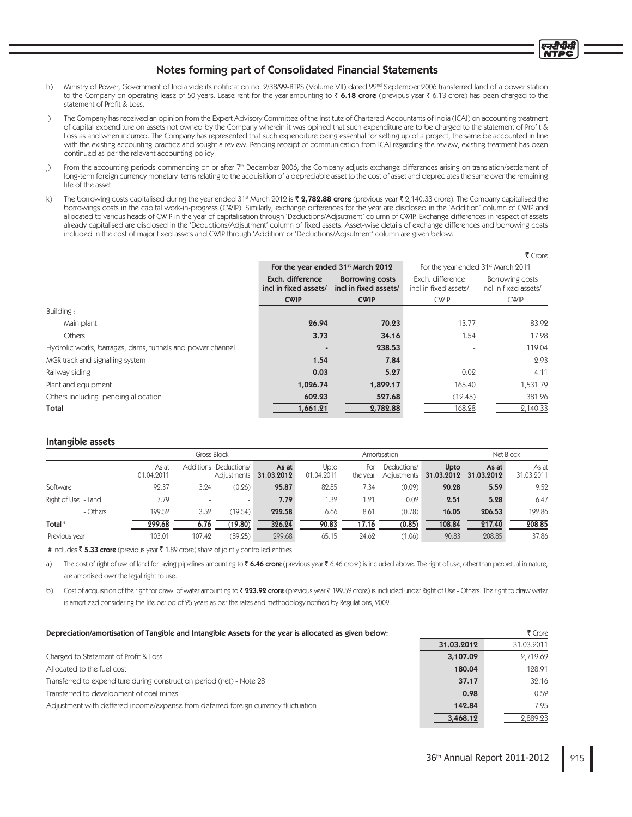- h) Ministry of Power, Government of India vide its notification no. 2/38/99-BTPS (Volume VII) dated 22<sup>nd</sup> September 2006 transferred land of a power station to the Company on operating lease of 50 years. Lease rent for the year amounting to  $\bar{\tau}$  6.18 crore (previous year  $\bar{\tau}$  6.13 crore) has been charged to the statement of Profit & Loss.
- i) The Company has received an opinion from the Expert Advisory Committee of the Institute of Chartered Accountants of India (ICAI) on accounting treatment of capital expenditure on assets not owned by the Company wherein it was opined that such expenditure are to be charged to the statement of Profit & Loss as and when incurred. The Company has represented that such expenditure being essential for setting up of a project, the same be accounted in line with the existing accounting practice and sought a review. Pending receipt of communication from ICAI regarding the review, existing treatment has been continued as per the relevant accounting policy.
- j) From the accounting periods commencing on or after 7<sup>th</sup> December 2006, the Company adjusts exchange differences arising on translation/settlement of long-term foreign currency monetary items relating to the acquisition of a depreciable asset to the cost of asset and depreciates the same over the remaining life of the asset.
- k) The borrowing costs capitalised during the year ended 31<sup>st</sup> March 2012 is ₹ 2,782.88 crore (previous year ₹ 2,140.33 crore). The Company capitalised the borrowings costs in the capital work-in-progress (CWIP). Similarly, exchange differences for the year are disclosed in the 'Addition' column of CWIP and allocated to various heads of CWIP in the year of capitalisation through 'Deductions/Adjsutment' column of CWIP. Exchange differences in respect of assets already capitalised are disclosed in the 'Deductions/Adjsutment' column of fixed assets. Asset-wise details of exchange differences and borrowing costs included in the cost of major fixed assets and CWIP through 'Addition' or 'Deductions/Adjsutment' column are given below:

|                                                           |                                           |                                                 |                                                | ₹ Crore                                  |
|-----------------------------------------------------------|-------------------------------------------|-------------------------------------------------|------------------------------------------------|------------------------------------------|
|                                                           |                                           | For the year ended 31 <sup>st</sup> March 2012  | For the year ended 31 <sup>st</sup> March 2011 |                                          |
|                                                           | Exch. difference<br>incl in fixed assets/ | <b>Borrowing costs</b><br>incl in fixed assets/ | Exch. difference<br>incl in fixed assets/      | Borrowing costs<br>incl in fixed assets/ |
|                                                           | <b>CWIP</b>                               | <b>CWIP</b>                                     | <b>CWIP</b>                                    | <b>CWIP</b>                              |
| Building:                                                 |                                           |                                                 |                                                |                                          |
| Main plant                                                | 26.94                                     | 70.23                                           | 13.77                                          | 83.92                                    |
| Others                                                    | 3.73                                      | 34.16                                           | 1.54                                           | 17.28                                    |
| Hydrolic works, barrages, dams, tunnels and power channel |                                           | 238.53                                          |                                                | 119.04                                   |
| MGR track and signalling system                           | 1.54                                      | 7.84                                            |                                                | 2.93                                     |
| Railway siding                                            | 0.03                                      | 5.27                                            | 0.02                                           | 4.11                                     |
| Plant and equipment                                       | 1,026.74                                  | 1,899.17                                        | 165.40                                         | 1,531.79                                 |
| Others including pending allocation                       | 602.23                                    | 527.68                                          | (12.45)                                        | 381.26                                   |
| Total                                                     | 1,661.21                                  | 2,782.88                                        | 168.28                                         | 2,140.33                                 |

#### Intangible assets

|                     |                     | Gross Block |                                      |                     | Amortisation       |                 |                            |                    | Net Block           |                     |  |
|---------------------|---------------------|-------------|--------------------------------------|---------------------|--------------------|-----------------|----------------------------|--------------------|---------------------|---------------------|--|
|                     | As at<br>01.04.2011 |             | Additions Deductions/<br>Adjustments | As at<br>31.03.2012 | Upto<br>01.04.2011 | For<br>the year | Deductions/<br>Adjustments | Upto<br>31.03.2012 | As at<br>31.03.2012 | As at<br>31.03.2011 |  |
| Software            | 92.37               | 3.24        | (0.26)                               | 95.87               | 82.85              | 7.34            | (0.09)                     | 90.28              | 5.59                | 9.52                |  |
| Right of Use - Land | 7.79                | $\sim$      |                                      | 7.79                | 1.32               | 1.21            | 0.02                       | 2.51               | 5.28                | 6.47                |  |
| - Others            | 199.52              | 3.52        | (19.54)                              | 222.58              | 6.66               | 8.61            | (0.78)                     | 16.05              | 206.53              | 192.86              |  |
| Total <sup>#</sup>  | 299.68              | 6.76        | (19.80)                              | 326.24              | 90.83              | 17.16           | (0.85)                     | 108.84             | 217.40              | 208.85              |  |
| Previous year       | 103.01              | 107.42      | (89.25)                              | 299.68              | 65.15              | 24.62           | (1.06)                     | 90.83              | 208.85              | 37.86               |  |

# Includes  $\bar{\tau}$  5.33 crore (previous year  $\bar{\tau}$  1.89 crore) share of jointly controlled entities.

a) The cost of right of use of land for laying pipelines amounting to ₹ **6.46 crore** (previous year ₹ 6.46 crore) is included above. The right of use, other than perpetual in nature, are amortised over the legal right to use.

b) Cost of acquisition of the right for drawl of water amounting to ₹ **223.92 crore** (previous year ₹ 199.52 crore) is included under Right of Use - Others. The right to draw water is amortized considering the life period of 25 years as per the rates and methodology notified by Regulations, 2009.

| Depreciation/amortisation of Tangible and Intangible Assets for the year is allocated as given below: |            | ₹ Crore    |
|-------------------------------------------------------------------------------------------------------|------------|------------|
|                                                                                                       | 31.03.2012 | 31.03.2011 |
| Charged to Statement of Profit & Loss                                                                 | 3,107.09   | 2.719.69   |
| Allocated to the fuel cost                                                                            | 180.04     | 128.91     |
| Transferred to expenditure during construction period (net) - Note 28                                 | 37.17      | 32.16      |
| Transferred to development of coal mines                                                              | 0.98       | 0.52       |
| Adjustment with deffered income/expense from deferred foreign currency fluctuation                    | 142.84     | 7.95       |
|                                                                                                       | 3,468.12   | 2,889.23   |

प्रदर्शिक ITPC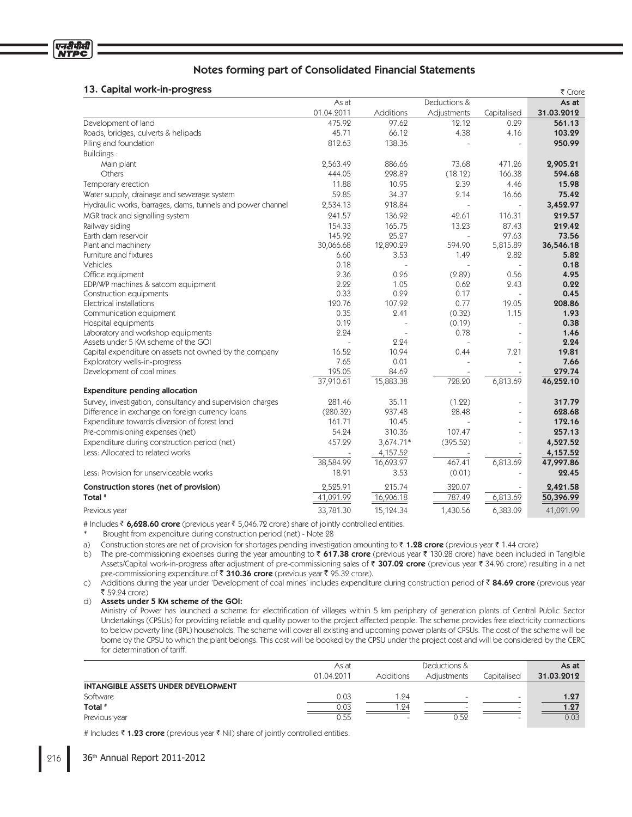## 13. Capital work-in-progress

| 13. Gapital work-in-progress                               |            |           |                          |                          | ₹ Crore    |
|------------------------------------------------------------|------------|-----------|--------------------------|--------------------------|------------|
|                                                            | As at      |           | Deductions &             |                          | As at      |
|                                                            | 01.04.2011 | Additions | Adjustments              | Capitalised              | 31.03.2012 |
| Development of land                                        | 475.92     | 97.62     | 12.12                    | 0.29                     | 561.13     |
| Roads, bridges, culverts & helipads                        | 45.71      | 66.12     | 4.38                     | 4.16                     | 103.29     |
| Piling and foundation                                      | 812.63     | 138.36    |                          | $\bar{a}$                | 950.99     |
| Buildings:                                                 |            |           |                          |                          |            |
| Main plant                                                 | 2,563.49   | 886.66    | 73.68                    | 471.26                   | 2,905.21   |
| Others                                                     | 444.05     | 298.89    | (18.12)                  | 166.38                   | 594.68     |
| Temporary erection                                         | 11.88      | 10.95     | 2.39                     | 4.46                     | 15.98      |
| Water supply, drainage and sewerage system                 | 59.85      | 34.37     | 2.14                     | 16.66                    | 75.42      |
| Hydraulic works, barrages, dams, tunnels and power channel | 2,534.13   | 918.84    |                          | $\overline{\phantom{a}}$ | 3,452.97   |
| MGR track and signalling system                            | 241.57     | 136.92    | 42.61                    | 116.31                   | 219.57     |
| Railway siding                                             | 154.33     | 165.75    | 13.23                    | 87.43                    | 219.42     |
| Earth dam reservoir                                        | 145.92     | 25.27     |                          | 97.63                    | 73.56      |
| Plant and machinery                                        | 30,066.68  | 12,890.29 | 594.90                   | 5,815.89                 | 36,546.18  |
| Furniture and fixtures                                     | 6.60       | 3.53      | 1.49                     | 2.82                     | 5.82       |
| Vehicles                                                   | 0.18       |           |                          | $\sim$                   | 0.18       |
| Office equipment                                           | 2.36       | 0.26      | (2.89)                   | 0.56                     | 4.95       |
| EDP/WP machines & satcom equipment                         | 2.22       | 1.05      | 0.62                     | 2.43                     | 0.22       |
| Construction equipments                                    | 0.33       | 0.29      | 0.17                     | $\bar{a}$                | 0.45       |
| Electrical installations                                   | 120.76     | 107.92    | 0.77                     | 19.05                    | 208.86     |
| Communication equipment                                    | 0.35       | 2.41      | (0.32)                   | 1.15                     | 1.93       |
| Hospital equipments                                        | 0.19       |           | (0.19)                   | $\bar{a}$                | 0.38       |
| Laboratory and workshop equipments                         | 2.24       |           | 0.78                     | $\bar{a}$                | 1.46       |
| Assets under 5 KM scheme of the GOI                        |            | 2.24      | $\overline{\phantom{a}}$ | $\bar{a}$                | 2.24       |
| Capital expenditure on assets not owned by the company     | 16.52      | 10.94     | 0.44                     | 7.21                     | 19.81      |
| Exploratory wells-in-progress                              | 7.65       | 0.01      |                          | $\overline{\phantom{a}}$ | 7.66       |
| Development of coal mines                                  | 195.05     | 84.69     |                          |                          | 279.74     |
|                                                            | 37,910.61  | 15,883.38 | 728.20                   | 6,813.69                 | 46,252.10  |
| <b>Expenditure pending allocation</b>                      |            |           |                          |                          |            |
| Survey, investigation, consultancy and supervision charges | 281.46     | 35.11     | (1.22)                   | $\overline{\phantom{a}}$ | 317.79     |
| Difference in exchange on foreign currency loans           | (280.32)   | 937.48    | 28.48                    | $\bar{a}$                | 628.68     |
| Expenditure towards diversion of forest land               | 161.71     | 10.45     | L.                       | $\bar{a}$                | 172.16     |
| Pre-commisioning expenses (net)                            | 54.24      | 310.36    | 107.47                   | $\omega$                 | 257.13     |
| Expenditure during construction period (net)               | 457.29     | 3,674.71* | (395.52)                 | $\blacksquare$           | 4,527.52   |
| Less: Allocated to related works                           |            | 4,157.52  |                          |                          | 4,157.52   |
|                                                            | 38,584.99  | 16,693.97 | 467.41                   | 6,813.69                 | 47,997.86  |
| Less: Provision for unserviceable works                    | 18.91      | 3.53      | (0.01)                   |                          | 22.45      |
| Construction stores (net of provision)                     | 2,525.91   | 215.74    | 320.07                   |                          | 2,421.58   |
| Total <sup>#</sup>                                         | 41,091.99  | 16,906.18 | 787.49                   | 6,813.69                 | 50,396.99  |
| Previous year                                              | 33,781.30  | 15,124.34 | 1,430.56                 | 6,383.09                 | 41,091.99  |

# Includes ₹ 6,628.60 crore (previous year ₹ 5,046.72 crore) share of jointly controlled entities.

Brought from expenditure during construction period (net) - Note 28

a) Construction stores are net of provision for shortages pending investigation amounting to ₹ 1**.28 crore** (previous year ₹ 1.44 crore)

b) The pre-commissioning expenses during the year amounting to ₹ 617.38 crore (previous year ₹ 130.28 crore) have been included in Tangible Assets/Capital work-in-progress after adjustment of pre-commissioning sales of ₹ **307.02 crore** (previous year ₹ 34.96 crore) resulting in a net pre-commissioning expenditure of ₹ 310.36 crore (previous year ₹ 95.32 crore).

c) Additions during the year under 'Development of coal mines' includes expenditure during construction period of ₹ 84.69 c**rore** (previous year 59.24 crore)

d) Assets under 5 KM scheme of the GOI:

Ministry of Power has launched a scheme for electrification of villages within 5 km periphery of generation plants of Central Public Sector Undertakings (CPSUs) for providing reliable and quality power to the project affected people. The scheme provides free electricity connections to below poverty line (BPL) households. The scheme will cover all existing and upcoming power plants of CPSUs. The cost of the scheme will be borne by the CPSU to which the plant belongs. This cost will be booked by the CPSU under the project cost and will be considered by the CERC for determination of tariff.

|                                            | As at      |                          | Deductions &             |                          | As at      |
|--------------------------------------------|------------|--------------------------|--------------------------|--------------------------|------------|
|                                            | 01.04.2011 | <b>Additions</b>         | Adiustments              | Capitalised              | 31.03.2012 |
| <b>INTANGIBLE ASSETS UNDER DEVELOPMENT</b> |            |                          |                          |                          |            |
| Software                                   | 0.03       | .24                      | $\overline{\phantom{a}}$ | $\overline{\phantom{0}}$ | 1.27       |
| Total <sup>#</sup>                         | 0.03       | .24                      | $\overline{\phantom{a}}$ | -                        | 1.27       |
| Previous year                              | 0.55       | $\overline{\phantom{a}}$ | 0.52                     | $\overline{\phantom{0}}$ | 0.03       |

# Includes ₹ 1**.23 crore** (previous year ₹ Nil) share of jointly controlled entities.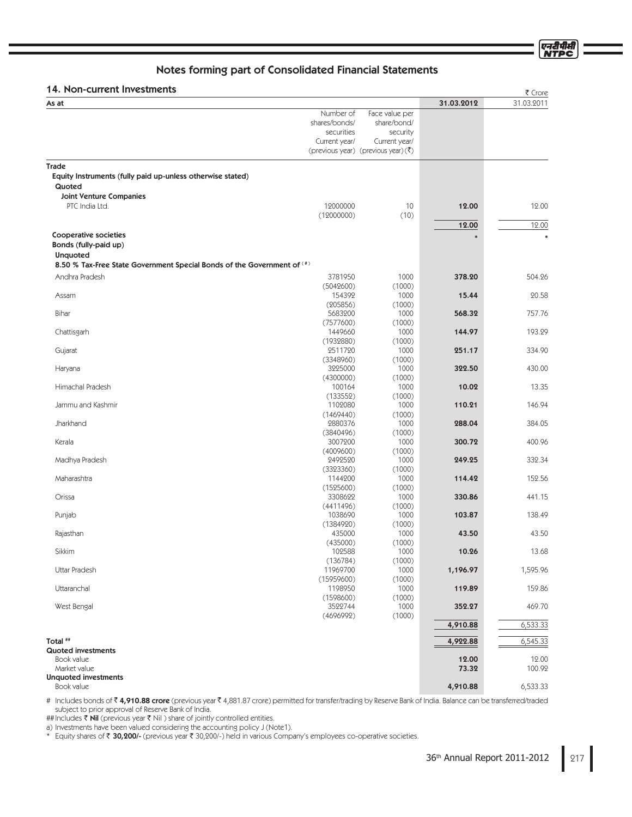एनदीपीसी<br>NTPC

# Notes forming part of Consolidated Financial Statements

## 14. Non-current Investments  $\overline{a}$

| ו אי ואטוו-כעוופות ווואפאנוופותא                                          |                      |                                                 |            | ₹ Crore    |
|---------------------------------------------------------------------------|----------------------|-------------------------------------------------|------------|------------|
| As at                                                                     |                      |                                                 | 31.03.2012 | 31.03.2011 |
|                                                                           | Number of            | Face value per                                  |            |            |
|                                                                           | shares/bonds/        | share/bond/                                     |            |            |
|                                                                           | securities           | security                                        |            |            |
|                                                                           | Current year/        | Current year/                                   |            |            |
|                                                                           |                      | (previous year) (previous year) $(\bar{\zeta})$ |            |            |
| Trade                                                                     |                      |                                                 |            |            |
| Equity Instruments (fully paid up-unless otherwise stated)                |                      |                                                 |            |            |
| Quoted                                                                    |                      |                                                 |            |            |
| <b>Joint Venture Companies</b>                                            |                      |                                                 |            |            |
| PTC India Ltd.                                                            | 12000000             | 10                                              | 12.00      | 12.00      |
|                                                                           | (12000000)           | (10)                                            |            |            |
|                                                                           |                      |                                                 | 12.00      | 12.00      |
| Cooperative societies                                                     |                      |                                                 |            | $\ast$     |
| Bonds (fully-paid up)                                                     |                      |                                                 |            |            |
| <b>Unquoted</b>                                                           |                      |                                                 |            |            |
| 8.50 % Tax-Free State Government Special Bonds of the Government of $(4)$ |                      |                                                 |            |            |
|                                                                           |                      |                                                 |            |            |
| Andhra Pradesh                                                            | 3781950              | 1000                                            | 378.20     | 504.26     |
|                                                                           | (5042600)            | (1000)                                          |            |            |
| Assam                                                                     | 154392               | 1000                                            | 15.44      | 20.58      |
| Bihar                                                                     | (205856)             | (1000)                                          | 568.32     | 757.76     |
|                                                                           | 5683200              | 1000<br>(1000)                                  |            |            |
| Chattisgarh                                                               | (7577600)<br>1449660 | 1000                                            | 144.97     | 193.29     |
|                                                                           | (1932880)            | (1000)                                          |            |            |
| Gujarat                                                                   | 2511720              | 1000                                            | 251.17     | 334.90     |
|                                                                           | (3348960)            | (1000)                                          |            |            |
| Haryana                                                                   | 3225000              | 1000                                            | 322.50     | 430.00     |
|                                                                           | (4300000)            | (1000)                                          |            |            |
| Himachal Pradesh                                                          | 100164               | 1000                                            | 10.02      | 13.35      |
|                                                                           | (133552)             | (1000)                                          |            |            |
| Jammu and Kashmir                                                         | 1102080              | 1000                                            | 110.21     | 146.94     |
|                                                                           | (1469440)            | (1000)                                          |            |            |
| Jharkhand                                                                 | 2880376              | 1000                                            | 288.04     | 384.05     |
|                                                                           | (3840496)            | (1000)                                          |            |            |
| Kerala                                                                    | 3007200              | 1000                                            | 300.72     | 400.96     |
|                                                                           | (4009600)            | (1000)                                          |            |            |
| Madhya Pradesh                                                            | 2492520              | 1000                                            | 249.25     | 332.34     |
|                                                                           | (3323360)            | (1000)                                          |            |            |
| Maharashtra                                                               | 1144200              | 1000                                            | 114.42     | 152.56     |
| Orissa                                                                    | (1525600)<br>3308622 | (1000)                                          | 330.86     | 441.15     |
|                                                                           | (4411496)            | 1000<br>(1000)                                  |            |            |
| Punjab                                                                    | 1038690              | 1000                                            | 103.87     | 138.49     |
|                                                                           | (1384920)            | (1000)                                          |            |            |
| Rajasthan                                                                 | 435000               | 1000                                            | 43.50      | 43.50      |
|                                                                           | (435000)             | (1000)                                          |            |            |
| Sikkim                                                                    | 102588               | 1000                                            | 10.26      | 13.68      |
|                                                                           | (136784)             | (1000)                                          |            |            |
| Uttar Pradesh                                                             | 11969700             | 1000                                            | 1,196.97   | 1,595.96   |
|                                                                           | (15959600)           | (1000)                                          |            |            |
| Uttaranchal                                                               | 1198950              | 1000                                            | 119.89     | 159.86     |
|                                                                           | (1598600)            | (1000)                                          |            |            |
| West Bengal                                                               | 3522744              | 1000                                            | 352.27     | 469.70     |
|                                                                           | (4696992)            | (1000)                                          |            |            |
|                                                                           |                      |                                                 | 4,910.88   | 6,533.33   |
| Total ##                                                                  |                      |                                                 |            |            |
| <b>Quoted investments</b>                                                 |                      |                                                 | 4,922.88   | 6,545.33   |
| Book value                                                                |                      |                                                 | 12.00      | 12.00      |
| Market value                                                              |                      |                                                 | 73.32      | 100.92     |
| <b>Unquoted investments</b>                                               |                      |                                                 |            |            |
| Book value                                                                |                      |                                                 | 4,910.88   | 6,533.33   |
|                                                                           |                      |                                                 |            |            |

# Includes bonds of ₹ **4,910.88 crore** (previous year ₹ 4,881.87 crore) permitted for transfer/trading by Reserve Bank of India. Balance can be transferred/traded subject to prior approval of Reserve Bank of India.

##Includes ₹ **Nil** (previous year ₹ Nil ) share of jointly controlled entities.

a) Investments have been valued considering the accounting policy J (Note1).

\* Equity shares of ₹30,200/- (previous year ₹30,200/-) held in various Company's employees co-operative societies.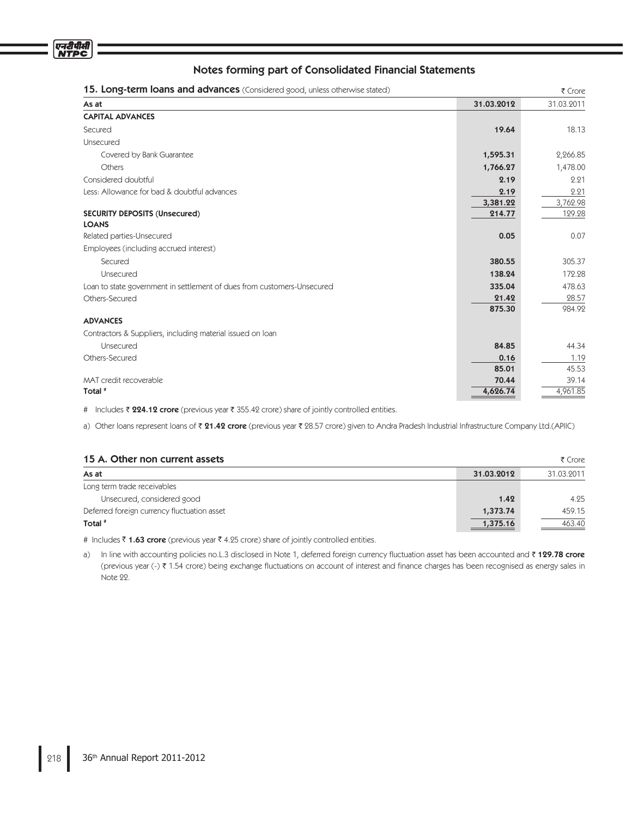

| 15. Long-term loans and advances (Considered good, unless otherwise stated) |            | ₹ Crore    |
|-----------------------------------------------------------------------------|------------|------------|
| As at                                                                       | 31.03.2012 | 31.03.2011 |
| <b>CAPITAL ADVANCES</b>                                                     |            |            |
| Secured                                                                     | 19.64      | 18.13      |
| Unsecured                                                                   |            |            |
| Covered by Bank Guarantee                                                   | 1,595.31   | 2,266.85   |
| Others                                                                      | 1,766.27   | 1,478.00   |
| Considered doubtful                                                         | 2.19       | 2.21       |
| Less: Allowance for bad & doubtful advances                                 | 2.19       | 2.21       |
|                                                                             | 3,381.22   | 3,762.98   |
| <b>SECURITY DEPOSITS (Unsecured)</b>                                        | 214.77     | 129.28     |
| <b>LOANS</b>                                                                |            |            |
| Related parties-Unsecured                                                   | 0.05       | 0.07       |
| Employees (including accrued interest)                                      |            |            |
| Secured                                                                     | 380.55     | 305.37     |
| Unsecured                                                                   | 138.24     | 172.28     |
| Loan to state government in settlement of dues from customers-Unsecured     | 335.04     | 478.63     |
| Others-Secured                                                              | 21.42      | 28.57      |
|                                                                             | 875.30     | 984.92     |
| <b>ADVANCES</b>                                                             |            |            |
| Contractors & Suppliers, including material issued on loan                  |            |            |
| Unsecured                                                                   | 84.85      | 44.34      |
| Others-Secured                                                              | 0.16       | 1.19       |
|                                                                             | 85.01      | 45.53      |
| MAT credit recoverable                                                      | 70.44      | 39.14      |
| Total #                                                                     | 4,626.74   | 4,961.85   |

# Includes ₹ **224.12 crore** (previous year ₹ 355.42 crore) share of jointly controlled entities.

a) Other loans represent loans of ₹ **21.42 crore** (previous year ₹ 28.57 crore) given to Andra Pradesh Industrial Infrastructure Company Ltd.(APIIC)

| 15 A. Other non current assets              |            | ₹ Crore    |
|---------------------------------------------|------------|------------|
| As at                                       | 31.03.2012 | 31.03.2011 |
| Long term trade receivables                 |            |            |
| Unsecured, considered good                  | 1.42       | 4.25       |
| Deferred foreign currency fluctuation asset | 1,373.74   | 459.15     |
| Total #                                     | 1,375.16   | 463.40     |

# Includes ₹ 1.63 crore (previous year ₹ 4.25 crore) share of jointly controlled entities.

a) In line with accounting policies no.L.3 disclosed in Note 1, deferred foreign currency fluctuation asset has been accounted and ₹ **129.78 crore** (previous year (-) ₹ 1.54 crore) being exchange fluctuations on account of interest and finance charges has been recognised as energy sales in Note 22.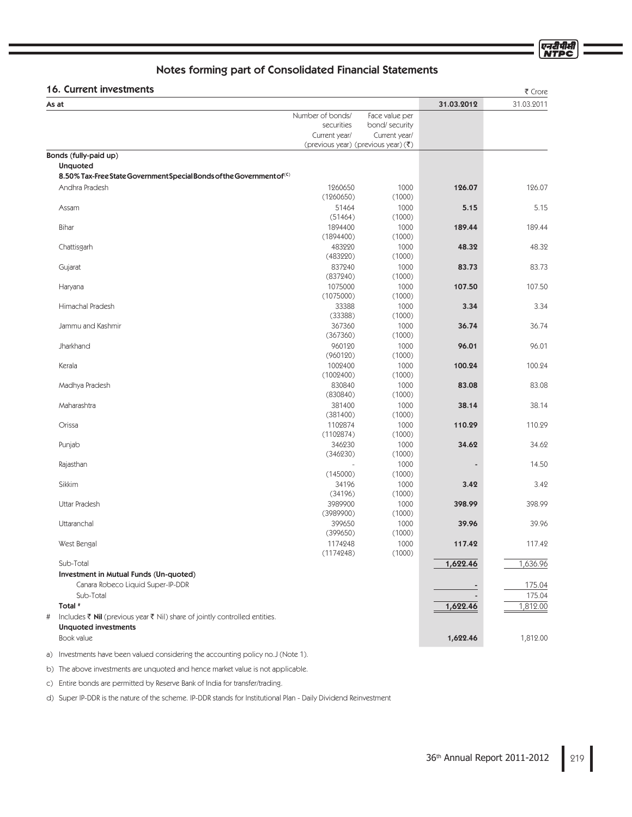एनदीपीर्स

# Notes forming part of Consolidated Financial Statements

## $16.$  Current investments  $16.$

| 16. Current investments                                                                                           |                      |                                                 |            | ₹ Crore    |
|-------------------------------------------------------------------------------------------------------------------|----------------------|-------------------------------------------------|------------|------------|
| As at                                                                                                             |                      |                                                 | 31.03.2012 | 31.03.2011 |
|                                                                                                                   | Number of bonds/     | Face value per                                  |            |            |
|                                                                                                                   | securities           | bond/ security                                  |            |            |
|                                                                                                                   | Current year/        | Current year/                                   |            |            |
|                                                                                                                   |                      | (previous year) (previous year) $(\bar{\zeta})$ |            |            |
| Bonds (fully-paid up)                                                                                             |                      |                                                 |            |            |
| <b>Unquoted</b>                                                                                                   |                      |                                                 |            |            |
| 8.50% Tax-Free State Government Special Bonds of the Government of <sup>(C)</sup>                                 |                      |                                                 |            |            |
| Andhra Pradesh                                                                                                    | 1260650<br>(1260650) | 1000<br>(1000)                                  | 126.07     | 126.07     |
| Assam                                                                                                             | 51464<br>(51464)     | 1000<br>(1000)                                  | 5.15       | 5.15       |
| Bihar                                                                                                             | 1894400<br>(1894400) | 1000<br>(1000)                                  | 189.44     | 189.44     |
| Chattisgarh                                                                                                       | 483220<br>(483220)   | 1000<br>(1000)                                  | 48.32      | 48.32      |
| Gujarat                                                                                                           | 837240               | 1000                                            | 83.73      | 83.73      |
|                                                                                                                   | (837240)             | (1000)                                          |            |            |
| Haryana                                                                                                           | 1075000              | 1000                                            | 107.50     | 107.50     |
|                                                                                                                   | (1075000)            | (1000)                                          |            |            |
| Himachal Pradesh                                                                                                  | 33388<br>(33388)     | 1000<br>(1000)                                  | 3.34       | 3.34       |
| Jammu and Kashmir                                                                                                 | 367360               | 1000                                            | 36.74      | 36.74      |
|                                                                                                                   | (367360)             | (1000)                                          |            |            |
| Jharkhand                                                                                                         | 960120<br>(960120)   | 1000<br>(1000)                                  | 96.01      | 96.01      |
| Kerala                                                                                                            | 1002400<br>(1002400) | 1000<br>(1000)                                  | 100.24     | 100.24     |
| Madhya Pradesh                                                                                                    | 830840<br>(830840)   | 1000<br>(1000)                                  | 83.08      | 83.08      |
| Maharashtra                                                                                                       | 381400               | 1000                                            | 38.14      | 38.14      |
|                                                                                                                   | (381400)             | (1000)                                          |            |            |
| Orissa                                                                                                            | 1102874              | 1000                                            | 110.29     | 110.29     |
|                                                                                                                   | (1102874)            | (1000)                                          |            |            |
| Punjab                                                                                                            | 346230               | 1000                                            | 34.62      | 34.62      |
|                                                                                                                   | (346230)             | (1000)                                          |            |            |
| Rajasthan                                                                                                         |                      | 1000                                            |            | 14.50      |
|                                                                                                                   | (145000)             | (1000)                                          |            |            |
| Sikkim                                                                                                            | 34196<br>(34196)     | 1000<br>(1000)                                  | 3.42       | 3.42       |
| Uttar Pradesh                                                                                                     | 3989900<br>(3989900) | 1000<br>(1000)                                  | 398.99     | 398.99     |
| Uttaranchal                                                                                                       | 399650<br>(399650)   | 1000<br>(1000)                                  | 39.96      | 39.96      |
| West Bengal                                                                                                       | 1174248<br>(1174248) | 1000<br>(1000)                                  | 117.42     | 117.42     |
| Sub-Total                                                                                                         |                      |                                                 | 1,622.46   | 1,636.96   |
| Investment in Mutual Funds (Un-quoted)                                                                            |                      |                                                 |            |            |
| Canara Robeco Liquid Super-IP-DDR                                                                                 |                      |                                                 |            | 175.04     |
| Sub-Total                                                                                                         |                      |                                                 |            | 175.04     |
| Total <sup>#</sup>                                                                                                |                      |                                                 | 1,622.46   | 1,812.00   |
| Includes ₹ Nil (previous year ₹ Nil) share of jointly controlled entities.<br>$\#$<br><b>Unquoted investments</b> |                      |                                                 |            |            |
| Book value                                                                                                        |                      |                                                 | 1,622.46   | 1,812.00   |

a) Investments have been valued considering the accounting policy no.J (Note 1).

b) The above investments are unquoted and hence market value is not applicable.

c) Entire bonds are permitted by Reserve Bank of India for transfer/trading.

d) Super IP-DDR is the nature of the scheme. IP-DDR stands for Institutional Plan - Daily Dividend Reinvestment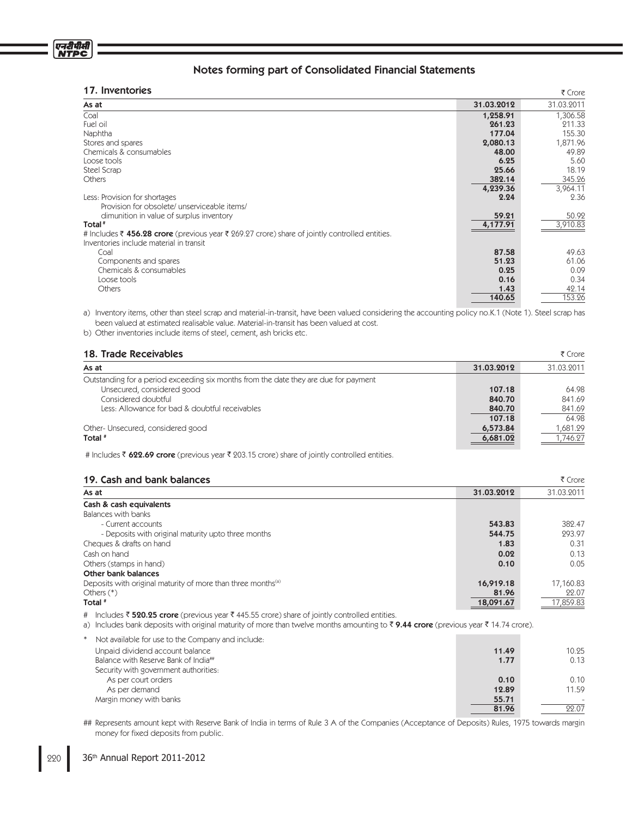## 17. Inventories

| 17. Inventories                                                                                |            | ₹ Crore    |
|------------------------------------------------------------------------------------------------|------------|------------|
| As at                                                                                          | 31.03.2012 | 31.03.2011 |
| Coal                                                                                           | 1,258.91   | 1,306.58   |
| Fuel oil                                                                                       | 261.23     | 211.33     |
| Naphtha                                                                                        | 177.04     | 155.30     |
| Stores and spares                                                                              | 2,080.13   | 1,871.96   |
| Chemicals & consumables                                                                        | 48.00      | 49.89      |
| Loose tools                                                                                    | 6.25       | 5.60       |
| Steel Scrap                                                                                    | 25.66      | 18.19      |
| Others                                                                                         | 382.14     | 345.26     |
|                                                                                                | 4,239.36   | 3,964.11   |
| Less: Provision for shortages                                                                  | 2.24       | 2.36       |
| Provision for obsolete/ unserviceable items/                                                   |            |            |
| dimunition in value of surplus inventory                                                       | 59.21      | 50.92      |
| Total <sup>#</sup>                                                                             | 4,177.91   | 3,910.83   |
| # Includes ₹ 456.28 crore (previous year ₹ 269.27 crore) share of jointly controlled entities. |            |            |
| Inventories include material in transit                                                        |            |            |
| Coal                                                                                           | 87.58      | 49.63      |
| Components and spares                                                                          | 51.23      | 61.06      |
| Chemicals & consumables                                                                        | 0.25       | 0.09       |
| Loose tools                                                                                    | 0.16       | 0.34       |
| <b>Others</b>                                                                                  | 1.43       | 42.14      |
|                                                                                                | 140.65     | 153.26     |
|                                                                                                |            |            |

a) Inventory items, other than steel scrap and material-in-transit, have been valued considering the accounting policy no.K.1 (Note 1). Steel scrap has been valued at estimated realisable value. Material-in-transit has been valued at cost.

b) Other inventories include items of steel, cement, ash bricks etc.

## 18. Trade Receivables

| 18. Trade Receivables                                                                |            | ₹ Crore    |
|--------------------------------------------------------------------------------------|------------|------------|
| As at                                                                                | 31.03.2012 | 31.03.2011 |
| Outstanding for a period exceeding six months from the date they are due for payment |            |            |
| Unsecured, considered good                                                           | 107.18     | 64.98      |
| Considered doubtful                                                                  | 840.70     | 841.69     |
| Less: Allowance for bad & doubtful receivables                                       | 840.70     | 841.69     |
|                                                                                      | 107.18     | 64.98      |
| Other-Unsecured, considered good                                                     | 6,573.84   | 1,681.29   |
| Total #                                                                              | 6,681.02   | 1,746.27   |
|                                                                                      |            |            |

# Includes 622.69 crore (previous year 203.15 crore) share of jointly controlled entities.

| 19. Cash and bank balances                                               |            | ₹ Crore    |
|--------------------------------------------------------------------------|------------|------------|
| As at                                                                    | 31.03.2012 | 31.03.2011 |
| Cash & cash equivalents                                                  |            |            |
| Balances with banks                                                      |            |            |
| - Current accounts                                                       | 543.83     | 382.47     |
| - Deposits with original maturity upto three months                      | 544.75     | 293.97     |
| Cheques & drafts on hand                                                 | 1.83       | 0.31       |
| Cash on hand                                                             | 0.02       | 0.13       |
| Others (stamps in hand)                                                  | 0.10       | 0.05       |
| Other bank balances                                                      |            |            |
| Deposits with original maturity of more than three months <sup>(a)</sup> | 16,919.18  | 17,160.83  |
| Others $(*)$                                                             | 81.96      | 22.07      |
| Total <sup>#</sup>                                                       | 18,091.67  | 17,859.83  |

# Includes ₹ **520.25 crore** (previous year ₹ 445.55 crore) share of jointly controlled entities.

a) Includes bank deposits with original maturity of more than twelve months amounting to ₹ 9.44 crore (previous year ₹ 14.74 crore).

| Not available for use to the Company and include: |       |        |
|---------------------------------------------------|-------|--------|
| Unpaid dividend account balance                   | 11.49 | 10.25  |
| Balance with Reserve Bank of India##              | 1.77  | 0.13   |
| Security with government authorities:             |       |        |
| As per court orders                               | 0.10  | 0.10   |
| As per demand                                     | 12.89 | 11.59  |
| Margin money with banks                           | 55.71 | $\sim$ |
|                                                   | 81.96 | 22.07  |

## Represents amount kept with Reserve Bank of India in terms of Rule 3 A of the Companies (Acceptance of Deposits) Rules, 1975 towards margin money for fixed deposits from public.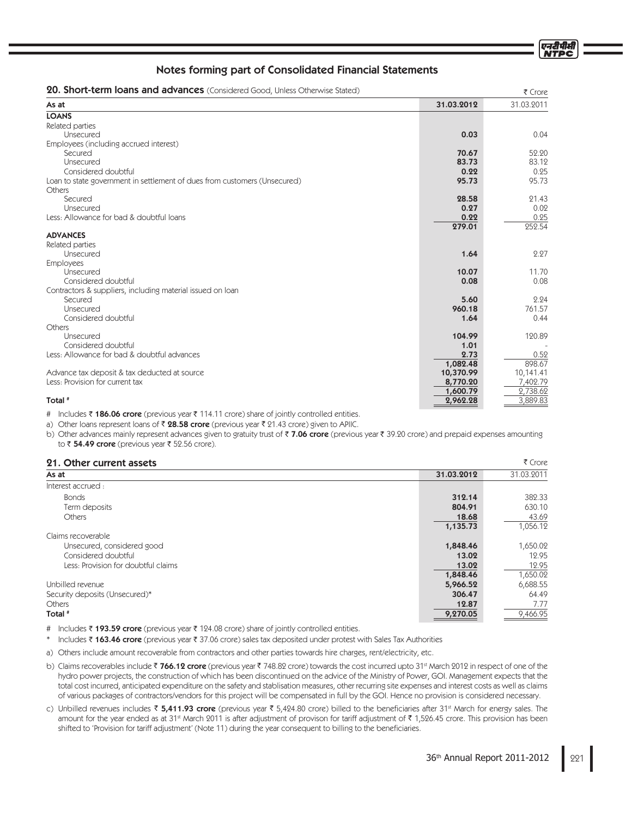| <b>20. Short-term loans and advances</b> (Considered Good, Unless Otherwise Stated) |            | ₹ Crore    |
|-------------------------------------------------------------------------------------|------------|------------|
| As at                                                                               | 31.03.2012 | 31.03.2011 |
| <b>LOANS</b>                                                                        |            |            |
| Related parties                                                                     |            |            |
| Unsecured                                                                           | 0.03       | 0.04       |
| Employees (including accrued interest)                                              |            |            |
| Secured                                                                             | 70.67      | 52.20      |
| Unsecured                                                                           | 83.73      | 83.12      |
| Considered doubtful                                                                 | 0.22       | 0.25       |
| Loan to state government in settlement of dues from customers (Unsecured)           | 95.73      | 95.73      |
| Others                                                                              |            |            |
| Secured                                                                             | 28.58      | 21.43      |
| Unsecured                                                                           | 0.27       | 0.02       |
| Less: Allowance for bad & doubtful loans                                            | 0.22       | 0.25       |
|                                                                                     | 279.01     | 252.54     |
| <b>ADVANCES</b>                                                                     |            |            |
| Related parties                                                                     |            |            |
| Unsecured                                                                           | 1.64       | 2.27       |
| <b>Employees</b>                                                                    |            |            |
| Unsecured                                                                           | 10.07      | 11.70      |
| Considered doubtful                                                                 | 0.08       | 0.08       |
| Contractors & suppliers, including material issued on loan                          |            |            |
| Secured                                                                             | 5.60       | 2.24       |
| Unsecured                                                                           | 960.18     | 761.57     |
| Considered doubtful                                                                 | 1.64       | 0.44       |
| Others                                                                              |            |            |
| Unsecured                                                                           | 104.99     | 120.89     |
| Considered doubtful                                                                 | 1.01       |            |
| Less: Allowance for bad & doubtful advances                                         | 2.73       | 0.52       |
|                                                                                     | 1,082.48   | 898.67     |
| Advance tax deposit & tax deducted at source                                        | 10,370.99  | 10,141.41  |
| Less: Provision for current tax                                                     | 8,770.20   | 7,402.79   |
|                                                                                     | 1,600.79   | 2,738.62   |
| Total <sup>#</sup>                                                                  | 2,962.28   | 3,889.83   |

# Includes ₹ 186.06 crore (previous year ₹ 114.11 crore) share of jointly controlled entities.

a) Other loans represent loans of ₹ **28.58 crore** (previous year ₹ 21.43 crore) given to APIIC.

b) Other advances mainly represent advances given to gratuity trust of ₹ **7.06 crore** (previous year ₹ 39.20 crore) and prepaid expenses amounting to ₹ **54.49 crore** (previous year ₹ 52.56 crore).

## 01. Other current assets

| 21. Other current assets            |            | ₹ Crore    |
|-------------------------------------|------------|------------|
| As at                               | 31.03.2012 | 31.03.2011 |
| Interest accrued:                   |            |            |
| <b>Bonds</b>                        | 312.14     | 382.33     |
| Term deposits                       | 804.91     | 630.10     |
| <b>Others</b>                       | 18.68      | 43.69      |
|                                     | 1,135.73   | 1,056.12   |
| Claims recoverable                  |            |            |
| Unsecured, considered good          | 1,848.46   | 1,650.02   |
| Considered doubtful                 | 13.02      | 12.95      |
| Less: Provision for doubtful claims | 13.02      | 12.95      |
|                                     | 1,848.46   | 1,650.02   |
| Unbilled revenue                    | 5,966.52   | 6,688.55   |
| Security deposits (Unsecured)*      | 306.47     | 64.49      |
| Others                              | 12.87      | 7.77       |
| Total #                             | 9,270.05   | 9.466.95   |

# Includes ₹ 1**93.59 crore** (previous year ₹ 124.08 crore) share of jointly controlled entities.

\* Includes ₹ 163.46 crore (previous year ₹ 37.06 crore) sales tax deposited under protest with Sales Tax Authorities

a) Others include amount recoverable from contractors and other parties towards hire charges, rent/electricity, etc.

- b) Claims recoverables include ₹ **766.12 crore** (previous year ₹ 748.82 crore) towards the cost incurred upto 31st March 2012 in respect of one of the hydro power projects, the construction of which has been discontinued on the advice of the Ministry of Power, GOI. Management expects that the total cost incurred, anticipated expenditure on the safety and stablisation measures, other recurring site expenses and interest costs as well as claims of various packages of contractors/vendors for this project will be compensated in full by the GOI. Hence no provision is considered necessary.
- c) Unbilled revenues includes ₹ **5,411.93 crore** (previous year ₹ 5,424.80 crore) billed to the beneficiaries after 31ª March for energy sales. The amount for the year ended as at 31st March 2011 is after adjustment of provison for tariff adjustment of ₹ 1,526.45 crore. This provision has been shifted to 'Provision for tariff adjustment' (Note 11) during the year consequent to billing to the beneficiaries.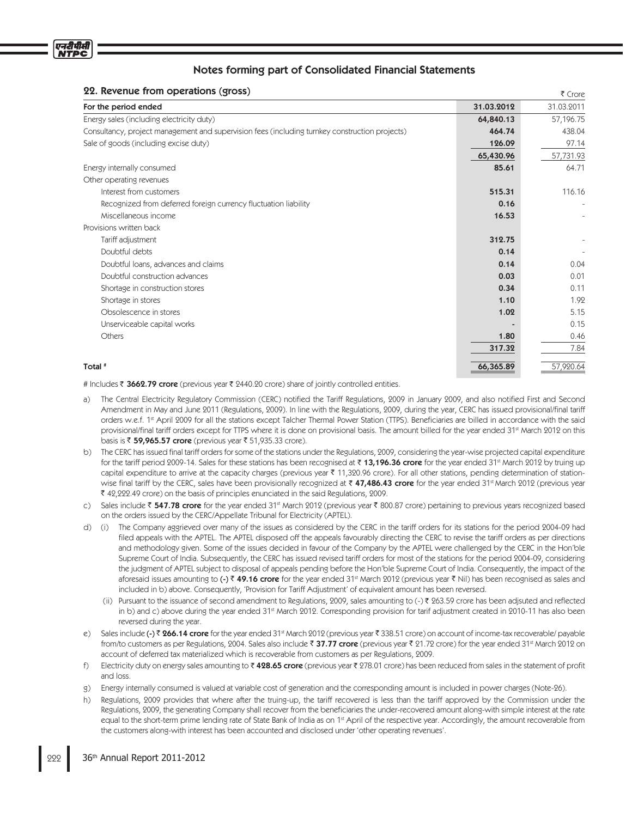

## 22. Revenue from operations (gross)

| 22. Revenue from operations (gross)<br>₹ Crore                                                 |            |            |
|------------------------------------------------------------------------------------------------|------------|------------|
| For the period ended                                                                           | 31.03.2012 | 31.03.2011 |
| Energy sales (including electricity duty)                                                      | 64,840.13  | 57,196.75  |
| Consultancy, project management and supervision fees (including turnkey construction projects) | 464.74     | 438.04     |
| Sale of goods (including excise duty)                                                          | 126.09     | 97.14      |
|                                                                                                | 65,430.96  | 57,731.93  |
| Energy internally consumed                                                                     | 85.61      | 64.71      |
| Other operating revenues                                                                       |            |            |
| Interest from customers                                                                        | 515.31     | 116.16     |
| Recognized from deferred foreign currency fluctuation liability                                | 0.16       |            |
| Miscellaneous income                                                                           | 16.53      |            |
| Provisions written back                                                                        |            |            |
| Tariff adjustment                                                                              | 312.75     |            |
| Doubtful debts                                                                                 | 0.14       |            |
| Doubtful loans, advances and claims                                                            | 0.14       | 0.04       |
| Doubtful construction advances                                                                 | 0.03       | 0.01       |
| Shortage in construction stores                                                                | 0.34       | 0.11       |
| Shortage in stores                                                                             | 1.10       | 1.92       |
| Obsolescence in stores                                                                         | 1.02       | 5.15       |
| Unserviceable capital works                                                                    |            | 0.15       |
| Others                                                                                         | 1.80       | 0.46       |
|                                                                                                | 317.32     | 7.84       |
|                                                                                                |            |            |
| Total #                                                                                        | 66,365.89  | 57,920.64  |

# Includes ₹ 3662.79 crore (previous year ₹ 2440.20 crore) share of jointly controlled entities.

- The Central Electricity Regulatory Commission (CERC) notified the Tariff Regulations, 2009 in January 2009, and also notified First and Second Amendment in May and June 2011 (Regulations, 2009). In line with the Regulations, 2009, during the year, CERC has issued provisional/final tariff orders w.e.f. 1<sup>st</sup> April 2009 for all the stations except Talcher Thermal Power Station (TTPS). Beneficiaries are billed in accordance with the said provisional/final tariff orders except for TTPS where it is done on provisional basis. The amount billed for the year ended 31<sup>st</sup> March 2012 on this basis is ₹ **59,965.57 crore** (previous year ₹ 51,935.33 crore).
- The CERC has issued final tariff orders for some of the stations under the Regulations, 2009, considering the year-wise projected capital expenditure for the tariff period 2009-14. Sales for these stations has been recognised at ₹ **13,196.36 crore** for the year ended 31st March 2012 by truing up capital expenditure to arrive at the capacity charges (previous year ₹ 11,320.96 crore). For all other stations, pending determination of stationwise final tariff by the CERC, sales have been provisionally recognized at ₹ **47,486.43 crore** for the year ended 31st March 2012 (previous year 42,222.49 crore) on the basis of principles enunciated in the said Regulations, 2009.
- c) Sales include ₹ **547.78 crore** for the year ended 31st March 2012 (previous year ₹ 800.87 crore) pertaining to previous years recognized based on the orders issued by the CERC/Appellate Tribunal for Electricity (APTEL).
- d) (i) The Company aggrieved over many of the issues as considered by the CERC in the tariff orders for its stations for the period 2004-09 had filed appeals with the APTEL. The APTEL disposed off the appeals favourably directing the CERC to revise the tariff orders as per directions and methodology given. Some of the issues decided in favour of the Company by the APTEL were challenged by the CERC in the Hon'ble Supreme Court of India. Subsequently, the CERC has issued revised tariff orders for most of the stations for the period 2004-09, considering the judgment of APTEL subject to disposal of appeals pending before the Hon'ble Supreme Court of India. Consequently, the impact of the aforesaid issues amounting to **(-) ₹ 49.16 crore** for the year ended 31¤ March 2012 (previous year ₹ Nil) has been recognised as sales and included in b) above. Consequently, 'Provision for Tariff Adjustment' of equivalent amount has been reversed.
- (ii) Pursuant to the issuance of second amendment to Regulations, 2009, sales amounting to (-) ₹ 263.59 crore has been adjsuted and reflected in b) and c) above during the year ended 31<sup>st</sup> March 2012. Corresponding provision for tarif adjustment created in 2010-11 has also been reversed during the year.
- e) Sales include **(-) ₹ 266.14 crore** for the year ended 31ª March 2012 (previous year ₹ 338.51 crore) on account of income-tax recoverable/ payable from/to customers as per Regulations, 2004. Sales also include ₹ **37.77 crore** (previous year ₹ 21.72 crore) for the year ended 31st March 2012 on account of deferred tax materialized which is recoverable from customers as per Regulations, 2009.
- f) Electricity duty on energy sales amounting to ₹4**28.65 crore** (previous year ₹ 278.01 crore) has been reduced from sales in the statement of profit and loss.
- g) Energy internally consumed is valued at variable cost of generation and the corresponding amount is included in power charges (Note-26).
- h) Regulations, 2009 provides that where after the truing-up, the tariff recovered is less than the tariff approved by the Commission under the Regulations, 2009, the generating Company shall recover from the beneficiaries the under-recovered amount along-with simple interest at the rate equal to the short-term prime lending rate of State Bank of India as on 1<sup>st</sup> April of the respective year. Accordingly, the amount recoverable from the customers along-with interest has been accounted and disclosed under 'other operating revenues'.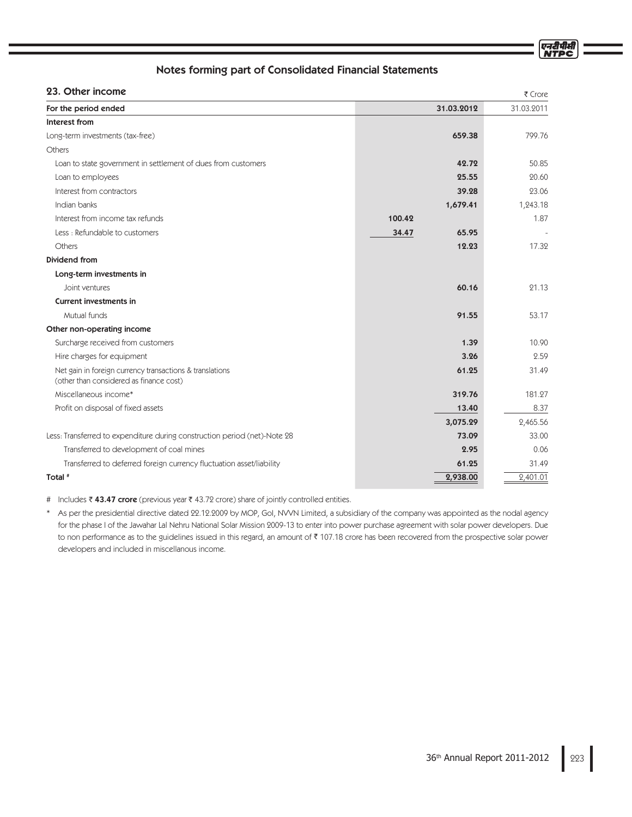एनदीपीर्स **NTPC** 

## Notes forming part of Consolidated Financial Statements

## 93. Other income

| 23. UTHER INCOME                                                                                    |        |            | ₹ Crore    |
|-----------------------------------------------------------------------------------------------------|--------|------------|------------|
| For the period ended                                                                                |        | 31.03.2012 | 31.03.2011 |
| Interest from                                                                                       |        |            |            |
| Long-term investments (tax-free)                                                                    |        | 659.38     | 799.76     |
| Others                                                                                              |        |            |            |
| Loan to state government in settlement of dues from customers                                       |        | 42.72      | 50.85      |
| Loan to employees                                                                                   |        | 25.55      | 20.60      |
| Interest from contractors                                                                           |        | 39.28      | 23.06      |
| Indian banks                                                                                        |        | 1,679.41   | 1,243.18   |
| Interest from income tax refunds                                                                    | 100.42 |            | 1.87       |
| Less: Refundable to customers                                                                       | 34.47  | 65.95      |            |
| Others                                                                                              |        | 12.23      | 17.32      |
| Dividend from                                                                                       |        |            |            |
| Long-term investments in                                                                            |        |            |            |
| Joint ventures                                                                                      |        | 60.16      | 21.13      |
| <b>Current investments in</b>                                                                       |        |            |            |
| Mutual funds                                                                                        |        | 91.55      | 53.17      |
| Other non-operating income                                                                          |        |            |            |
| Surcharge received from customers                                                                   |        | 1.39       | 10.90      |
| Hire charges for equipment                                                                          |        | 3.26       | 2.59       |
| Net gain in foreign currency transactions & translations<br>(other than considered as finance cost) |        | 61.25      | 31.49      |
| Miscellaneous income*                                                                               |        | 319.76     | 181.27     |
| Profit on disposal of fixed assets                                                                  |        | 13.40      | 8.37       |
|                                                                                                     |        | 3,075.29   | 2,465.56   |
| Less: Transferred to expenditure during construction period (net)-Note 28                           |        | 73.09      | 33.00      |
| Transferred to development of coal mines                                                            |        | 2.95       | 0.06       |
| Transferred to deferred foreign currency fluctuation asset/liability                                |        | 61.25      | 31.49      |
| Total <sup>#</sup>                                                                                  |        | 2,938.00   | 2,401.01   |
|                                                                                                     |        |            |            |

# Includes ₹43.47 crore (previous year ₹43.72 crore) share of jointly controlled entities.

\* As per the presidential directive dated 22.12.2009 by MOP, GoI, NVVN Limited, a subsidiary of the company was appointed as the nodal agency for the phase I of the Jawahar Lal Nehru National Solar Mission 2009-13 to enter into power purchase agreement with solar power developers. Due to non performance as to the guidelines issued in this regard, an amount of ₹ 107.18 crore has been recovered from the prospective solar power developers and included in miscellanous income.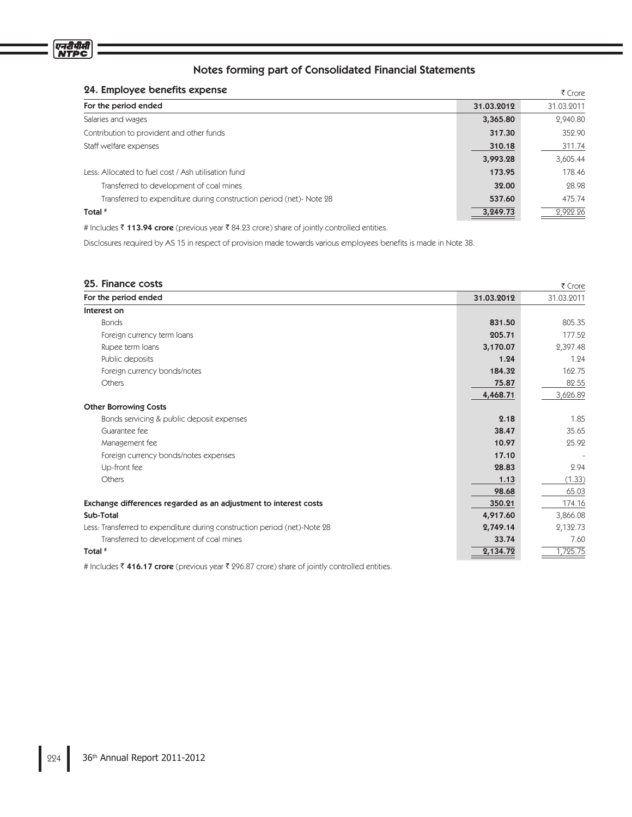## 24. Employee benefits expense

| 24. Employee benefits expense                                        |            | ₹ Crore    |
|----------------------------------------------------------------------|------------|------------|
| For the period ended                                                 | 31.03.2012 | 31.03.2011 |
| Salaries and wages                                                   | 3,365.80   | 2,940.80   |
| Contribution to provident and other funds                            | 317.30     | 352.90     |
| Staff welfare expenses                                               | 310.18     | 311.74     |
|                                                                      | 3,993.28   | 3,605.44   |
| Less: Allocated to fuel cost / Ash utilisation fund                  | 173.95     | 178.46     |
| Transferred to development of coal mines                             | 32.00      | 28.98      |
| Transferred to expenditure during construction period (net)- Note 28 | 537.60     | 475.74     |
| Total <sup>#</sup>                                                   | 3,249.73   | 2,922.26   |

# Includes ₹ 113.94 crore (previous year ₹ 84.23 crore) share of jointly controlled entities.

Disclosures required by AS 15 in respect of provision made towards various employees benefits is made in Note 38.

| 25. Finance costs                                                         |            | ₹ Crore    |
|---------------------------------------------------------------------------|------------|------------|
| For the period ended                                                      | 31.03.2012 | 31.03.2011 |
| Interest on                                                               |            |            |
| <b>Bonds</b>                                                              | 831.50     | 805.35     |
| Foreign currency term loans                                               | 205.71     | 177.52     |
| Rupee term loans                                                          | 3,170.07   | 2,397.48   |
| Public deposits                                                           | 1.24       | 1.24       |
| Foreign currency bonds/notes                                              | 184.32     | 162.75     |
| Others                                                                    | 75.87      | 82.55      |
|                                                                           | 4,468.71   | 3,626.89   |
| <b>Other Borrowing Costs</b>                                              |            |            |
| Bonds servicing & public deposit expenses                                 | 2.18       | 1.85       |
| Guarantee fee                                                             | 38.47      | 35.65      |
| Management fee                                                            | 10.97      | 25.92      |
| Foreign currency bonds/notes expenses                                     | 17.10      |            |
| Up-front fee                                                              | 28.83      | 2.94       |
| Others                                                                    | 1.13       | (1.33)     |
|                                                                           | 98.68      | 65.03      |
| Exchange differences regarded as an adjustment to interest costs          | 350.21     | 174.16     |
| Sub-Total                                                                 | 4,917.60   | 3,866.08   |
| Less: Transferred to expenditure during construction period (net)-Note 28 | 2,749.14   | 2,132.73   |
| Transferred to development of coal mines                                  | 33.74      | 7.60       |
| Total #                                                                   | 2,134.72   | 1,725.75   |

# Includes ₹ 416.17 crore (previous year ₹ 296.87 crore) share of jointly controlled entities.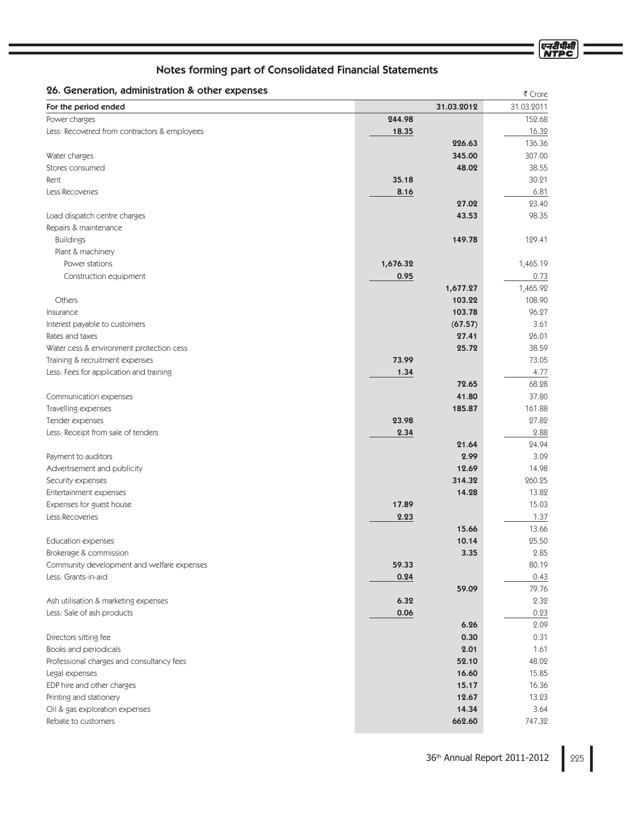| Notes forming part of Consolidated Financial Statements |                |                |
|---------------------------------------------------------|----------------|----------------|
| 26. Generation, administration & other expenses         |                | ₹ Crore        |
| For the period ended                                    | 31.03.2012     | 31.03.2011     |
| Power charges                                           | 244.98         | 152.68         |
| Less: Recovered from contractors & employees            | 18.35          | 16.32          |
|                                                         | 226.63         | 136.36         |
| Water charges                                           | 345.00         | 307.00         |
| Stores consumed                                         | 48.02          | 38.55          |
| Rent                                                    | 35.18          | 30.21          |
| Less:Recoveries                                         | 8.16           | 6.81           |
|                                                         | 27.02          | 23.40          |
| Load dispatch centre charges                            | 43.53          | 98.35          |
| Repairs & maintenance                                   |                |                |
| <b>Buildings</b>                                        | 149.78         | 129.41         |
| Plant & machinery                                       |                |                |
| Power stations                                          | 1,676.32       | 1,465.19       |
| Construction equipment                                  | 0.95           | 0.73           |
|                                                         | 1,677.27       | 1,465.92       |
| Others                                                  | 103.22         | 108.90         |
| Insurance                                               | 103.78         | 96.27          |
| Interest payable to customers                           | (67.57)        | 3.61           |
| Rates and taxes                                         | 27.41          | 26.01          |
| Water cess & environment protection cess                | 25.72          | 38.59          |
| Training & recruitment expenses                         | 73.99          | 73.05          |
| Less: Fees for application and training                 | 1.34           | 4.77           |
|                                                         | 72.65          | 68.28          |
| Communication expenses                                  | 41.80          | 37.80          |
| Travelling expenses                                     | 185.87         | 161.88         |
| Tender expenses                                         | 23.98          | 27.82          |
| Less: Receipt from sale of tenders                      | 2.34           | 2.88           |
|                                                         | 21.64          | 24.94          |
| Payment to auditors                                     | 2.99           | 3.09           |
| Advertisement and publicity                             | 12.69          | 14.98          |
| Security expenses                                       | 314.32         | 260.25         |
| Entertainment expenses                                  | 14.28          | 13.82          |
| Expenses for guest house                                | 17.89          | 15.03          |
| Less:Recoveries                                         | 2.23           | 1.37           |
|                                                         | 15.66          | 13.66          |
| <b>Education expenses</b>                               | 10.14          | 25.50          |
| Brokerage & commission                                  | 3.35           | 2.85           |
| Community development and welfare expenses              | 59.33          | 80.19          |
| Less: Grants-in-aid                                     | 0.24           | 0.43           |
|                                                         | 59.09          | 79.76          |
| Ash utilisation & marketing expenses                    | 6.32           | 2.32           |
| Less: Sale of ash products                              | 0.06           | 0.23           |
|                                                         | 6.26           | 2.09           |
| Directors sitting fee                                   | 0.30           | 0.31           |
| Books and periodicals                                   | 2.01           | 1.61           |
| Professional charges and consultancy fees               | 52.10          | 48.02          |
| Legal expenses                                          | 16.60<br>15.17 | 15.85<br>16.36 |
| EDP hire and other charges<br>Printing and stationery   | 12.67          | 13.23          |
| Oil & gas exploration expenses                          | 14.34          | 3.64           |
| Rebate to customers                                     | 662.60         | 747.32         |
|                                                         |                |                |

एनटीपीसी<br>NTPC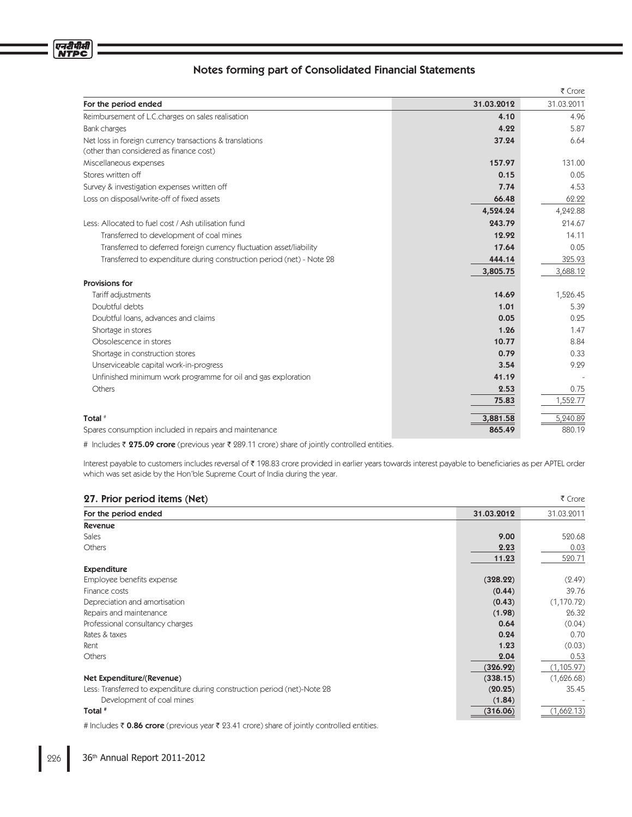|                                                                                                     |            | ₹ Crore    |
|-----------------------------------------------------------------------------------------------------|------------|------------|
| For the period ended                                                                                | 31.03.2012 | 31.03.2011 |
| Reimbursement of L.C.charges on sales realisation                                                   | 4.10       | 4.96       |
| Bank charges                                                                                        | 4.22       | 5.87       |
| Net loss in foreign currency transactions & translations<br>(other than considered as finance cost) | 37.24      | 6.64       |
| Miscellaneous expenses                                                                              | 157.97     | 131.00     |
| Stores written off                                                                                  | 0.15       | 0.05       |
| Survey & investigation expenses written off                                                         | 7.74       | 4.53       |
| Loss on disposal/write-off of fixed assets                                                          | 66.48      | 62.22      |
|                                                                                                     | 4,524.24   | 4,242.88   |
| Less: Allocated to fuel cost / Ash utilisation fund                                                 | 243.79     | 214.67     |
| Transferred to development of coal mines                                                            | 12.92      | 14.11      |
| Transferred to deferred foreign currency fluctuation asset/liability                                | 17.64      | 0.05       |
| Transferred to expenditure during construction period (net) - Note 28                               | 444.14     | 325.93     |
|                                                                                                     | 3,805.75   | 3,688.12   |
| Provisions for                                                                                      |            |            |
| Tariff adjustments                                                                                  | 14.69      | 1,526.45   |
| Doubtful debts                                                                                      | 1.01       | 5.39       |
| Doubtful loans, advances and claims                                                                 | 0.05       | 0.25       |
| Shortage in stores                                                                                  | 1.26       | 1.47       |
| Obsolescence in stores                                                                              | 10.77      | 8.84       |
| Shortage in construction stores                                                                     | 0.79       | 0.33       |
| Unserviceable capital work-in-progress                                                              | 3.54       | 9.29       |
| Unfinished minimum work programme for oil and gas exploration                                       | 41.19      |            |
| Others                                                                                              | 2.53       | 0.75       |
|                                                                                                     | 75.83      | 1,552.77   |
| Total <sup>#</sup>                                                                                  | 3,881.58   | 5,240.89   |
| Spares consumption included in repairs and maintenance                                              | 865.49     | 880.19     |

# Includes ₹ **275.09 crore** (previous year ₹ 289.11 crore) share of jointly controlled entities.

Interest payable to customers includes reversal of ₹ 198.83 crore provided in earlier years towards interest payable to beneficiaries as per APTEL order which was set aside by the Hon'ble Supreme Court of India during the year.

| 27. Prior period items (Net)<br>₹ Crore                                   |            |             |
|---------------------------------------------------------------------------|------------|-------------|
| For the period ended                                                      | 31.03.2012 | 31.03.2011  |
| Revenue                                                                   |            |             |
| <b>Sales</b>                                                              | 9.00       | 520.68      |
| Others                                                                    | 2.23       | 0.03        |
|                                                                           | 11.23      | 520.71      |
| <b>Expenditure</b>                                                        |            |             |
| Employee benefits expense                                                 | (328.22)   | (2.49)      |
| Finance costs                                                             | (0.44)     | 39.76       |
| Depreciation and amortisation                                             | (0.43)     | (1,170.72)  |
| Repairs and maintenance                                                   | (1.98)     | 26.32       |
| Professional consultancy charges                                          | 0.64       | (0.04)      |
| Rates & taxes                                                             | 0.24       | 0.70        |
| Rent                                                                      | 1.23       | (0.03)      |
| Others                                                                    | 2.04       | 0.53        |
|                                                                           | (326.92)   | (1, 105.97) |
| Net Expenditure/(Revenue)                                                 | (338.15)   | (1,626.68)  |
| Less: Transferred to expenditure during construction period (net)-Note 28 | (20.25)    | 35.45       |
| Development of coal mines                                                 | (1.84)     |             |
| Total #                                                                   | (316.06)   | (1,662.13)  |

# Includes ₹ 0.86 crore (previous year ₹ 23.41 crore) share of jointly controlled entities.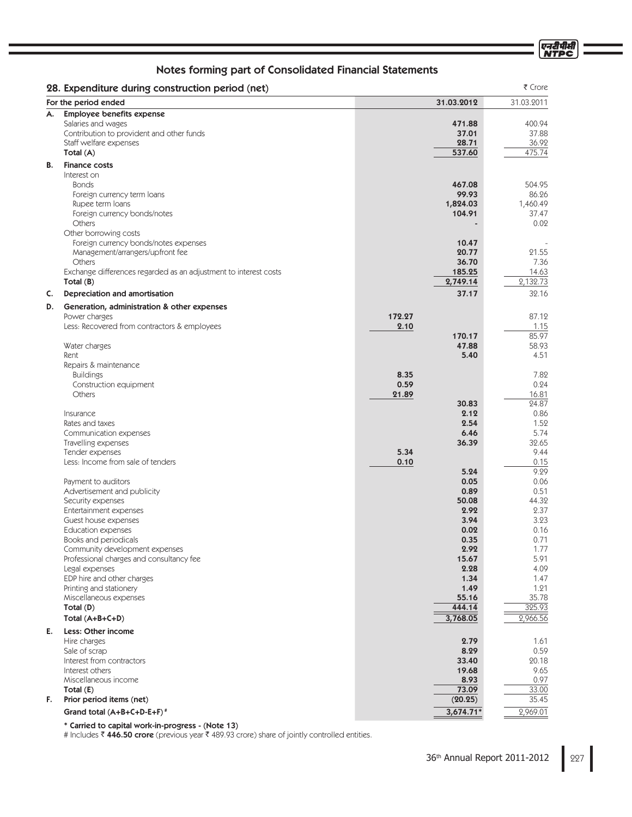एनटीपीसी<br>NTPC

# Notes forming part of Consolidated Financial Statements

|    | 28. Expenditure during construction period (net)                           |            |                    | ₹ Crore           |
|----|----------------------------------------------------------------------------|------------|--------------------|-------------------|
|    | For the period ended                                                       | 31.03.2012 |                    | 31.03.2011        |
| А. | <b>Employee benefits expense</b>                                           |            |                    |                   |
|    | Salaries and wages<br>Contribution to provident and other funds            |            | 471.88<br>37.01    | 400.94<br>37.88   |
|    | Staff welfare expenses                                                     |            | 28.71              | 36.92             |
|    | Total (A)                                                                  |            | 537.60             | 475.74            |
| В. | <b>Finance costs</b>                                                       |            |                    |                   |
|    | Interest on                                                                |            |                    |                   |
|    | <b>Bonds</b>                                                               |            | 467.08             | 504.95            |
|    | Foreign currency term loans                                                |            | 99.93              | 86.26             |
|    | Rupee term loans<br>Foreign currency bonds/notes                           |            | 1,824.03<br>104.91 | 1,460.49<br>37.47 |
|    | Others                                                                     |            |                    | 0.02              |
|    | Other borrowing costs                                                      |            |                    |                   |
|    | Foreign currency bonds/notes expenses                                      |            | 10.47              |                   |
|    | Management/arrangers/upfront fee                                           |            | 20.77              | 21.55             |
|    | Others<br>Exchange differences regarded as an adjustment to interest costs |            | 36.70<br>185.25    | 7.36<br>14.63     |
|    | Total $(B)$                                                                |            | 2,749.14           | 2,132.73          |
| C. | <b>Depreciation and amortisation</b>                                       |            | 37.17              | 32.16             |
|    |                                                                            |            |                    |                   |
| D. | Generation, administration & other expenses<br>Power charges               | 172.27     |                    | 87.12             |
|    | Less: Recovered from contractors & employees                               | 2.10       |                    | 1.15              |
|    |                                                                            |            | 170.17             | 85.97             |
|    | Water charges                                                              |            | 47.88              | 58.93             |
|    | Rent                                                                       |            | 5.40               | 4.51              |
|    | Repairs & maintenance<br><b>Buildings</b>                                  | 8.35       |                    | 7.82              |
|    | Construction equipment                                                     | 0.59       |                    | 0.24              |
|    | <b>Others</b>                                                              | 21.89      |                    | 16.81             |
|    |                                                                            |            | 30.83              | 24.87             |
|    | Insurance                                                                  |            | 2.12               | 0.86              |
|    | Rates and taxes<br>Communication expenses                                  |            | 2.54<br>6.46       | 1.52<br>5.74      |
|    | Travelling expenses                                                        |            | 36.39              | 32.65             |
|    | Tender expenses                                                            | 5.34       |                    | 9.44              |
|    | Less: Income from sale of tenders                                          | 0.10       |                    | 0.15              |
|    |                                                                            |            | 5.24               | 9.29              |
|    | Payment to auditors<br>Advertisement and publicity                         |            | 0.05<br>0.89       | 0.06<br>0.51      |
|    | Security expenses                                                          |            | 50.08              | 44.32             |
|    | Entertainment expenses                                                     |            | 2.92               | 2.37              |
|    | Guest house expenses                                                       |            | 3.94               | 3.23              |
|    | <b>Education expenses</b>                                                  |            | 0.02               | 0.16              |
|    | Books and periodicals<br>Community development expenses                    |            | 0.35<br>2.92       | 0.71<br>1.77      |
|    | Professional charges and consultancy fee                                   |            | 15.67              | 5.91              |
|    | Legal expenses                                                             |            | 2.28               | 4.09              |
|    | EDP hire and other charges                                                 |            | 1.34               | 1.47              |
|    | Printing and stationery                                                    |            | 1.49               | 1.21              |
|    | Miscellaneous expenses<br>Total (D)                                        |            | 55.16<br>444.14    | 35.78<br>325.93   |
|    | Total $(A+B+C+D)$                                                          |            | 3,768.05           | 2,966.56          |
| Е. | Less: Other income                                                         |            |                    |                   |
|    | Hire charges                                                               |            | 2.79               | 1.61              |
|    | Sale of scrap                                                              |            | 8.29               | 0.59              |
|    | Interest from contractors                                                  |            | 33.40              | 20.18             |
|    | Interest others                                                            |            | 19.68              | 9.65              |
|    | Miscellaneous income                                                       |            | 8.93<br>73.09      | 0.97              |
| F. | Total $(E)$<br>Prior period items (net)                                    |            | (20.25)            | 33.00<br>35.45    |
|    | Grand total (A+B+C+D-E+F) <sup>#</sup>                                     |            | $3,674.71*$        | 2,969.01          |
|    |                                                                            |            |                    |                   |

\* Carried to capital work-in-progress - (Note 13)

# Includes ₹ 446.50 crore (previous year ₹ 489.93 crore) share of jointly controlled entities.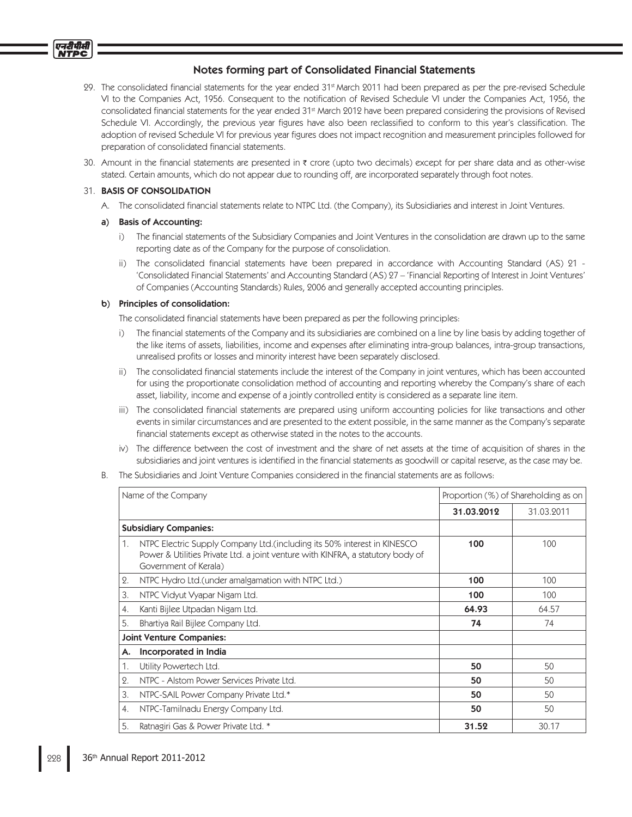

- 29. The consolidated financial statements for the year ended 31<sup>st</sup> March 2011 had been prepared as per the pre-revised Schedule VI to the Companies Act, 1956. Consequent to the notification of Revised Schedule VI under the Companies Act, 1956, the consolidated financial statements for the year ended 31<sup>st</sup> March 2012 have been prepared considering the provisions of Revised Schedule VI. Accordingly, the previous year figures have also been reclassified to conform to this year's classification. The adoption of revised Schedule VI for previous year figures does not impact recognition and measurement principles followed for preparation of consolidated financial statements.
- 30. Amount in the financial statements are presented in ₹ crore (upto two decimals) except for per share data and as other-wise stated. Certain amounts, which do not appear due to rounding off, are incorporated separately through foot notes.

## 31. BASIS OF CONSOLIDATION

एनटीपीक्षां

A. The consolidated financial statements relate to NTPC Ltd. (the Company), its Subsidiaries and interest in Joint Ventures.

## a) Basis of Accounting:

- i) The financial statements of the Subsidiary Companies and Joint Ventures in the consolidation are drawn up to the same reporting date as of the Company for the purpose of consolidation.
- ii) The consolidated financial statements have been prepared in accordance with Accounting Standard (AS) 21 -'Consolidated Financial Statements' and Accounting Standard (AS) 27 – 'Financial Reporting of Interest in Joint Ventures' of Companies (Accounting Standards) Rules, 2006 and generally accepted accounting principles.

## b) Principles of consolidation:

The consolidated financial statements have been prepared as per the following principles:

- i) The financial statements of the Company and its subsidiaries are combined on a line by line basis by adding together of the like items of assets, liabilities, income and expenses after eliminating intra-group balances, intra-group transactions, unrealised profits or losses and minority interest have been separately disclosed.
- ii) The consolidated financial statements include the interest of the Company in joint ventures, which has been accounted for using the proportionate consolidation method of accounting and reporting whereby the Company's share of each asset, liability, income and expense of a jointly controlled entity is considered as a separate line item.
- iii) The consolidated financial statements are prepared using uniform accounting policies for like transactions and other events in similar circumstances and are presented to the extent possible, in the same manner as the Company's separate financial statements except as otherwise stated in the notes to the accounts.
- iv) The difference between the cost of investment and the share of net assets at the time of acquisition of shares in the subsidiaries and joint ventures is identified in the financial statements as goodwill or capital reserve, as the case may be.
- B. The Subsidiaries and Joint Venture Companies considered in the financial statements are as follows:

| Name of the Company |                                                                                                                                                                                      | Proportion (%) of Shareholding as on |            |
|---------------------|--------------------------------------------------------------------------------------------------------------------------------------------------------------------------------------|--------------------------------------|------------|
|                     |                                                                                                                                                                                      | 31.03.2012                           | 31.03.2011 |
|                     | <b>Subsidiary Companies:</b>                                                                                                                                                         |                                      |            |
| 1.                  | NTPC Electric Supply Company Ltd. (including its 50% interest in KINESCO<br>Power & Utilities Private Ltd. a joint venture with KINFRA, a statutory body of<br>Government of Kerala) | 100                                  | 100        |
| 2.                  | NTPC Hydro Ltd. (under amalgamation with NTPC Ltd.)                                                                                                                                  | 100                                  | 100        |
| 3.                  | NTPC Vidyut Vyapar Nigam Ltd.                                                                                                                                                        | 100                                  | 100        |
| 4.                  | Kanti Bijlee Utpadan Nigam Ltd.                                                                                                                                                      | 64.93                                | 64.57      |
| 5.                  | Bhartiya Rail Bijlee Company Ltd.                                                                                                                                                    | 74                                   | 74         |
|                     | <b>Joint Venture Companies:</b>                                                                                                                                                      |                                      |            |
| А.                  | Incorporated in India                                                                                                                                                                |                                      |            |
| 1.                  | Utility Powertech Ltd.                                                                                                                                                               | 50                                   | 50         |
| 2.                  | NTPC - Alstom Power Services Private Ltd.                                                                                                                                            | 50                                   | 50         |
| 3.                  | NTPC-SAIL Power Company Private Ltd.*                                                                                                                                                | 50                                   | 50         |
| 4.                  | NTPC-Tamilnadu Energy Company Ltd.                                                                                                                                                   | 50                                   | 50         |
| 5.                  | Ratnagiri Gas & Power Private Ltd. *                                                                                                                                                 | 31.52                                | 30.17      |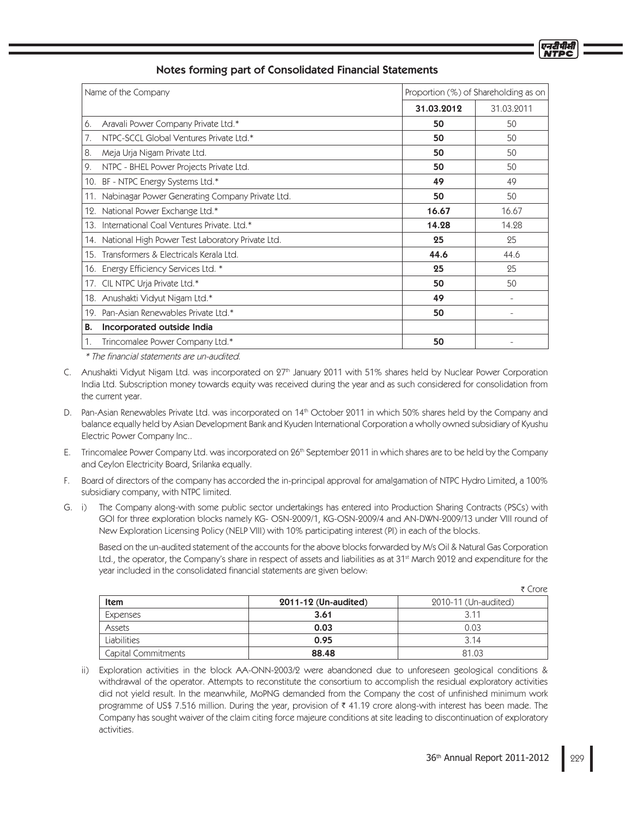| Name of the Company                                     | Proportion (%) of Shareholding as on |                          |
|---------------------------------------------------------|--------------------------------------|--------------------------|
|                                                         | 31.03.2012                           | 31.03.2011               |
| Aravali Power Company Private Ltd.*<br>6.               | 50                                   | 50                       |
| NTPC-SCCL Global Ventures Private Ltd.*<br>7.           | 50                                   | 50                       |
| 8.<br>Meja Urja Nigam Private Ltd.                      | 50                                   | 50                       |
| 9.<br>NTPC - BHEL Power Projects Private Ltd.           | 50                                   | 50                       |
| BF - NTPC Energy Systems Ltd.*<br>10.                   | 49                                   | 49                       |
| Nabinagar Power Generating Company Private Ltd.<br>11.  | 50                                   | 50                       |
| National Power Exchange Ltd.*<br>12.                    | 16.67                                | 16.67                    |
| International Coal Ventures Private, Ltd.*<br>13.       | 14.28                                | 14.28                    |
| National High Power Test Laboratory Private Ltd.<br>14. | 25                                   | 25                       |
| 15. Transformers & Electricals Kerala Ltd.              | 44.6                                 | 44.6                     |
| 16. Energy Efficiency Services Ltd. *                   | 25                                   | 25                       |
| 17. CIL NTPC Urja Private Ltd.*                         | 50                                   | 50                       |
| 18. Anushakti Vidyut Nigam Ltd.*                        | 49                                   | $\overline{\phantom{a}}$ |
| 19. Pan-Asian Renewables Private Ltd.*                  | 50                                   | ۰                        |
| В.<br>Incorporated outside India                        |                                      |                          |
| 1.<br>Trincomalee Power Company Ltd.*                   | 50                                   |                          |

\* The financial statements are un-audited.

- C. Anushakti Vidyut Nigam Ltd. was incorporated on 27<sup>th</sup> January 2011 with 51% shares held by Nuclear Power Corporation India Ltd. Subscription money towards equity was received during the year and as such considered for consolidation from the current year.
- D. Pan-Asian Renewables Private Ltd. was incorporated on 14<sup>th</sup> October 2011 in which 50% shares held by the Company and balance equally held by Asian Development Bank and Kyuden International Corporation a wholly owned subsidiary of Kyushu Electric Power Company Inc..
- E. Trincomalee Power Company Ltd. was incorporated on 26<sup>th</sup> September 2011 in which shares are to be held by the Company and Ceylon Electricity Board, Srilanka equally.
- F. Board of directors of the company has accorded the in-principal approval for amalgamation of NTPC Hydro Limited, a 100% subsidiary company, with NTPC limited.
- G. i) The Company along-with some public sector undertakings has entered into Production Sharing Contracts (PSCs) with GOI for three exploration blocks namely KG- OSN-2009/1, KG-OSN-2009/4 and AN-DWN-2009/13 under VIII round of New Exploration Licensing Policy (NELP VIII) with 10% participating interest (PI) in each of the blocks.

 Based on the un-audited statement of the accounts for the above blocks forwarded by M/s Oil & Natural Gas Corporation Ltd., the operator, the Company's share in respect of assets and liabilities as at 31<sup>st</sup> March 2012 and expenditure for the year included in the consolidated financial statements are given below:

|                     |                      | ₹ Crore              |
|---------------------|----------------------|----------------------|
| Item                | 2011-12 (Un-audited) | 2010-11 (Un-audited) |
| Expenses            | 3.61                 | 3.11                 |
| Assets              | 0.03                 | 0.03                 |
| <b>Liabilities</b>  | 0.95                 | 3.14                 |
| Capital Commitments | 88.48                | 81.03                |

 ii) Exploration activities in the block AA-ONN-2003/2 were abandoned due to unforeseen geological conditions & withdrawal of the operator. Attempts to reconstitute the consortium to accomplish the residual exploratory activities did not yield result. In the meanwhile, MoPNG demanded from the Company the cost of unfinished minimum work programme of US\$ 7.516 million. During the year, provision of 41.19 crore along-with interest has been made. The Company has sought waiver of the claim citing force majeure conditions at site leading to discontinuation of exploratory activities.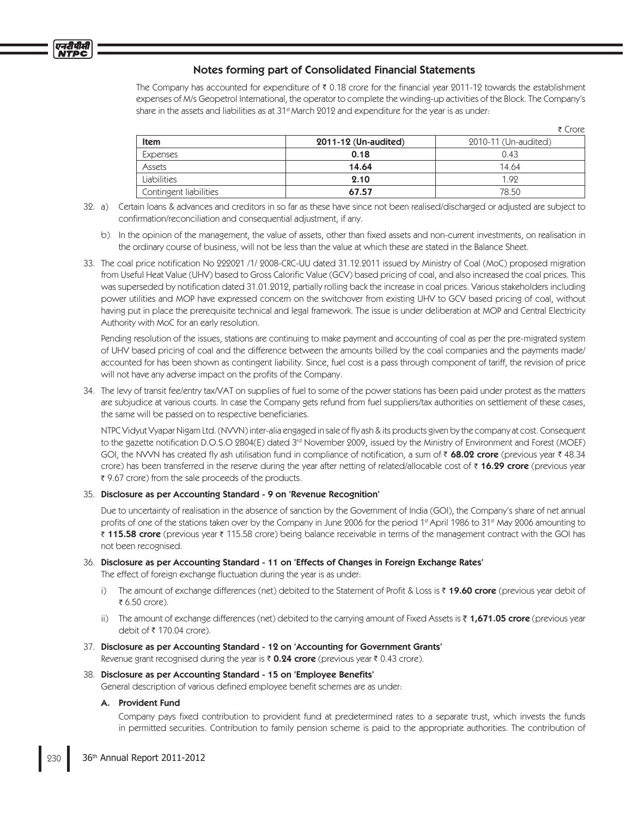

The Company has accounted for expenditure of ₹ 0.18 crore for the financial year 2011-12 towards the establishment expenses of M/s Geopetrol International, the operator to complete the winding-up activities of the Block. The Company's share in the assets and liabilities as at  $31<sup>st</sup>$  March 2012 and expenditure for the year is as under:

|                        |                      | ₹ Crore              |
|------------------------|----------------------|----------------------|
| <b>Item</b>            | 2011-12 (Un-audited) | 2010-11 (Un-audited) |
| Expenses               | 0.18                 | 0.43                 |
| Assets                 | 14.64                | 14.64                |
| Liabilities            | 2.10                 | 1.92                 |
| Contingent liabilities | 67.57                | 78.50                |

- 32. a) Certain loans & advances and creditors in so far as these have since not been realised/discharged or adjusted are subject to confirmation/reconciliation and consequential adjustment, if any.
	- b) In the opinion of the management, the value of assets, other than fixed assets and non-current investments, on realisation in the ordinary course of business, will not be less than the value at which these are stated in the Balance Sheet.
- 33. The coal price notification No 222021 /1/ 2008-CRC-UU dated 31.12.2011 issued by Ministry of Coal (MoC) proposed migration from Useful Heat Value (UHV) based to Gross Calorific Value (GCV) based pricing of coal, and also increased the coal prices. This was superseded by notification dated 31.01.2012, partially rolling back the increase in coal prices. Various stakeholders including power utilities and MOP have expressed concern on the switchover from existing UHV to GCV based pricing of coal, without having put in place the prerequisite technical and legal framework. The issue is under deliberation at MOP and Central Electricity Authority with MoC for an early resolution.

 Pending resolution of the issues, stations are continuing to make payment and accounting of coal as per the pre-migrated system of UHV based pricing of coal and the difference between the amounts billed by the coal companies and the payments made/ accounted for has been shown as contingent liability. Since, fuel cost is a pass through component of tariff, the revision of price will not have any adverse impact on the profits of the Company.

34. The levy of transit fee/entry tax/VAT on supplies of fuel to some of the power stations has been paid under protest as the matters are subjudice at various courts. In case the Company gets refund from fuel suppliers/tax authorities on settlement of these cases, the same will be passed on to respective beneficiaries.

NTPC Vidyut Vyapar Nigam Ltd. (NVVN) inter-alia engaged in sale of fly ash & its products given by the company at cost. Consequent to the gazette notification D.O.S.O 2804(E) dated 3<sup>rd</sup> November 2009, issued by the Ministry of Environment and Forest (MOEF) GOI, the NVVN has created fly ash utilisation fund in compliance of notification, a sum of  $\bar{\tau}$  68.02 crore (previous year  $\bar{\tau}$  48.34 crore) has been transferred in the reserve during the year after netting of related/allocable cost of ₹ 16.29 crore (previous year 9.67 crore) from the sale proceeds of the products.

## 35. Disclosure as per Accounting Standard - 9 on 'Revenue Recognition'

 Due to uncertainty of realisation in the absence of sanction by the Government of India (GOI), the Company's share of net annual profits of one of the stations taken over by the Company in June 2006 for the period 1st April 1986 to 31st May 2006 amounting to ₹ 115.58 crore (previous year ₹ 115.58 crore) being balance receivable in terms of the management contract with the GOI has not been recognised.

36. Disclosure as per Accounting Standard - 11 on 'Effects of Changes in Foreign Exchange Rates'

The effect of foreign exchange fluctuation during the year is as under:

- i) The amount of exchange differences (net) debited to the Statement of Profit & Loss is ₹19.60 crore (previous year debit of ₹ 6.50 crore).
- ii) The amount of exchange differences (net) debited to the carrying amount of Fixed Assets is  $\bar{\tau}$  1,671.05 crore (previous year debit of 170.04 crore).
- 37. Disclosure as per Accounting Standard 12 on 'Accounting for Government Grants' Revenue grant recognised during the year is  $\bar{\tau}$  0.24 crore (previous year  $\bar{\tau}$  0.43 crore).

## 38. Disclosure as per Accounting Standard - 15 on 'Employee Benefits'

General description of various defined employee benefit schemes are as under:

## A. Provident Fund

Company pays fixed contribution to provident fund at predetermined rates to a separate trust, which invests the funds in permitted securities. Contribution to family pension scheme is paid to the appropriate authorities. The contribution of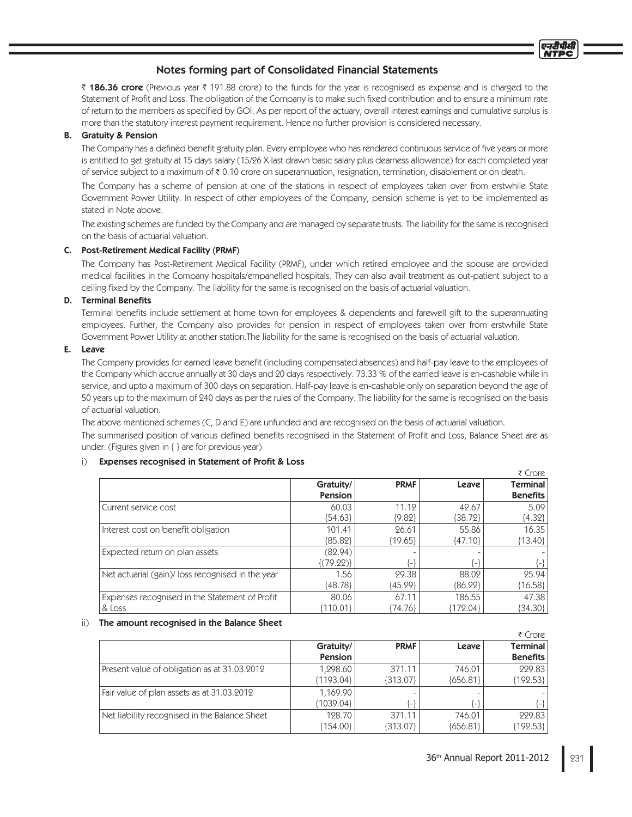₹ 186.36 crore (Previous year ₹ 191.88 crore) to the funds for the year is recognised as expense and is charged to the Statement of Profit and Loss. The obligation of the Company is to make such fixed contribution and to ensure a minimum rate of return to the members as specified by GOI. As per report of the actuary, overall interest earnings and cumulative surplus is more than the statutory interest payment requirement. Hence no further provision is considered necessary.

## B. Gratuity & Pension

The Company has a defined benefit gratuity plan. Every employee who has rendered continuous service of five years or more is entitled to get gratuity at 15 days salary (15/26 X last drawn basic salary plus dearness allowance) for each completed year of service subject to a maximum of ₹ 0.10 crore on superannuation, resignation, termination, disablement or on death.

 The Company has a scheme of pension at one of the stations in respect of employees taken over from erstwhile State Government Power Utility. In respect of other employees of the Company, pension scheme is yet to be implemented as stated in Note above.

 The existing schemes are funded by the Company and are managed by separate trusts. The liability for the same is recognised on the basis of actuarial valuation.

## C. Post-Retirement Medical Facility (PRMF)

 The Company has Post-Retirement Medical Facility (PRMF), under which retired employee and the spouse are provided medical facilities in the Company hospitals/empanelled hospitals. They can also avail treatment as out-patient subject to a ceiling fixed by the Company. The liability for the same is recognised on the basis of actuarial valuation.

## D. Terminal Benefits

Terminal benefits include settlement at home town for employees & dependents and farewell gift to the superannuating employees. Further, the Company also provides for pension in respect of employees taken over from erstwhile State Government Power Utility at another station.The liability for the same is recognised on the basis of actuarial valuation.

## E. Leave

The Company provides for earned leave benefit (including compensated absences) and half-pay leave to the employees of the Company which accrue annually at 30 days and 20 days respectively. 73.33 % of the earned leave is en-cashable while in service, and upto a maximum of 300 days on separation. Half-pay leave is en-cashable only on separation beyond the age of 50 years up to the maximum of 240 days as per the rules of the Company. The liability for the same is recognised on the basis of actuarial valuation.

The above mentioned schemes (C, D and E) are unfunded and are recognised on the basis of actuarial valuation.

The summarised position of various defined benefits recognised in the Statement of Profit and Loss, Balance Sheet are as under: (Figures given in { } are for previous year)

## i) Expenses recognised in Statement of Profit & Loss

|                                                  |                |             |            | ₹ Crore         |
|--------------------------------------------------|----------------|-------------|------------|-----------------|
|                                                  | Gratuity/      | <b>PRMF</b> | Leave      | Terminal        |
|                                                  | <b>Pension</b> |             |            | <b>Benefits</b> |
| Current service cost                             | 60.03          | 11.12       | 42.67      | 5.09            |
|                                                  | ${54.63}$      | ${9.82}$    | ${38.72}$  | ${4.32}$        |
| Interest cost on benefit obligation              | 101.41         | 26.61       | 55.86      | 16.35           |
|                                                  | ${85.82}$      | ${19.65}$   | ${47.10}$  | ${13.40}$       |
| Expected return on plan assets                   | (82.94)        |             |            |                 |
|                                                  | $\{(79.22)\}\$ | (-)         | {_}        | {-}             |
| Net actuarial (gain)/loss recognised in the year | 1.56           | 29.38       | 88.02      | 25.94           |
|                                                  | ${48.78}$      | ${45.29}$   | ${86.22}$  | ${16.58}$       |
| Expenses recognised in the Statement of Profit   | 80.06          | 67.11       | 186.55     | 47.38           |
| & Loss                                           | ${110.01}$     | (74.76)     | ${172.04}$ | {34.30}         |

## ii) The amount recognised in the Balance Sheet

|                                               |             |                               |                   | ₹ Crore         |
|-----------------------------------------------|-------------|-------------------------------|-------------------|-----------------|
|                                               | Gratuity/   | <b>PRMF</b>                   | Leave             | <b>Terminal</b> |
|                                               | Pension     |                               |                   | <b>Benefits</b> |
| Present value of obligation as at 31.03.2012  | 1,298.60    | 371.11                        | 746.01            | 229.83          |
|                                               | ${1193.04}$ | ${313.07}$                    | ${656.81}$        | ${192.53}$      |
| Fair value of plan assets as at 31.03.2012    | 1.169.90    |                               |                   |                 |
|                                               | {1039.04}   | $\left\lfloor -\right\rfloor$ | $\vert - \rangle$ | $\{-\}$         |
| Net liability recognised in the Balance Sheet | 128.70      | 371.11                        | 746.01            | 229.83          |
|                                               | 154.00      | ${313.07}$                    | ${656.81}$        | [192.53]        |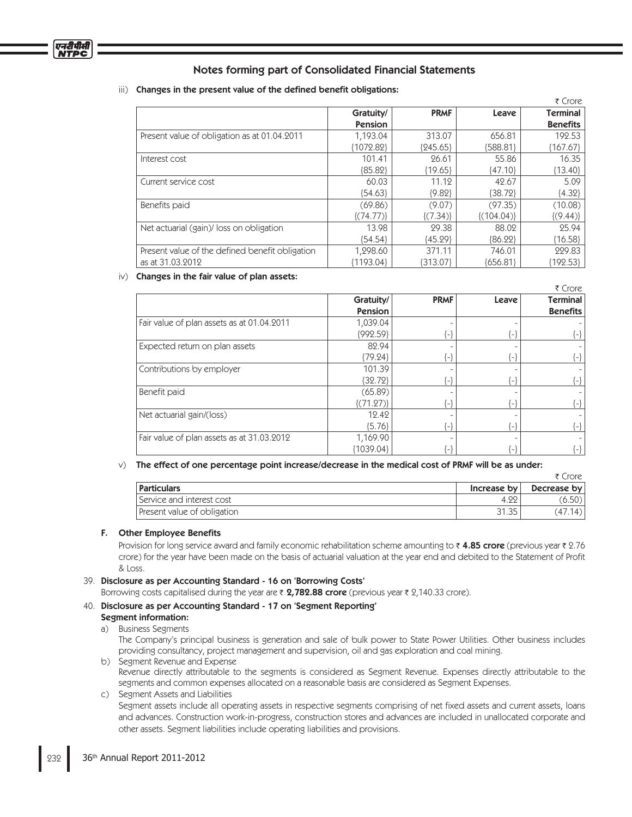#### iii) Changes in the present value of the defined benefit obligations:

|                                                 |                |             |                | ₹ Crore         |
|-------------------------------------------------|----------------|-------------|----------------|-----------------|
|                                                 | Gratuity/      | <b>PRMF</b> | Leave          | <b>Terminal</b> |
|                                                 | <b>Pension</b> |             |                | <b>Benefits</b> |
| Present value of obligation as at 01.04.2011    | 1,193.04       | 313.07      | 656.81         | 192.53          |
|                                                 | {1072.82}      | ${245.65}$  | ${588.81}$     | ${167.67}$      |
| Interest cost                                   | 101.41         | 26.61       | 55.86          | 16.35           |
|                                                 | ${85.82}$      | ${19.65}$   | ${47.10}$      | ${13.40}$       |
| Current service cost                            | 60.03          | 11.12       | 42.67          | 5.09            |
|                                                 | ${54.63}$      | ${9.82}$    | ${38.72}$      | ${4.32}$        |
| Benefits paid                                   | (69.86)        | (9.07)      | (97.35)        | (10.08)         |
|                                                 | $\{(74.77)\}\$ | ${(7.34)}$  | $\{(104.04)\}$ | $\{(9.44)\}\$   |
| Net actuarial (gain)/loss on obligation         | 13.98          | 29.38       | 88.02          | 25.94           |
|                                                 | ${54.54}$      | ${45.29}$   | ${86.22}$      | ${16.58}$       |
| Present value of the defined benefit obligation | 1,298.60       | 371.11      | 746.01         | 229.83          |
| as at 31.03.2012                                | ${1193.04}$    | [313.07]    | ${656.81}$     | ${192.53}$      |

#### iv) Changes in the fair value of plan assets:

|                                            |               |             |              | ₹ Crore                    |
|--------------------------------------------|---------------|-------------|--------------|----------------------------|
|                                            | Gratuity/     | <b>PRMF</b> | Leave        | Terminal                   |
|                                            | Pension       |             |              | <b>Benefits</b>            |
| Fair value of plan assets as at 01.04.2011 | 1,039.04      |             |              |                            |
|                                            | ${992.59}$    | $\{-\}$     | { – ¦        | $\{-\}$                    |
| Expected return on plan assets             | 82.94         |             |              |                            |
|                                            | ${79.24}$     | {-}         | {-¦          | {-}                        |
| Contributions by employer                  | 101.39        |             |              |                            |
|                                            | ${32.72}$     | {-}         | $\{-\}$      | {-}                        |
| Benefit paid                               | (65.89)       |             |              |                            |
|                                            | $\{(71.27)\}$ | $\{-\}$     | $\leftarrow$ | !⊣                         |
| Net actuarial gain/(loss)                  | 12.42         |             |              |                            |
|                                            | ${5.76}$      | $\{-\}$     | ₹ – 1        | {-}                        |
| Fair value of plan assets as at 31.03.2012 | 1,169.90      |             |              |                            |
|                                            | ${1039.04}$   | ั−}         |              | $\left\{ -\right\}$ $\mid$ |

#### v) The effect of one percentage point increase/decrease in the medical cost of PRMF will be as under:

|                             |             | ₹ Crore     |
|-----------------------------|-------------|-------------|
| <b>Particulars</b>          | Increase by | Decrease by |
| l Service and interest cost | 4.22        | (6.50)      |
| Present value of obligation | 31.35       | (47.14)     |

#### F. Other Employee Benefits

Provision for long service award and family economic rehabilitation scheme amounting to ₹4.85 c**rore** (previous year ₹ 2.76 crore) for the year have been made on the basis of actuarial valuation at the year end and debited to the Statement of Profit & Loss.

#### 39. Disclosure as per Accounting Standard - 16 on 'Borrowing Costs'

Borrowing costs capitalised during the year are  $\bar{\tau}$  2,782.88 crore (previous year  $\bar{\tau}$  2,140.33 crore).

#### 40. Disclosure as per Accounting Standard - 17 on 'Segment Reporting'

#### Segment information: a) Business Segments

 The Company's principal business is generation and sale of bulk power to State Power Utilities. Other business includes providing consultancy, project management and supervision, oil and gas exploration and coal mining.

b) Segment Revenue and Expense Revenue directly attributable to the segments is considered as Segment Revenue. Expenses directly attributable to the segments and common expenses allocated on a reasonable basis are considered as Segment Expenses.

## c) Segment Assets and Liabilities

Segment assets include all operating assets in respective segments comprising of net fixed assets and current assets, loans and advances. Construction work-in-progress, construction stores and advances are included in unallocated corporate and other assets. Segment liabilities include operating liabilities and provisions.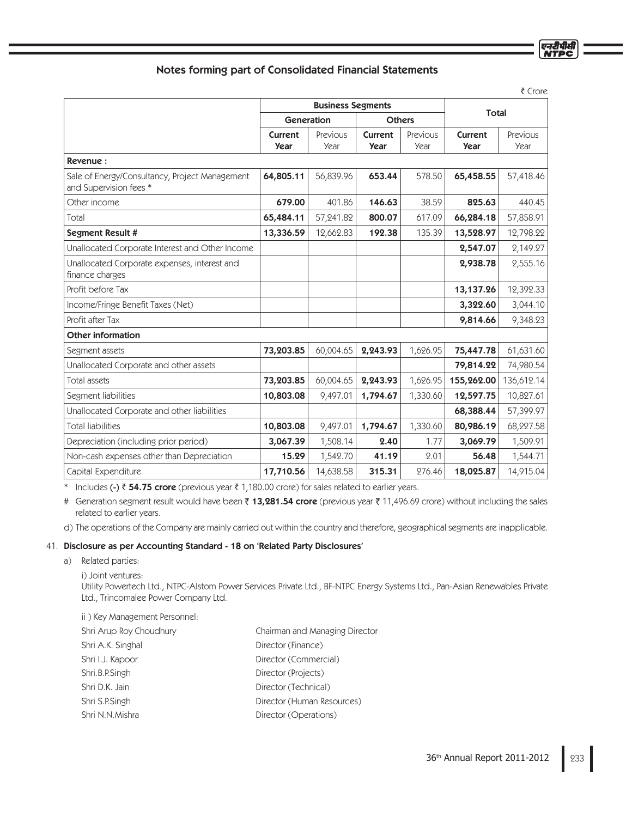|                                                                          |                        |                          |                               |                  |                        | र Crore          |
|--------------------------------------------------------------------------|------------------------|--------------------------|-------------------------------|------------------|------------------------|------------------|
|                                                                          |                        | <b>Business Segments</b> |                               |                  |                        |                  |
|                                                                          | Generation             |                          | <b>Others</b>                 |                  | <b>Total</b>           |                  |
|                                                                          | Current<br><b>Year</b> | Previous<br>Year         | <b>Current</b><br><b>Year</b> | Previous<br>Year | Current<br><b>Year</b> | Previous<br>Year |
| Revenue:                                                                 |                        |                          |                               |                  |                        |                  |
| Sale of Energy/Consultancy, Project Management<br>and Supervision fees * | 64,805.11              | 56,839.96                | 653.44                        | 578.50           | 65,458.55              | 57,418.46        |
| Other income                                                             | 679.00                 | 401.86                   | 146.63                        | 38.59            | 825.63                 | 440.45           |
| Total                                                                    | 65,484.11              | 57,241.82                | 800.07                        | 617.09           | 66,284.18              | 57,858.91        |
| Segment Result #                                                         | 13,336.59              | 12,662.83                | 192.38                        | 135.39           | 13,528.97              | 12,798.22        |
| Unallocated Corporate Interest and Other Income                          |                        |                          |                               |                  | 2,547.07               | 2,149.27         |
| Unallocated Corporate expenses, interest and<br>finance charges          |                        |                          |                               |                  | 2,938.78               | 2,555.16         |
| Profit before Tax                                                        |                        |                          |                               |                  | 13,137.26              | 12,392.33        |
| Income/Fringe Benefit Taxes (Net)                                        |                        |                          |                               |                  | 3,322.60               | 3,044.10         |
| Profit after Tax                                                         |                        |                          |                               |                  | 9,814.66               | 9,348.23         |
| <b>Other information</b>                                                 |                        |                          |                               |                  |                        |                  |
| Segment assets                                                           | 73,203.85              | 60,004.65                | 2,243.93                      | 1,626.95         | 75,447.78              | 61,631.60        |
| Unallocated Corporate and other assets                                   |                        |                          |                               |                  | 79,814.22              | 74,980.54        |
| Total assets                                                             | 73,203.85              | 60,004.65                | 2,243.93                      | 1,626.95         | 155,262.00             | 136,612.14       |
| Segment liabilities                                                      | 10,803.08              | 9,497.01                 | 1,794.67                      | 1,330.60         | 12,597.75              | 10,827.61        |
| Unallocated Corporate and other liabilities                              |                        |                          |                               |                  | 68,388.44              | 57,399.97        |
| <b>Total liabilities</b>                                                 | 10,803.08              | 9,497.01                 | 1,794.67                      | 1,330.60         | 80,986.19              | 68,227.58        |
| Depreciation (including prior period)                                    | 3,067.39               | 1,508.14                 | 2.40                          | 1.77             | 3,069.79               | 1,509.91         |
| Non-cash expenses other than Depreciation                                | 15.29                  | 1,542.70                 | 41.19                         | 2.01             | 56.48                  | 1,544.71         |
| Capital Expenditure                                                      | 17,710.56              | 14,638.58                | 315.31                        | 276.46           | 18,025.87              | 14,915.04        |

\* Includes (-)  $\bar{z}$  54.75 crore (previous year  $\bar{z}$  1,180.00 crore) for sales related to earlier years.

# Generation segment result would have been ₹ 13,281.54 crore (previous year ₹ 11,496.69 crore) without including the sales related to earlier years.

d) The operations of the Company are mainly carried out within the country and therefore, geographical segments are inapplicable.

### 41. Disclosure as per Accounting Standard - 18 on 'Related Party Disclosures'

a) Related parties:

Utility Powertech Ltd., NTPC-Alstom Power Services Private Ltd., BF-NTPC Energy Systems Ltd., Pan-Asian Renewables Private Ltd., Trincomalee Power Company Ltd.

- ii ) Key Management Personnel: Shri Arup Roy Choudhury Chairman and Managing Director
- Shri A.K. Singhal Director (Finance) Shri I.J. Kapoor Director (Commercial) Shri.B.P.Singh Director (Projects) Shri D.K. Jain Director (Technical) Shri S.P.Singh **Director (Human Resources)** Shri N.N.Mishra Director (Operations)

एनटीपीर्स

i) Joint ventures: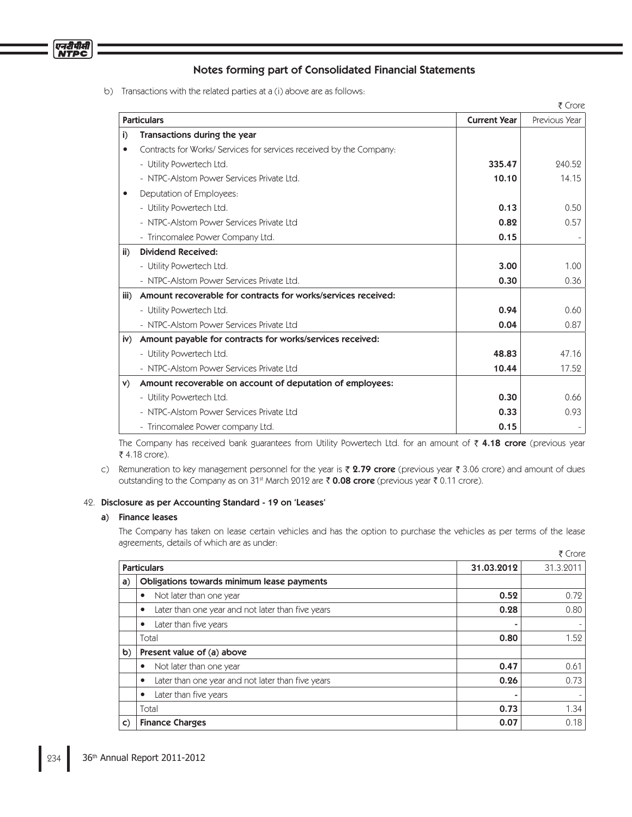

b) Transactions with the related parties at a (i) above are as follows:

|               |                                                                     |                     | ₹ Crore       |
|---------------|---------------------------------------------------------------------|---------------------|---------------|
|               | <b>Particulars</b>                                                  | <b>Current Year</b> | Previous Year |
| i)            | Transactions during the year                                        |                     |               |
|               | Contracts for Works/ Services for services received by the Company: |                     |               |
|               | - Utility Powertech Ltd.                                            | 335.47              | 240.52        |
|               | - NTPC-Alstom Power Services Private Ltd.                           | 10.10               | 14.15         |
|               | Deputation of Employees:                                            |                     |               |
|               | - Utility Powertech Ltd.                                            | 0.13                | 0.50          |
|               | - NTPC-Alstom Power Services Private Ltd                            | 0.82                | 0.57          |
|               | - Trincomalee Power Company Ltd.                                    | 0.15                |               |
| $\mathbf{ii}$ | <b>Dividend Received:</b>                                           |                     |               |
|               | - Utility Powertech Ltd.                                            | 3.00                | 1.00          |
|               | - NTPC-Alstom Power Services Private Ltd.                           | 0.30                | 0.36          |
| iii)          | Amount recoverable for contracts for works/services received:       |                     |               |
|               | - Utility Powertech Ltd.                                            | 0.94                | 0.60          |
|               | - NTPC-Alstom Power Services Private Ltd                            | 0.04                | 0.87          |
| iv)           | Amount payable for contracts for works/services received:           |                     |               |
|               | - Utility Powertech Ltd.                                            | 48.83               | 47.16         |
|               | - NTPC-Alstom Power Services Private Ltd                            | 10.44               | 17.52         |
| V)            | Amount recoverable on account of deputation of employees:           |                     |               |
|               | - Utility Powertech Ltd.                                            | 0.30                | 0.66          |
|               | - NTPC-Alstom Power Services Private Ltd                            | 0.33                | 0.93          |
|               | - Trincomalee Power company Ltd.                                    | 0.15                |               |

The Company has received bank guarantees from Utility Powertech Ltd. for an amount of  $\bar{\tau}$  4.18 crore (previous year ₹ 4.18 crore).

c) Remuneration to key management personnel for the year is  $\bar{\zeta}$  2.79 crore (previous year  $\bar{\zeta}$  3.06 crore) and amount of dues outstanding to the Company as on 31<sup>st</sup> March 2012 are  $\bar{\tau}$  0.08 crore (previous year  $\bar{\tau}$  0.11 crore).

#### 42. Disclosure as per Accounting Standard - 19 on 'Leases'

## a) Finance leases

 The Company has taken on lease certain vehicles and has the option to purchase the vehicles as per terms of the lease agreements, details of which are as under:

|              |                                                        |            | ₹ Crore   |
|--------------|--------------------------------------------------------|------------|-----------|
|              | <b>Particulars</b>                                     | 31.03.2012 | 31.3.2011 |
| a)           | Obligations towards minimum lease payments             |            |           |
|              | Not later than one year<br>٠                           | 0.52       | 0.72      |
|              | Later than one year and not later than five years<br>٠ | 0.28       | 0.80      |
|              | Later than five years<br>٠                             |            |           |
|              | Total                                                  | 0.80       | 1.52      |
| b)           | Present value of (a) above                             |            |           |
|              | Not later than one year<br>٠                           | 0.47       | 0.61      |
|              | Later than one year and not later than five years<br>٠ | 0.26       | 0.73      |
|              | Later than five years<br>٠                             |            |           |
|              | Total                                                  | 0.73       | 1.34      |
| $\mathsf{C}$ | <b>Finance Charges</b>                                 | 0.07       | 0.18      |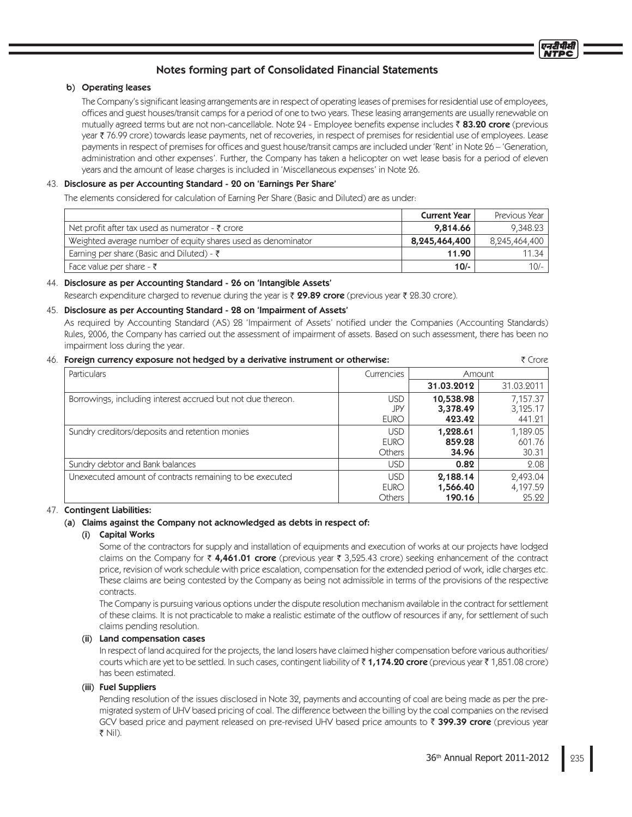## b) Operating leases

The Company's significant leasing arrangements are in respect of operating leases of premises for residential use of employees, offices and guest houses/transit camps for a period of one to two years. These leasing arrangements are usually renewable on mutually agreed terms but are not non-cancellable. Note 24 - Employee benefits expense includes ₹83.20 crore (previous year ₹76.99 crore) towards lease payments, net of recoveries, in respect of premises for residential use of employees. Lease payments in respect of premises for offices and guest house/transit camps are included under 'Rent' in Note 26 – 'Generation, administration and other expenses'. Further, the Company has taken a helicopter on wet lease basis for a period of eleven years and the amount of lease charges is included in 'Miscellaneous expenses' in Note 26.

## 43. Disclosure as per Accounting Standard - 20 on 'Earnings Per Share'

The elements considered for calculation of Earning Per Share (Basic and Diluted) are as under:

|                                                              | <b>Current Year</b> | Previous Year |
|--------------------------------------------------------------|---------------------|---------------|
| Net profit after tax used as numerator - $\bar{\tau}$ crore  | 9,814.66            | 9.348.23      |
| Weighted average number of equity shares used as denominator | 8,245,464,400       | 8.245.464.400 |
| Earning per share (Basic and Diluted) - $\bar{\zeta}$        | 11.90               | 11.34         |
| Face value per share $-\bar{\tau}$                           | $10/-$              | $10/-$        |

## 44. Disclosure as per Accounting Standard - 26 on 'Intangible Assets'

Research expenditure charged to revenue during the year is  $\bar{\tau}$  29.89 crore (previous year  $\bar{\tau}$  28.30 crore).

## 45. Disclosure as per Accounting Standard - 28 on 'Impairment of Assets'

As required by Accounting Standard (AS) 28 'Impairment of Assets' notified under the Companies (Accounting Standards) Rules, 2006, the Company has carried out the assessment of impairment of assets. Based on such assessment, there has been no impairment loss during the year.

## 46. Foreign currency exposure not hedged by a derivative instrument or otherwise: Crore

| <b>Particulars</b>                                          | Currencies    | Amount     |            |
|-------------------------------------------------------------|---------------|------------|------------|
|                                                             |               | 31.03.2012 | 31.03.2011 |
| Borrowings, including interest accrued but not due thereon. | USD           | 10,538.98  | 7,157.37   |
|                                                             | JPY           | 3,378.49   | 3,125.17   |
|                                                             | <b>EURO</b>   | 423.42     | 441.21     |
| Sundry creditors/deposits and retention monies              | <b>USD</b>    | 1,228.61   | 1,189.05   |
|                                                             | <b>EURO</b>   | 859.28     | 601.76     |
|                                                             | Others        | 34.96      | 30.31      |
| Sundry debtor and Bank balances                             | <b>USD</b>    | 0.82       | 2.08       |
| Unexecuted amount of contracts remaining to be executed     | <b>USD</b>    | 2,188.14   | 2,493.04   |
|                                                             | <b>EURO</b>   | 1,566.40   | 4,197.59   |
|                                                             | <b>Others</b> | 190.16     | 25.22      |

## 47. Contingent Liabilities:

## (a) Claims against the Company not acknowledged as debts in respect of:

## (i) Capital Works

 Some of the contractors for supply and installation of equipments and execution of works at our projects have lodged claims on the Company for  $\bar{\zeta}$  4,461.01 crore (previous year  $\bar{\zeta}$  3,525.43 crore) seeking enhancement of the contract price, revision of work schedule with price escalation, compensation for the extended period of work, idle charges etc. These claims are being contested by the Company as being not admissible in terms of the provisions of the respective contracts.

 The Company is pursuing various options under the dispute resolution mechanism available in the contract for settlement of these claims. It is not practicable to make a realistic estimate of the outflow of resources if any, for settlement of such claims pending resolution.

## (ii) Land compensation cases

 In respect of land acquired for the projects, the land losers have claimed higher compensation before various authorities/ courts which are yet to be settled. In such cases, contingent liability of  $\bar{\tau}$  1,174.20 crore (previous year  $\bar{\tau}$  1,851.08 crore) has been estimated.

## (iii) Fuel Suppliers

 Pending resolution of the issues disclosed in Note 32, payments and accounting of coal are being made as per the premigrated system of UHV based pricing of coal. The difference between the billing by the coal companies on the revised GCV based price and payment released on pre-revised UHV based price amounts to  $\bar{\tau}$  399.39 crore (previous year ₹ Nil).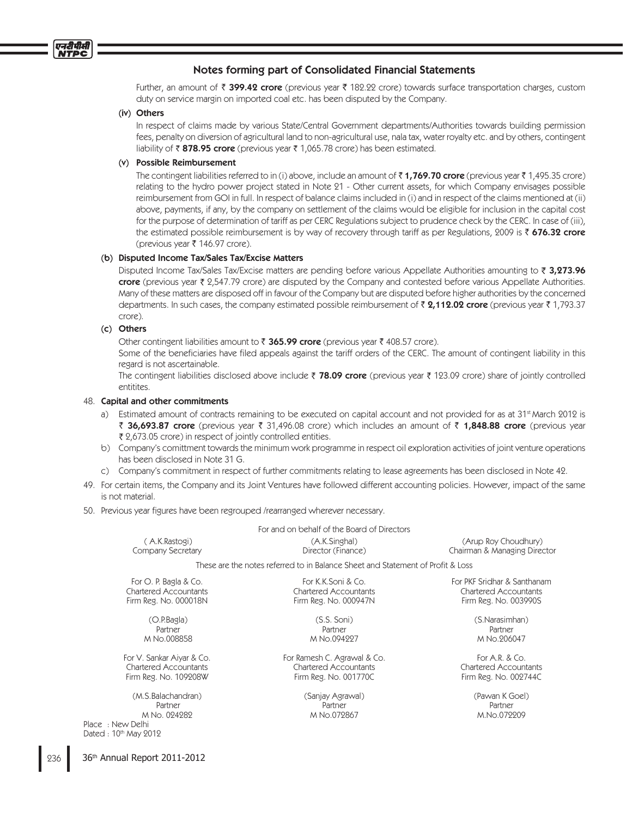

Further, an amount of  $\bar{\zeta}$  399.42 crore (previous year  $\bar{\zeta}$  182.22 crore) towards surface transportation charges, custom duty on service margin on imported coal etc. has been disputed by the Company.

#### (iv) Others

 In respect of claims made by various State/Central Government departments/Authorities towards building permission fees, penalty on diversion of agricultural land to non-agricultural use, nala tax, water royalty etc. and by others, contingent liability of  $\bar{\tau}$  878.95 crore (previous year  $\bar{\tau}$  1,065.78 crore) has been estimated.

#### (v) Possible Reimbursement

The contingent liabilities referred to in (i) above, include an amount of  $\bar{\tau}$  1,769.70 crore (previous year  $\bar{\tau}$  1,495.35 crore) relating to the hydro power project stated in Note 21 - Other current assets, for which Company envisages possible reimbursement from GOI in full. In respect of balance claims included in (i) and in respect of the claims mentioned at (ii) above, payments, if any, by the company on settlement of the claims would be eligible for inclusion in the capital cost for the purpose of determination of tariff as per CERC Regulations subject to prudence check by the CERC. In case of (iii), the estimated possible reimbursement is by way of recovery through tariff as per Regulations, 2009 is  $\bar{z}$  676.32 crore (previous year ₹ 146.97 crore).

#### (b) Disputed Income Tax/Sales Tax/Excise Matters

Disputed Income Tax/Sales Tax/Excise matters are pending before various Appellate Authorities amounting to  $\bar{\tau}$  3,273.96 crore (previous year  $\bar{\tau}$  2,547.79 crore) are disputed by the Company and contested before various Appellate Authorities. Many of these matters are disposed off in favour of the Company but are disputed before higher authorities by the concerned departments. In such cases, the company estimated possible reimbursement of  $\bar{\tau}$  2,112.02 crore (previous year  $\bar{\tau}$  1,793.37 crore).

### (c) Others

Other contingent liabilities amount to  $\bar{\tau}$  365.99 crore (previous year  $\bar{\tau}$  408.57 crore).

Some of the beneficiaries have filed appeals against the tariff orders of the CERC. The amount of contingent liability in this regard is not ascertainable.

The contingent liabilities disclosed above include  $\bar{\zeta}$  78.09 crore (previous year  $\bar{\zeta}$  123.09 crore) share of jointly controlled entitites.

## 48. Capital and other commitments

- a) Estimated amount of contracts remaining to be executed on capital account and not provided for as at 31<sup>st</sup> March 2012 is ₹ 36,693.87 crore (previous year ₹ 31,496.08 crore) which includes an amount of ₹ 1,848.88 crore (previous year 2,673.05 crore) in respect of jointly controlled entities.
- b) Company's comittment towards the minimum work programme in respect oil exploration activities of joint venture operations has been disclosed in Note 31 G.
- c) Company's commitment in respect of further commitments relating to lease agreements has been disclosed in Note 42.
- 49. For certain items, the Company and its Joint Ventures have followed different accounting policies. However, impact of the same is not material.
- 50. Previous year figures have been regrouped /rearranged wherever necessary.

For and on behalf of the Board of Directors ( A.K.Rastogi) (A.K.Singhal) (Arup Roy Choudhury) Company Secretary Director (Finance) Chairman & Managing Director These are the notes referred to in Balance Sheet and Statement of Profi t & Loss For O. P. Bagla & Co. For K.K.Soni & Co. For PKF Sridhar & Santhanam Chartered Accountants Chartered Accountants Chartered Accountants Firm Reg. No. 000018N Firm Reg. No. 000947N Firm Reg. No. 003990S (O.P.Bagla) (S.S. Soni) (S.Narasimhan) Partner Partner Partner Partner Partner Partner Partner Partner Partner Partner M No.008858 M No.094227 M No.206047 For V. Sankar Aiyar & Co. For Ramesh C. Agrawal & Co. For A.R. & Co. For A.R. & Co. Chartered Accountants Chartered Accountants Chartered Accountants Firm Reg. No. 109208W Firm Reg. No. 001770C Firm Reg. No. 002744C (M.S.Balachandran) (Sanjay Agrawal) (Pawan K Goel)

Partner Partner Partner Partner Partner Partner Partner Partner Partner Partner M No. 024282 M No.072867 M.No.072209

Place : New Delhi Dated : 10th May 2012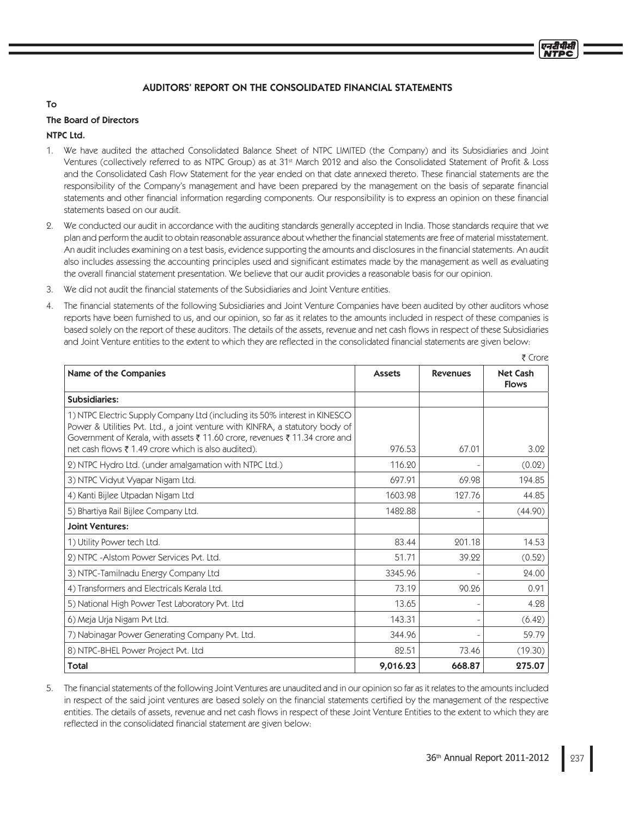## AUDITORS' REPORT ON THE CONSOLIDATED FINANCIAL STATEMENTS

## To

## The Board of Directors

## NTPC Ltd.

- 1. We have audited the attached Consolidated Balance Sheet of NTPC LIMITED (the Company) and its Subsidiaries and Joint Ventures (collectively referred to as NTPC Group) as at 31<sup>st</sup> March 2012 and also the Consolidated Statement of Profit & Loss and the Consolidated Cash Flow Statement for the year ended on that date annexed thereto. These financial statements are the responsibility of the Company's management and have been prepared by the management on the basis of separate financial statements and other financial information regarding components. Our responsibility is to express an opinion on these financial statements based on our audit.
- 2. We conducted our audit in accordance with the auditing standards generally accepted in India. Those standards require that we plan and perform the audit to obtain reasonable assurance about whether the financial statements are free of material misstatement. An audit includes examining on a test basis, evidence supporting the amounts and disclosures in the financial statements. An audit also includes assessing the accounting principles used and significant estimates made by the management as well as evaluating the overall financial statement presentation. We believe that our audit provides a reasonable basis for our opinion.
- 3. We did not audit the financial statements of the Subsidiaries and Joint Venture entities.
- 4. The financial statements of the following Subsidiaries and Joint Venture Companies have been audited by other auditors whose reports have been furnished to us, and our opinion, so far as it relates to the amounts included in respect of these companies is based solely on the report of these auditors. The details of the assets, revenue and net cash flows in respect of these Subsidiaries and Joint Venture entities to the extent to which they are reflected in the consolidated financial statements are given below:

| Name of the Companies                                                                                                                                                                                                                                                                             | <b>Assets</b> | <b>Revenues</b> | <b>Net Cash</b><br><b>Flows</b> |
|---------------------------------------------------------------------------------------------------------------------------------------------------------------------------------------------------------------------------------------------------------------------------------------------------|---------------|-----------------|---------------------------------|
| <b>Subsidiaries:</b>                                                                                                                                                                                                                                                                              |               |                 |                                 |
| 1) NTPC Electric Supply Company Ltd (including its 50% interest in KINESCO<br>Power & Utilities Pvt. Ltd., a joint venture with KINFRA, a statutory body of<br>Government of Kerala, with assets ₹ 11.60 crore, revenues ₹ 11.34 crore and<br>net cash flows ₹ 1.49 crore which is also audited). | 976.53        | 67.01           | 3.02                            |
| 2) NTPC Hydro Ltd. (under amalgamation with NTPC Ltd.)                                                                                                                                                                                                                                            | 116.20        |                 | (0.02)                          |
| 3) NTPC Vidyut Vyapar Nigam Ltd.                                                                                                                                                                                                                                                                  | 697.91        | 69.98           | 194.85                          |
| 4) Kanti Bijlee Utpadan Nigam Ltd                                                                                                                                                                                                                                                                 | 1603.98       | 127.76          | 44.85                           |
| 5) Bhartiya Rail Bijlee Company Ltd.                                                                                                                                                                                                                                                              | 1482.88       |                 | (44.90)                         |
| <b>Joint Ventures:</b>                                                                                                                                                                                                                                                                            |               |                 |                                 |
| 1) Utility Power tech Ltd.                                                                                                                                                                                                                                                                        | 83.44         | 201.18          | 14.53                           |
| 2) NTPC - Alstom Power Services Pvt. Ltd.                                                                                                                                                                                                                                                         | 51.71         | 39.22           | (0.52)                          |
| 3) NTPC-Tamilnadu Energy Company Ltd                                                                                                                                                                                                                                                              | 3345.96       |                 | 24.00                           |
| 4) Transformers and Electricals Kerala Ltd.                                                                                                                                                                                                                                                       | 73.19         | 90.26           | 0.91                            |
| 5) National High Power Test Laboratory Pvt. Ltd                                                                                                                                                                                                                                                   | 13.65         |                 | 4.28                            |
| 6) Meja Urja Nigam Pvt Ltd.                                                                                                                                                                                                                                                                       | 143.31        |                 | (6.42)                          |
| 7) Nabinagar Power Generating Company Pvt. Ltd.                                                                                                                                                                                                                                                   | 344.96        |                 | 59.79                           |
| 8) NTPC-BHEL Power Project Pvt. Ltd                                                                                                                                                                                                                                                               | 82.51         | 73.46           | (19.30)                         |
| <b>Total</b>                                                                                                                                                                                                                                                                                      | 9,016.23      | 668.87          | 275.07                          |

5. The financial statements of the following Joint Ventures are unaudited and in our opinion so far as it relates to the amounts included in respect of the said joint ventures are based solely on the financial statements certified by the management of the respective entities. The details of assets, revenue and net cash flows in respect of these Joint Venture Entities to the extent to which they are reflected in the consolidated financial statement are given below:

 $F$  Crore